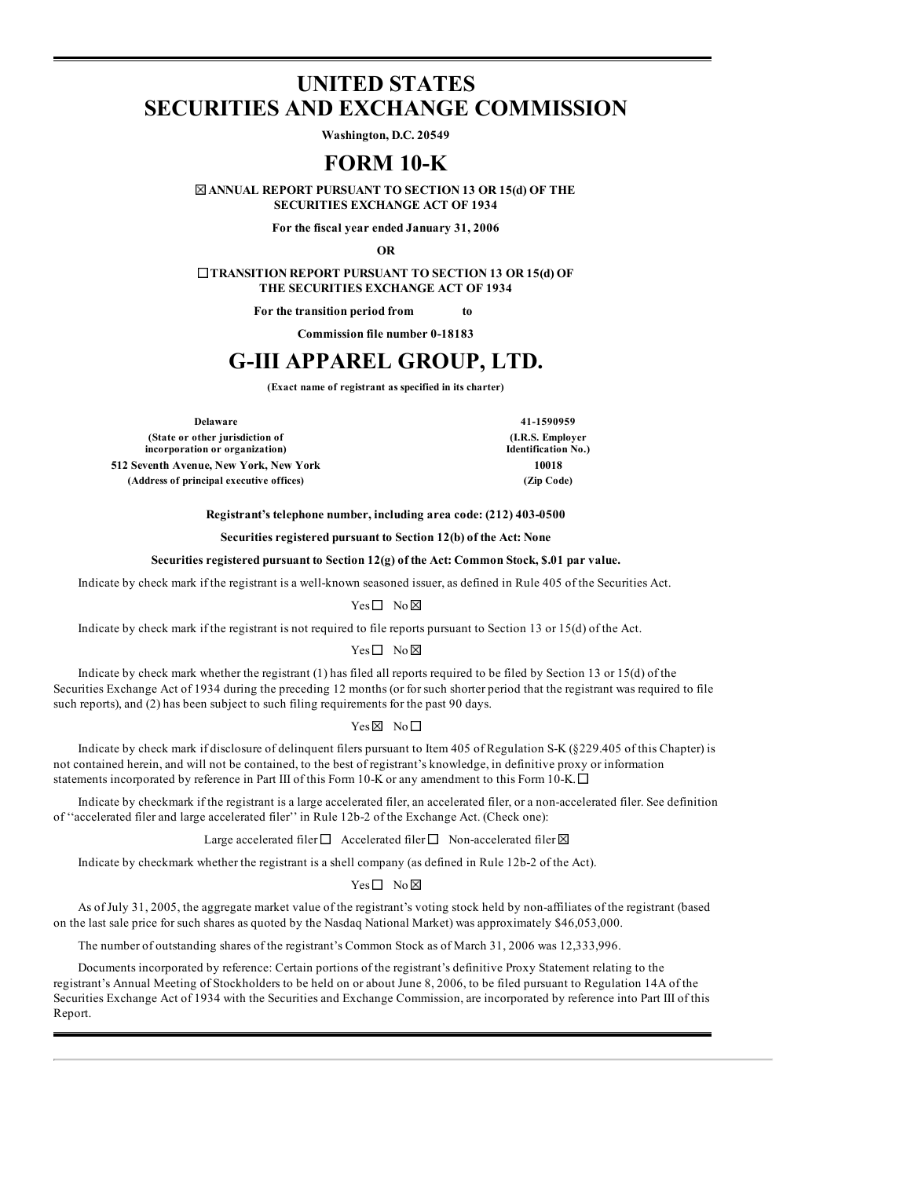# **UNITED STATES SECURITIES AND EXCHANGE COMMISSION**

**Washington, D.C. 20549**

# **FORM 10-K**

**ANNUAL REPORT PURSUANT TO SECTION 13 OR 15(d) OF THE SECURITIES EXCHANGE ACT OF 1934**

**For the fiscal year ended January 31, 2006**

#### **OR**

**TRANSITION REPORT PURSUANT TO SECTION 13 OR 15(d) OF THE SECURITIES EXCHANGE ACT OF 1934**

**For the transition period from to**

**Commission file number 0-18183**

# **G-III APPAREL GROUP, LTD.**

**(Exact name of registrant as specified in its charter)**

**(State or other jurisdiction of incorporation or organization) 512 Seventh Avenue, New York, New York 10018 (Address of principal executive offices) (Zip Code)**

**Delaware 41-1590959 (I.R.S. Employer Identification No.)**

#### **Registrant's telephone number, including area code: (212) 403-0500**

**Securities registered pursuant to Section 12(b) of the Act: None**

#### **Securities registered pursuant to Section 12(g) of the Act: Common Stock, \$.01 par value.**

Indicate by check mark if the registrant is a well-known seasoned issuer, as defined in Rule 405 of the Securities Act.

#### $Yes \Box No \boxtimes$

Indicate by check mark if the registrant is not required to file reports pursuant to Section 13 or 15(d) of the Act.

## $Yes \Box No \boxtimes$

Indicate by check mark whether the registrant (1) has filed all reports required to be filed by Section 13 or 15(d) of the Securities Exchange Act of 1934 during the preceding 12 months (or for such shorter period that the registrant was required to file such reports), and (2) has been subject to such filing requirements for the past 90 days.

### $Yes \boxtimes No \square$

Indicate by check mark if disclosure of delinquent filers pursuant to Item 405 of Regulation S-K (§229.405 of this Chapter) is not contained herein, and will not be contained, to the best of registrant's knowledge, in definitive proxy or information statements incorporated by reference in Part III of this Form 10-K or any amendment to this Form 10-K.  $\Box$ 

Indicate by checkmark if the registrant is a large accelerated filer, an accelerated filer, or a non-accelerated filer. See definition of ''accelerated filer and large accelerated filer'' in Rule 12b-2 of the Exchange Act. (Check one):

Large accelerated filer  $\Box$  Accelerated filer  $\Box$  Non-accelerated filer  $\boxtimes$ 

Indicate by checkmark whether the registrant is a shell company (as defined in Rule 12b-2 of the Act).

## $Yes \Box No \boxtimes$

As of July 31, 2005, the aggregate market value of the registrant's voting stock held by non-affiliates of the registrant (based on the last sale price for such shares as quoted by the Nasdaq National Market) was approximately \$46,053,000.

The number of outstanding shares of the registrant's Common Stock as of March 31, 2006 was 12,333,996.

Documents incorporated by reference: Certain portions of the registrant's definitive Proxy Statement relating to the registrant's Annual Meeting of Stockholders to be held on or about June 8, 2006, to be filed pursuant to Regulation 14A of the Securities Exchange Act of 1934 with the Securities and Exchange Commission, are incorporated by reference into Part III of this Report.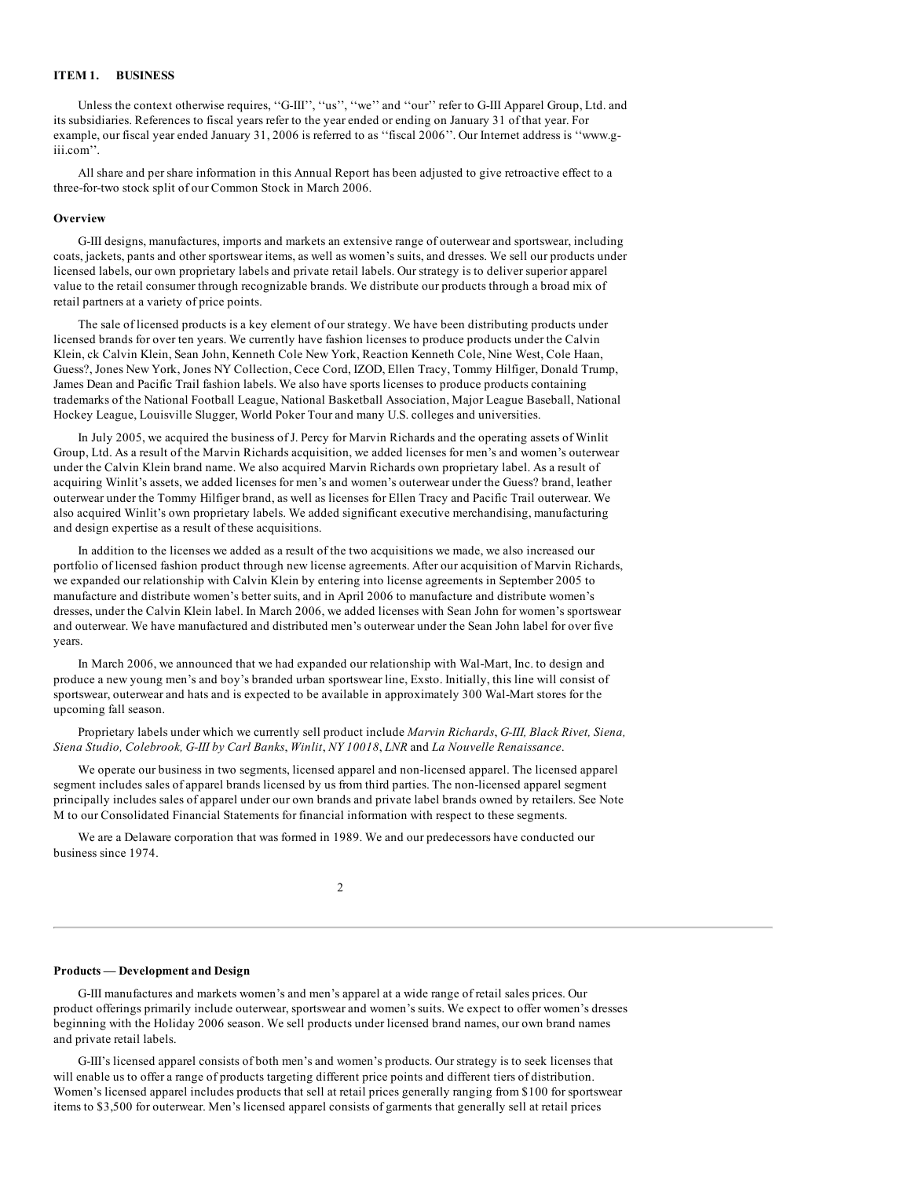## **ITEM 1. BUSINESS**

Unless the context otherwise requires, ''G-III'', ''us'', ''we'' and ''our'' refer to G-III Apparel Group, Ltd. and its subsidiaries. References to fiscal years refer to the year ended or ending on January 31 of that year. For example, our fiscal year ended January 31, 2006 is referred to as ''fiscal 2006''. Our Internet address is ''www.giii.com''.

All share and per share information in this Annual Report has been adjusted to give retroactive effect to a three-for-two stock split of our Common Stock in March 2006.

#### **Overview**

G-III designs, manufactures, imports and markets an extensive range of outerwear and sportswear, including coats, jackets, pants and other sportswear items, as well as women's suits, and dresses. We sell our products under licensed labels, our own proprietary labels and private retail labels. Our strategy is to deliver superior apparel value to the retail consumer through recognizable brands. We distribute our products through a broad mix of retail partners at a variety of price points.

The sale of licensed products is a key element of our strategy. We have been distributing products under licensed brands for over ten years. We currently have fashion licenses to produce products under the Calvin Klein, ck Calvin Klein, Sean John, Kenneth Cole New York, Reaction Kenneth Cole, Nine West, Cole Haan, Guess?, Jones New York, Jones NY Collection, Cece Cord, IZOD, Ellen Tracy, Tommy Hilfiger, Donald Trump, James Dean and Pacific Trail fashion labels. We also have sports licenses to produce products containing trademarks of the National Football League, National Basketball Association, Major League Baseball, National Hockey League, Louisville Slugger, World Poker Tour and many U.S. colleges and universities.

In July 2005, we acquired the business of J. Percy for Marvin Richards and the operating assets of Winlit Group, Ltd. As a result of the Marvin Richards acquisition, we added licenses for men's and women's outerwear under the Calvin Klein brand name. We also acquired Marvin Richards own proprietary label. As a result of acquiring Winlit's assets, we added licenses for men's and women's outerwear under the Guess? brand, leather outerwear under the Tommy Hilfiger brand, as well as licenses for Ellen Tracy and Pacific Trail outerwear. We also acquired Winlit's own proprietary labels. We added significant executive merchandising, manufacturing and design expertise as a result of these acquisitions.

In addition to the licenses we added as a result of the two acquisitions we made, we also increased our portfolio of licensed fashion product through new license agreements. After our acquisition of Marvin Richards, we expanded our relationship with Calvin Klein by entering into license agreements in September 2005 to manufacture and distribute women's better suits, and in April 2006 to manufacture and distribute women's dresses, under the Calvin Klein label. In March 2006, we added licenses with Sean John for women's sportswear and outerwear. We have manufactured and distributed men's outerwear under the Sean John label for over five years.

In March 2006, we announced that we had expanded our relationship with Wal-Mart, Inc. to design and produce a new young men's and boy's branded urban sportswear line, Exsto. Initially, this line will consist of sportswear, outerwear and hats and is expected to be available in approximately 300 Wal-Mart stores for the upcoming fall season.

Proprietary labels under which we currently sell product include *Marvin Richards*, *G-III, Black Rivet, Siena, Siena Studio, Colebrook, G-III by Carl Banks*, *Winlit*, *NY 10018*, *LNR* and *La Nouvelle Renaissance*.

We operate our business in two segments, licensed apparel and non-licensed apparel. The licensed apparel segment includes sales of apparel brands licensed by us from third parties. The non-licensed apparel segment principally includes sales of apparel under our own brands and private label brands owned by retailers. See Note M to our Consolidated Financial Statements for financial information with respect to these segments.

We are a Delaware corporation that was formed in 1989. We and our predecessors have conducted our business since 1974.

2

#### **Products — Development and Design**

G-III manufactures and markets women's and men's apparel at a wide range of retail sales prices. Our product offerings primarily include outerwear, sportswear and women's suits. We expect to offer women's dresses beginning with the Holiday 2006 season. We sell products under licensed brand names, our own brand names and private retail labels.

G-III's licensed apparel consists of both men's and women's products. Our strategy is to seek licenses that will enable us to offer a range of products targeting different price points and different tiers of distribution. Women's licensed apparel includes products that sell at retail prices generally ranging from \$100 for sportswear items to \$3,500 for outerwear. Men's licensed apparel consists of garments that generally sell at retail prices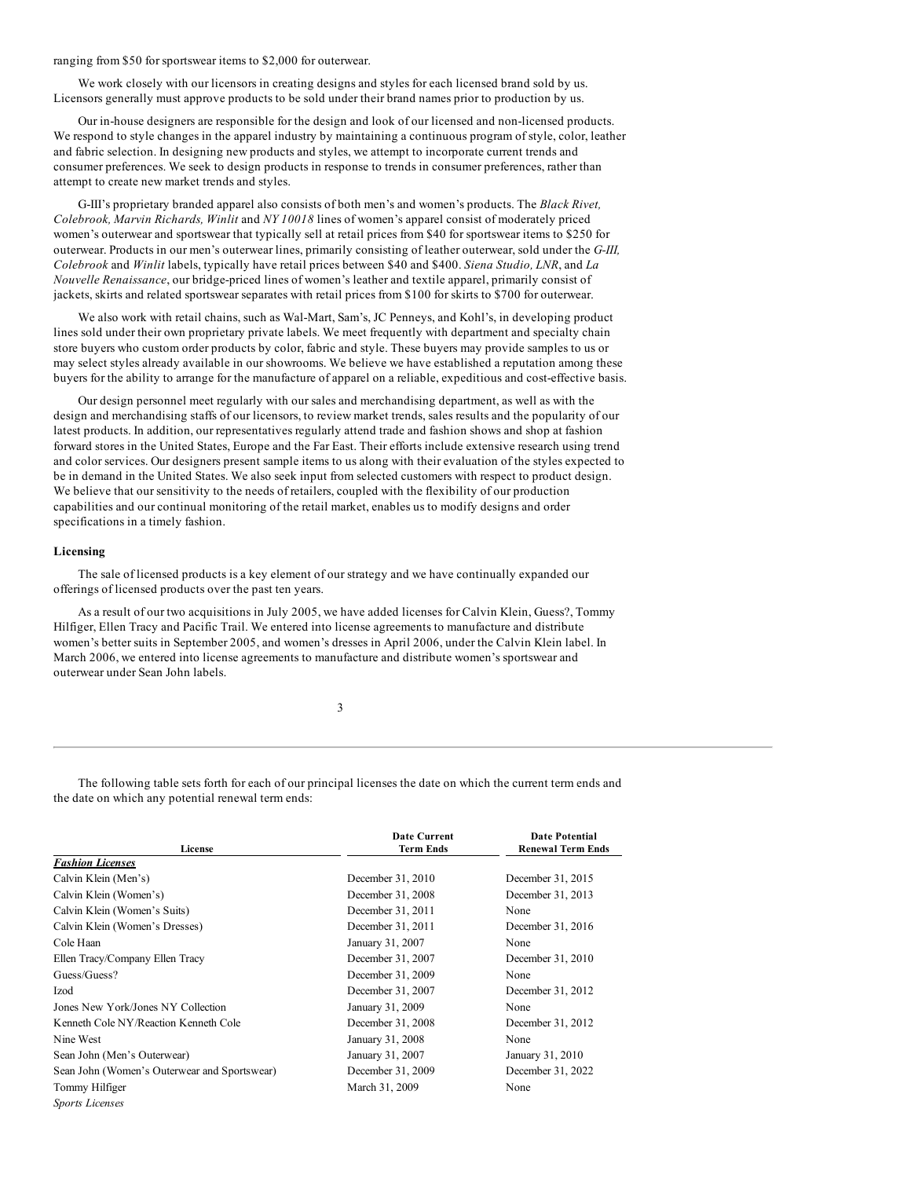ranging from \$50 for sportswear items to \$2,000 for outerwear.

We work closely with our licensors in creating designs and styles for each licensed brand sold by us. Licensors generally must approve products to be sold under their brand names prior to production by us.

Our in-house designers are responsible for the design and look of our licensed and non-licensed products. We respond to style changes in the apparel industry by maintaining a continuous program of style, color, leather and fabric selection. In designing new products and styles, we attempt to incorporate current trends and consumer preferences. We seek to design products in response to trends in consumer preferences, rather than attempt to create new market trends and styles.

G-III's proprietary branded apparel also consists of both men's and women's products. The *Black Rivet, Colebrook, Marvin Richards, Winlit* and *NY 10018* lines of women's apparel consist of moderately priced women's outerwear and sportswear that typically sell at retail prices from \$40 for sportswear items to \$250 for outerwear. Products in our men's outerwear lines, primarily consisting of leather outerwear, sold under the *G-III, Colebrook* and *Winlit* labels, typically have retail prices between \$40 and \$400. *Siena Studio, LNR*, and *La Nouvelle Renaissance*, our bridge-priced lines of women's leather and textile apparel, primarily consist of jackets, skirts and related sportswear separates with retail prices from \$100 for skirts to \$700 for outerwear.

We also work with retail chains, such as Wal-Mart, Sam's, JC Penneys, and Kohl's, in developing product lines sold under their own proprietary private labels. We meet frequently with department and specialty chain store buyers who custom order products by color, fabric and style. These buyers may provide samples to us or may select styles already available in our showrooms. We believe we have established a reputation among these buyers for the ability to arrange for the manufacture of apparel on a reliable, expeditious and cost-effective basis.

Our design personnel meet regularly with our sales and merchandising department, as well as with the design and merchandising staffs of our licensors, to review market trends, sales results and the popularity of our latest products. In addition, our representatives regularly attend trade and fashion shows and shop at fashion forward stores in the United States, Europe and the Far East. Their efforts include extensive research using trend and color services. Our designers present sample items to us along with their evaluation of the styles expected to be in demand in the United States. We also seek input from selected customers with respect to product design. We believe that our sensitivity to the needs of retailers, coupled with the flexibility of our production capabilities and our continual monitoring of the retail market, enables us to modify designs and order specifications in a timely fashion.

#### **Licensing**

The sale of licensed products is a key element of our strategy and we have continually expanded our offerings of licensed products over the past ten years.

As a result of our two acquisitions in July 2005, we have added licenses for Calvin Klein, Guess?, Tommy Hilfiger, Ellen Tracy and Pacific Trail. We entered into license agreements to manufacture and distribute women's better suits in September 2005, and women's dresses in April 2006, under the Calvin Klein label. In March 2006, we entered into license agreements to manufacture and distribute women's sportswear and outerwear under Sean John labels.

3

The following table sets forth for each of our principal licenses the date on which the current term ends and the date on which any potential renewal term ends:

| License                                      | <b>Date Current</b><br><b>Term Ends</b> | <b>Date Potential</b><br><b>Renewal Term Ends</b> |
|----------------------------------------------|-----------------------------------------|---------------------------------------------------|
| <b>Fashion Licenses</b>                      |                                         |                                                   |
| Calvin Klein (Men's)                         | December 31, 2010                       | December 31, 2015                                 |
| Calvin Klein (Women's)                       | December 31, 2008                       | December 31, 2013                                 |
| Calvin Klein (Women's Suits)                 | December 31, 2011                       | None                                              |
| Calvin Klein (Women's Dresses)               | December 31, 2011                       | December 31, 2016                                 |
| Cole Haan                                    | January 31, 2007                        | None                                              |
| Ellen Tracy/Company Ellen Tracy              | December 31, 2007                       | December 31, 2010                                 |
| Guess/Guess?                                 | December 31, 2009                       | None                                              |
| Izod                                         | December 31, 2007                       | December 31, 2012                                 |
| Jones New York/Jones NY Collection           | January 31, 2009                        | None                                              |
| Kenneth Cole NY/Reaction Kenneth Cole        | December 31, 2008                       | December 31, 2012                                 |
| Nine West                                    | January 31, 2008                        | None                                              |
| Sean John (Men's Outerwear)                  | January 31, 2007                        | January 31, 2010                                  |
| Sean John (Women's Outerwear and Sportswear) | December 31, 2009                       | December 31, 2022                                 |
| Tommy Hilfiger                               | March 31, 2009                          | None                                              |
| <b>Sports Licenses</b>                       |                                         |                                                   |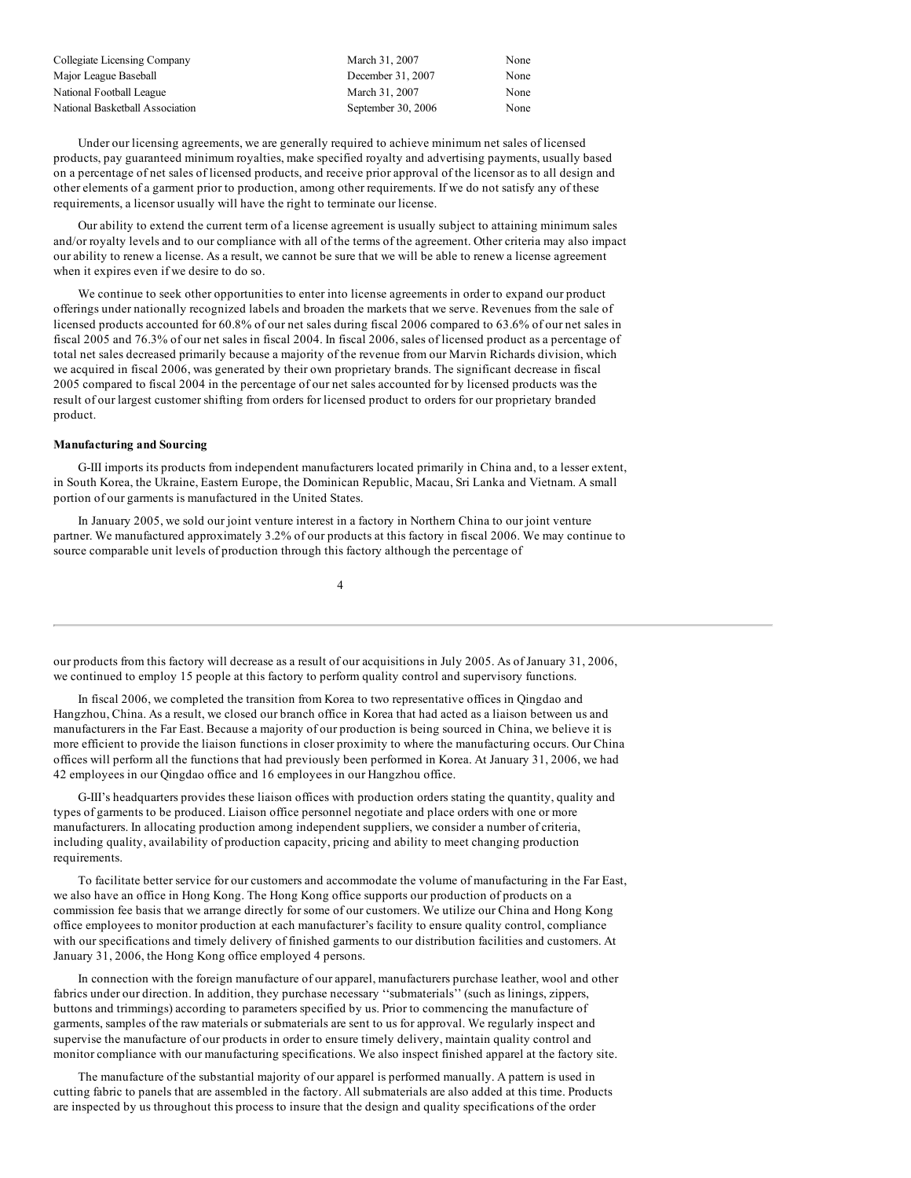| Collegiate Licensing Company    | March 31, 2007     | None |
|---------------------------------|--------------------|------|
| Major League Baseball           | December 31, 2007  | None |
| National Football League        | March 31, 2007     | None |
| National Basketball Association | September 30, 2006 | None |

Under our licensing agreements, we are generally required to achieve minimum net sales of licensed products, pay guaranteed minimum royalties, make specified royalty and advertising payments, usually based on a percentage of net sales of licensed products, and receive prior approval of the licensor as to all design and other elements of a garment prior to production, among other requirements. If we do not satisfy any of these requirements, a licensor usually will have the right to terminate our license.

Our ability to extend the current term of a license agreement is usually subject to attaining minimum sales and/or royalty levels and to our compliance with all of the terms of the agreement. Other criteria may also impact our ability to renew a license. As a result, we cannot be sure that we will be able to renew a license agreement when it expires even if we desire to do so.

We continue to seek other opportunities to enter into license agreements in order to expand our product offerings under nationally recognized labels and broaden the markets that we serve. Revenues from the sale of licensed products accounted for 60.8% of our net sales during fiscal 2006 compared to 63.6% of our net sales in fiscal 2005 and 76.3% of our net sales in fiscal 2004. In fiscal 2006, sales of licensed product as a percentage of total net sales decreased primarily because a majority of the revenue from our Marvin Richards division, which we acquired in fiscal 2006, was generated by their own proprietary brands. The significant decrease in fiscal 2005 compared to fiscal 2004 in the percentage of our net sales accounted for by licensed products was the result of our largest customer shifting from orders for licensed product to orders for our proprietary branded product.

#### **Manufacturing and Sourcing**

G-III imports its products from independent manufacturers located primarily in China and, to a lesser extent, in South Korea, the Ukraine, Eastern Europe, the Dominican Republic, Macau, Sri Lanka and Vietnam. A small portion of our garments is manufactured in the United States.

In January 2005, we sold our joint venture interest in a factory in Northern China to our joint venture partner. We manufactured approximately 3.2% of our products at this factory in fiscal 2006. We may continue to source comparable unit levels of production through this factory although the percentage of

4

our products from this factory will decrease as a result of our acquisitions in July 2005. As of January 31, 2006, we continued to employ 15 people at this factory to perform quality control and supervisory functions.

In fiscal 2006, we completed the transition from Korea to two representative offices in Qingdao and Hangzhou, China. As a result, we closed our branch office in Korea that had acted as a liaison between us and manufacturers in the Far East. Because a majority of our production is being sourced in China, we believe it is more efficient to provide the liaison functions in closer proximity to where the manufacturing occurs. Our China offices will perform all the functions that had previously been performed in Korea. At January 31, 2006, we had 42 employees in our Qingdao office and 16 employees in our Hangzhou office.

G-III's headquarters provides these liaison offices with production orders stating the quantity, quality and types of garments to be produced. Liaison office personnel negotiate and place orders with one or more manufacturers. In allocating production among independent suppliers, we consider a number of criteria, including quality, availability of production capacity, pricing and ability to meet changing production requirements.

To facilitate better service for our customers and accommodate the volume of manufacturing in the Far East, we also have an office in Hong Kong. The Hong Kong office supports our production of products on a commission fee basis that we arrange directly for some of our customers. We utilize our China and Hong Kong office employees to monitor production at each manufacturer's facility to ensure quality control, compliance with our specifications and timely delivery of finished garments to our distribution facilities and customers. At January 31, 2006, the Hong Kong office employed 4 persons.

In connection with the foreign manufacture of our apparel, manufacturers purchase leather, wool and other fabrics under our direction. In addition, they purchase necessary ''submaterials'' (such as linings, zippers, buttons and trimmings) according to parameters specified by us. Prior to commencing the manufacture of garments, samples of the raw materials or submaterials are sent to us for approval. We regularly inspect and supervise the manufacture of our products in order to ensure timely delivery, maintain quality control and monitor compliance with our manufacturing specifications. We also inspect finished apparel at the factory site.

The manufacture of the substantial majority of our apparel is performed manually. A pattern is used in cutting fabric to panels that are assembled in the factory. All submaterials are also added at this time. Products are inspected by us throughout this process to insure that the design and quality specifications of the order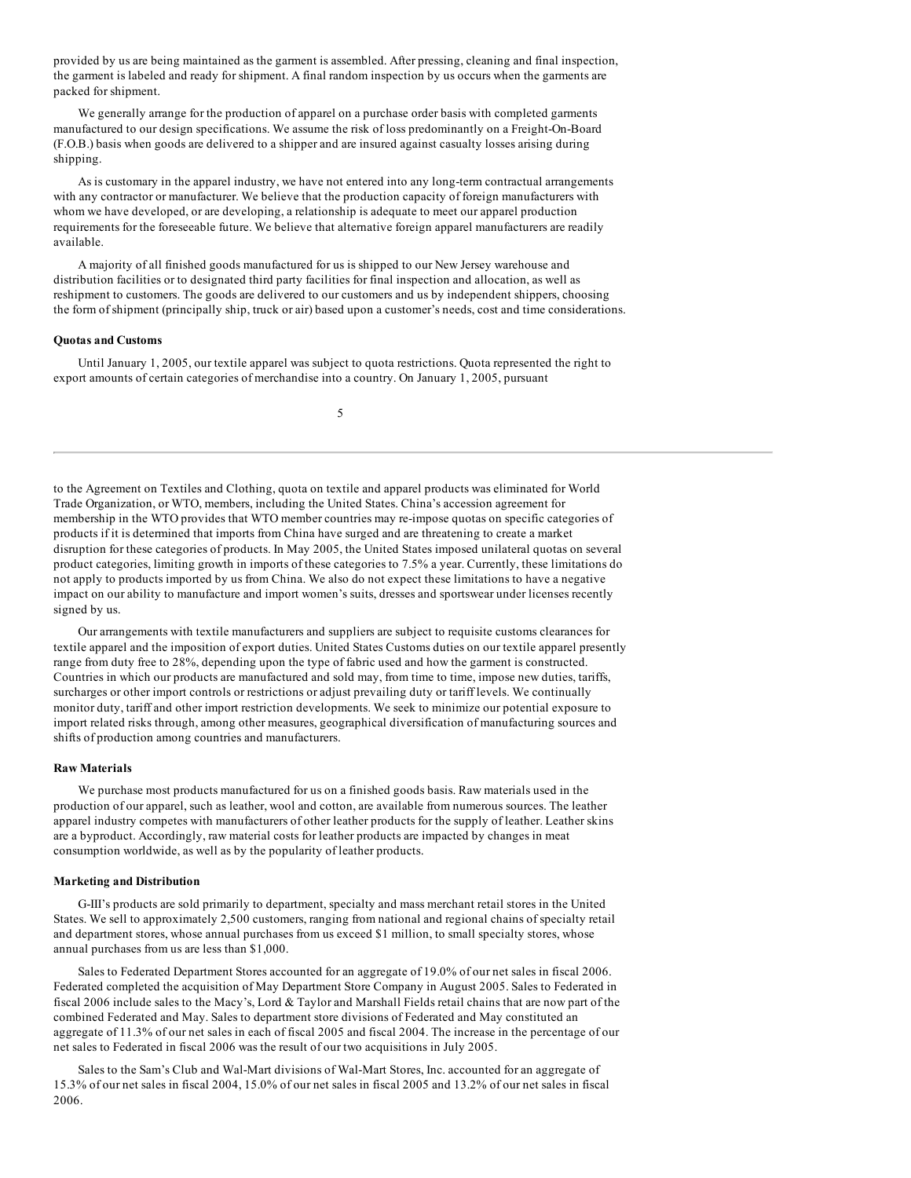provided by us are being maintained as the garment is assembled. After pressing, cleaning and final inspection, the garment is labeled and ready for shipment. A final random inspection by us occurs when the garments are packed for shipment.

We generally arrange for the production of apparel on a purchase order basis with completed garments manufactured to our design specifications. We assume the risk of loss predominantly on a Freight-On-Board (F.O.B.) basis when goods are delivered to a shipper and are insured against casualty losses arising during shipping.

As is customary in the apparel industry, we have not entered into any long-term contractual arrangements with any contractor or manufacturer. We believe that the production capacity of foreign manufacturers with whom we have developed, or are developing, a relationship is adequate to meet our apparel production requirements for the foreseeable future. We believe that alternative foreign apparel manufacturers are readily available.

A majority of all finished goods manufactured for us is shipped to our New Jersey warehouse and distribution facilities or to designated third party facilities for final inspection and allocation, as well as reshipment to customers. The goods are delivered to our customers and us by independent shippers, choosing the form of shipment (principally ship, truck or air) based upon a customer's needs, cost and time considerations.

#### **Quotas and Customs**

Until January 1, 2005, our textile apparel was subject to quota restrictions. Quota represented the right to export amounts of certain categories of merchandise into a country. On January 1, 2005, pursuant

5

to the Agreement on Textiles and Clothing, quota on textile and apparel products was eliminated for World Trade Organization, or WTO, members, including the United States. China's accession agreement for membership in the WTO provides that WTO member countries may re-impose quotas on specific categories of products if it is determined that imports from China have surged and are threatening to create a market disruption for these categories of products. In May 2005, the United States imposed unilateral quotas on several product categories, limiting growth in imports of these categories to 7.5% a year. Currently, these limitations do not apply to products imported by us from China. We also do not expect these limitations to have a negative impact on our ability to manufacture and import women's suits, dresses and sportswear under licenses recently signed by us.

Our arrangements with textile manufacturers and suppliers are subject to requisite customs clearances for textile apparel and the imposition of export duties. United States Customs duties on our textile apparel presently range from duty free to 28%, depending upon the type of fabric used and how the garment is constructed. Countries in which our products are manufactured and sold may, from time to time, impose new duties, tariffs, surcharges or other import controls or restrictions or adjust prevailing duty or tariff levels. We continually monitor duty, tariff and other import restriction developments. We seek to minimize our potential exposure to import related risks through, among other measures, geographical diversification of manufacturing sources and shifts of production among countries and manufacturers.

#### **Raw Materials**

We purchase most products manufactured for us on a finished goods basis. Raw materials used in the production of our apparel, such as leather, wool and cotton, are available from numerous sources. The leather apparel industry competes with manufacturers of other leather products for the supply of leather. Leather skins are a byproduct. Accordingly, raw material costs for leather products are impacted by changes in meat consumption worldwide, as well as by the popularity of leather products.

#### **Marketing and Distribution**

G-III's products are sold primarily to department, specialty and mass merchant retail stores in the United States. We sell to approximately 2,500 customers, ranging from national and regional chains of specialty retail and department stores, whose annual purchases from us exceed \$1 million, to small specialty stores, whose annual purchases from us are less than \$1,000.

Sales to Federated Department Stores accounted for an aggregate of 19.0% of our net sales in fiscal 2006. Federated completed the acquisition of May Department Store Company in August 2005. Sales to Federated in fiscal 2006 include sales to the Macy's, Lord & Taylor and Marshall Fields retail chains that are now part of the combined Federated and May. Sales to department store divisions of Federated and May constituted an aggregate of 11.3% of our net sales in each of fiscal 2005 and fiscal 2004. The increase in the percentage of our net sales to Federated in fiscal 2006 was the result of our two acquisitions in July 2005.

Sales to the Sam's Club and Wal-Mart divisions of Wal-Mart Stores, Inc. accounted for an aggregate of 15.3% of our net sales in fiscal 2004, 15.0% of our net sales in fiscal 2005 and 13.2% of our net sales in fiscal 2006.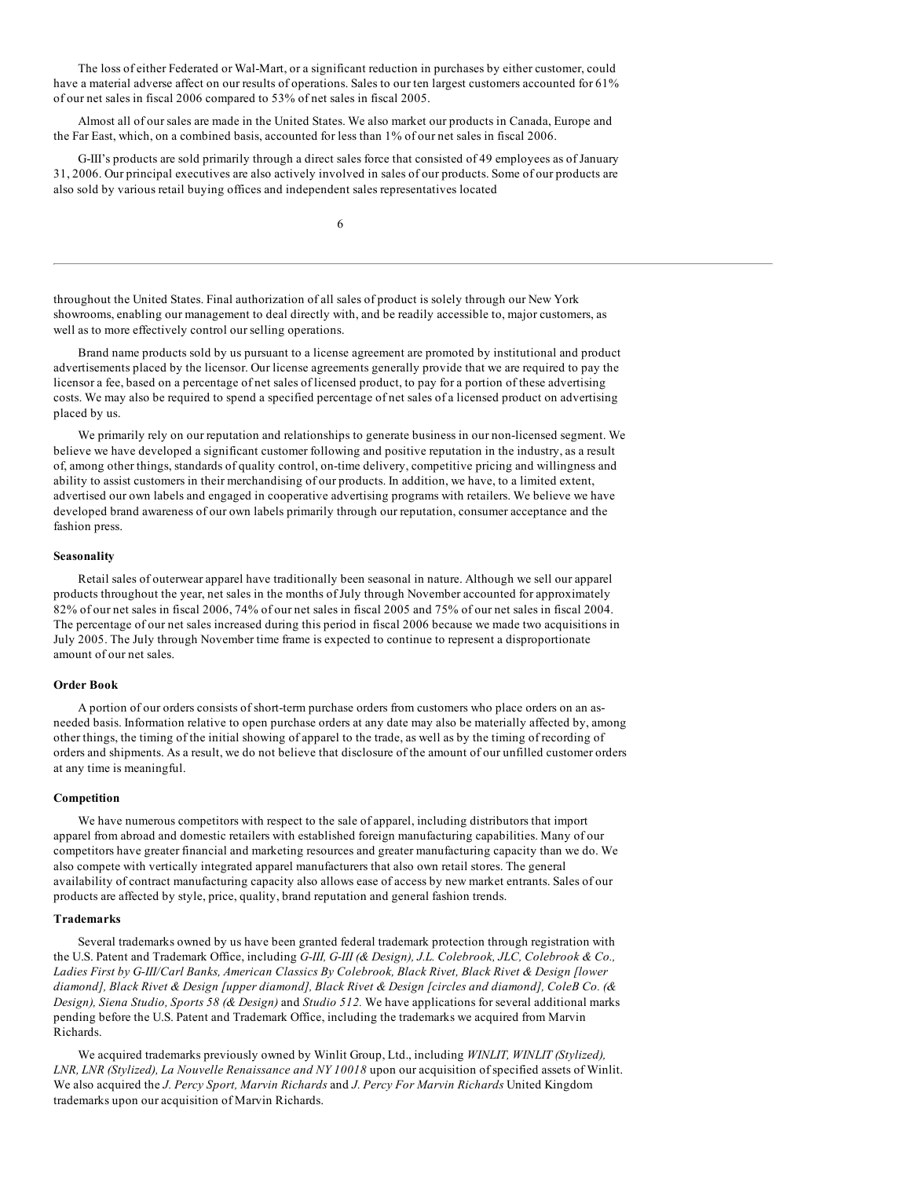The loss of either Federated or Wal-Mart, or a significant reduction in purchases by either customer, could have a material adverse affect on our results of operations. Sales to our ten largest customers accounted for 61% of our net sales in fiscal 2006 compared to 53% of net sales in fiscal 2005.

Almost all of our sales are made in the United States. We also market our products in Canada, Europe and the Far East, which, on a combined basis, accounted for less than 1% of our net sales in fiscal 2006.

G-III's products are sold primarily through a direct sales force that consisted of 49 employees as of January 31, 2006. Our principal executives are also actively involved in sales of our products. Some of our products are also sold by various retail buying offices and independent sales representatives located

6

throughout the United States. Final authorization of all sales of product is solely through our New York showrooms, enabling our management to deal directly with, and be readily accessible to, major customers, as well as to more effectively control our selling operations.

Brand name products sold by us pursuant to a license agreement are promoted by institutional and product advertisements placed by the licensor. Our license agreements generally provide that we are required to pay the licensor a fee, based on a percentage of net sales of licensed product, to pay for a portion of these advertising costs. We may also be required to spend a specified percentage of net sales of a licensed product on advertising placed by us.

We primarily rely on our reputation and relationships to generate business in our non-licensed segment. We believe we have developed a significant customer following and positive reputation in the industry, as a result of, among other things, standards of quality control, on-time delivery, competitive pricing and willingness and ability to assist customers in their merchandising of our products. In addition, we have, to a limited extent, advertised our own labels and engaged in cooperative advertising programs with retailers. We believe we have developed brand awareness of our own labels primarily through our reputation, consumer acceptance and the fashion press.

#### **Seasonality**

Retail sales of outerwear apparel have traditionally been seasonal in nature. Although we sell our apparel products throughout the year, net sales in the months of July through November accounted for approximately 82% of our net sales in fiscal 2006, 74% of our net sales in fiscal 2005 and 75% of our net sales in fiscal 2004. The percentage of our net sales increased during this period in fiscal 2006 because we made two acquisitions in July 2005. The July through November time frame is expected to continue to represent a disproportionate amount of our net sales.

## **Order Book**

A portion of our orders consists of short-term purchase orders from customers who place orders on an asneeded basis. Information relative to open purchase orders at any date may also be materially affected by, among other things, the timing of the initial showing of apparel to the trade, as well as by the timing of recording of orders and shipments. As a result, we do not believe that disclosure of the amount of our unfilled customer orders at any time is meaningful.

### **Competition**

We have numerous competitors with respect to the sale of apparel, including distributors that import apparel from abroad and domestic retailers with established foreign manufacturing capabilities. Many of our competitors have greater financial and marketing resources and greater manufacturing capacity than we do. We also compete with vertically integrated apparel manufacturers that also own retail stores. The general availability of contract manufacturing capacity also allows ease of access by new market entrants. Sales of our products are affected by style, price, quality, brand reputation and general fashion trends.

#### **Trademarks**

Several trademarks owned by us have been granted federal trademark protection through registration with the U.S. Patent and Trademark Office, including *G-III, G-III (& Design), J.L. Colebrook, JLC, Colebrook & Co., Ladies First by G-III/Carl Banks, American Classics By Colebrook, Black Rivet, Black Rivet & Design [lower diamond], Black Rivet & Design [upper diamond], Black Rivet & Design [circles and diamond], ColeB Co. (& Design), Siena Studio, Sports 58 (& Design)* and *Studio 512.* We have applications for several additional marks pending before the U.S. Patent and Trademark Office, including the trademarks we acquired from Marvin Richards.

We acquired trademarks previously owned by Winlit Group, Ltd., including *WINLIT, WINLIT (Stylized), LNR, LNR (Stylized), La Nouvelle Renaissance and NY 10018* upon our acquisition of specified assets of Winlit. We also acquired the *J. Percy Sport, Marvin Richards* and *J. Percy For Marvin Richards* United Kingdom trademarks upon our acquisition of Marvin Richards.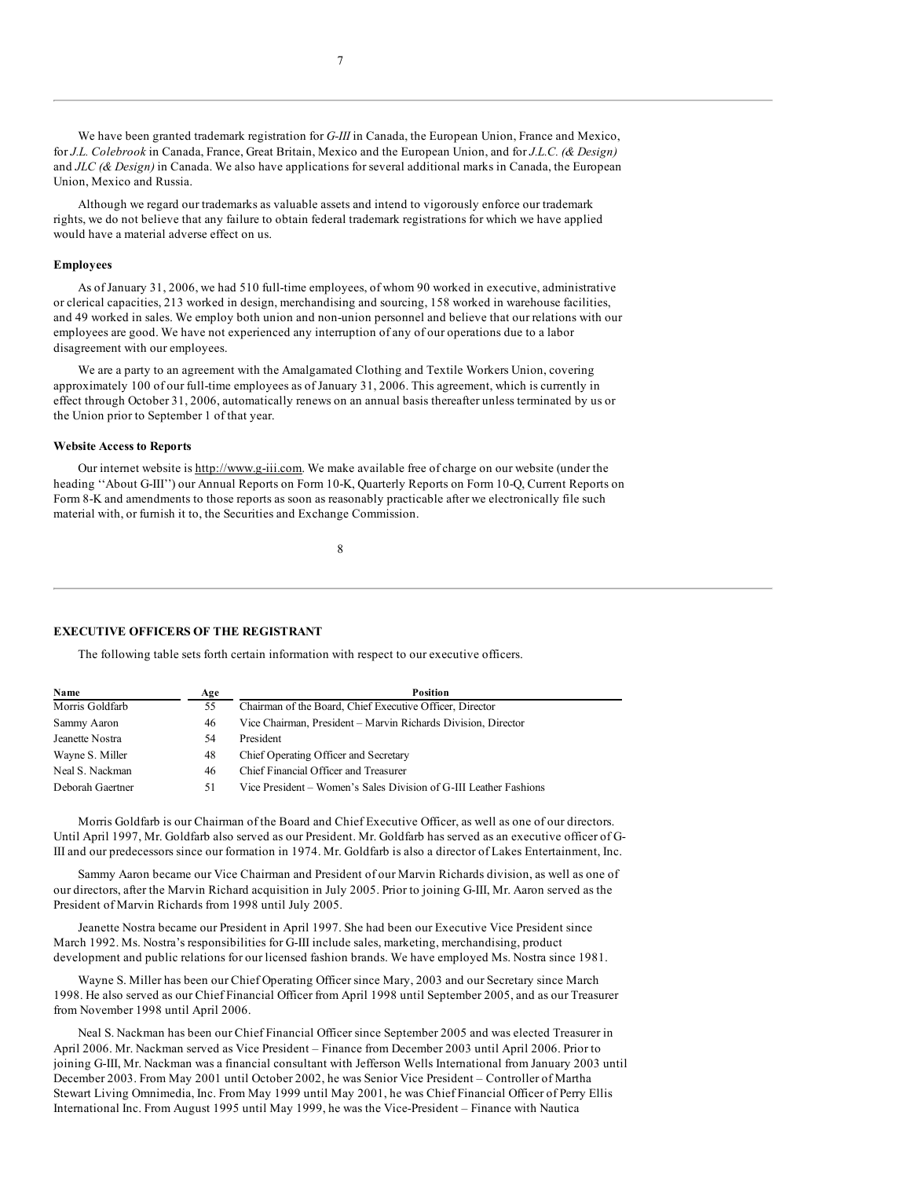We have been granted trademark registration for *G-III* in Canada, the European Union, France and Mexico, for *J.L. Colebrook* in Canada, France, Great Britain, Mexico and the European Union, and for *J.L.C. (& Design)* and *JLC (& Design)* in Canada. We also have applications for several additional marks in Canada, the European Union, Mexico and Russia.

Although we regard our trademarks as valuable assets and intend to vigorously enforce our trademark rights, we do not believe that any failure to obtain federal trademark registrations for which we have applied would have a material adverse effect on us.

#### **Employees**

As of January 31, 2006, we had 510 full-time employees, of whom 90 worked in executive, administrative or clerical capacities, 213 worked in design, merchandising and sourcing, 158 worked in warehouse facilities, and 49 worked in sales. We employ both union and non-union personnel and believe that our relations with our employees are good. We have not experienced any interruption of any of our operations due to a labor disagreement with our employees.

We are a party to an agreement with the Amalgamated Clothing and Textile Workers Union, covering approximately 100 of our full-time employees as of January 31, 2006. This agreement, which is currently in effect through October 31, 2006, automatically renews on an annual basis thereafter unless terminated by us or the Union prior to September 1 of that year.

#### **Website Access to Reports**

Our internet website is http://www.g-iii.com. We make available free of charge on our website (under the heading ''About G-III'') our Annual Reports on Form 10-K, Quarterly Reports on Form 10-Q, Current Reports on Form 8-K and amendments to those reports as soon as reasonably practicable after we electronically file such material with, or furnish it to, the Securities and Exchange Commission.

8

#### **EXECUTIVE OFFICERS OF THE REGISTRANT**

The following table sets forth certain information with respect to our executive officers.

| Name             | Age | Position                                                          |
|------------------|-----|-------------------------------------------------------------------|
| Morris Goldfarb  | 55  | Chairman of the Board, Chief Executive Officer, Director          |
| Sammy Aaron      | 46  | Vice Chairman, President - Marvin Richards Division, Director     |
| Jeanette Nostra  | 54  | President                                                         |
| Wayne S. Miller  | 48  | Chief Operating Officer and Secretary                             |
| Neal S. Nackman  | 46  | Chief Financial Officer and Treasurer                             |
| Deborah Gaertner | 51  | Vice President – Women's Sales Division of G-III Leather Fashions |

Morris Goldfarb is our Chairman of the Board and Chief Executive Officer, as well as one of our directors. Until April 1997, Mr. Goldfarb also served as our President. Mr. Goldfarb has served as an executive officer of G-III and our predecessors since our formation in 1974. Mr. Goldfarb is also a director of Lakes Entertainment, Inc.

Sammy Aaron became our Vice Chairman and President of our Marvin Richards division, as well as one of our directors, after the Marvin Richard acquisition in July 2005. Prior to joining G-III, Mr. Aaron served as the President of Marvin Richards from 1998 until July 2005.

Jeanette Nostra became our President in April 1997. She had been our Executive Vice President since March 1992. Ms. Nostra's responsibilities for G-III include sales, marketing, merchandising, product development and public relations for our licensed fashion brands. We have employed Ms. Nostra since 1981.

Wayne S. Miller has been our Chief Operating Officer since Mary, 2003 and our Secretary since March 1998. He also served as our Chief Financial Officer from April 1998 until September 2005, and as our Treasurer from November 1998 until April 2006.

Neal S. Nackman has been our Chief Financial Officer since September 2005 and was elected Treasurer in April 2006. Mr. Nackman served as Vice President – Finance from December 2003 until April 2006. Prior to joining G-III, Mr. Nackman was a financial consultant with Jefferson Wells International from January 2003 until December 2003. From May 2001 until October 2002, he was Senior Vice President – Controller of Martha Stewart Living Omnimedia, Inc. From May 1999 until May 2001, he was Chief Financial Officer of Perry Ellis International Inc. From August 1995 until May 1999, he was the Vice-President – Finance with Nautica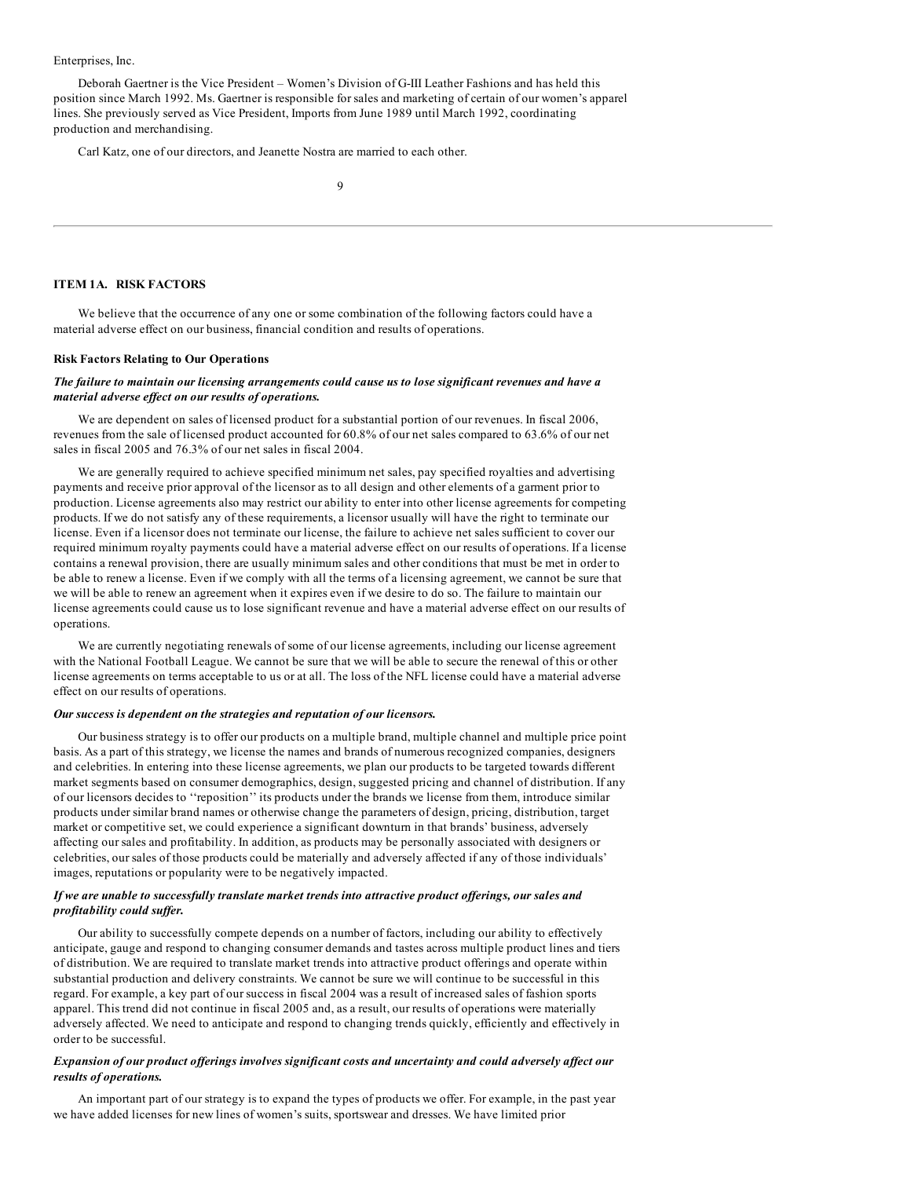#### Enterprises, Inc.

Deborah Gaertner is the Vice President – Women's Division of G-III Leather Fashions and has held this position since March 1992. Ms. Gaertner is responsible for sales and marketing of certain of our women's apparel lines. She previously served as Vice President, Imports from June 1989 until March 1992, coordinating production and merchandising.

Carl Katz, one of our directors, and Jeanette Nostra are married to each other.

 $\alpha$ 

## **ITEM 1A. RISK FACTORS**

We believe that the occurrence of any one or some combination of the following factors could have a material adverse effect on our business, financial condition and results of operations.

#### **Risk Factors Relating to Our Operations**

## *The failure to maintain our licensing arrangements could cause us to lose significant revenues and have a material adverse ef ect on our results of operations.*

We are dependent on sales of licensed product for a substantial portion of our revenues. In fiscal 2006, revenues from the sale of licensed product accounted for 60.8% of our net sales compared to 63.6% of our net sales in fiscal 2005 and 76.3% of our net sales in fiscal 2004.

We are generally required to achieve specified minimum net sales, pay specified royalties and advertising payments and receive prior approval of the licensor as to all design and other elements of a garment prior to production. License agreements also may restrict our ability to enter into other license agreements for competing products. If we do not satisfy any of these requirements, a licensor usually will have the right to terminate our license. Even if a licensor does not terminate our license, the failure to achieve net sales sufficient to cover our required minimum royalty payments could have a material adverse effect on our results of operations. If a license contains a renewal provision, there are usually minimum sales and other conditions that must be met in order to be able to renew a license. Even if we comply with all the terms of a licensing agreement, we cannot be sure that we will be able to renew an agreement when it expires even if we desire to do so. The failure to maintain our license agreements could cause us to lose significant revenue and have a material adverse effect on our results of operations.

We are currently negotiating renewals of some of our license agreements, including our license agreement with the National Football League. We cannot be sure that we will be able to secure the renewal of this or other license agreements on terms acceptable to us or at all. The loss of the NFL license could have a material adverse effect on our results of operations.

#### *Our success is dependent on the strategies and reputation of our licensors.*

Our business strategy is to offer our products on a multiple brand, multiple channel and multiple price point basis. As a part of this strategy, we license the names and brands of numerous recognized companies, designers and celebrities. In entering into these license agreements, we plan our products to be targeted towards different market segments based on consumer demographics, design, suggested pricing and channel of distribution. If any of our licensors decides to ''reposition'' its products under the brands we license from them, introduce similar products under similar brand names or otherwise change the parameters of design, pricing, distribution, target market or competitive set, we could experience a significant downturn in that brands' business, adversely affecting our sales and profitability. In addition, as products may be personally associated with designers or celebrities, our sales of those products could be materially and adversely affected if any of those individuals' images, reputations or popularity were to be negatively impacted.

### *If we are unable to successfully translate market trends into attractive product of erings, our sales and*  $profitability$  *could suffer.*

Our ability to successfully compete depends on a number of factors, including our ability to effectively anticipate, gauge and respond to changing consumer demands and tastes across multiple product lines and tiers of distribution. We are required to translate market trends into attractive product offerings and operate within substantial production and delivery constraints. We cannot be sure we will continue to be successful in this regard. For example, a key part of our success in fiscal 2004 was a result of increased sales of fashion sports apparel. This trend did not continue in fiscal 2005 and, as a result, our results of operations were materially adversely affected. We need to anticipate and respond to changing trends quickly, efficiently and effectively in order to be successful.

## Expansion of our product offerings involves significant costs and uncertainty and could adversely affect our *results of operations.*

An important part of our strategy is to expand the types of products we offer. For example, in the past year we have added licenses for new lines of women's suits, sportswear and dresses. We have limited prior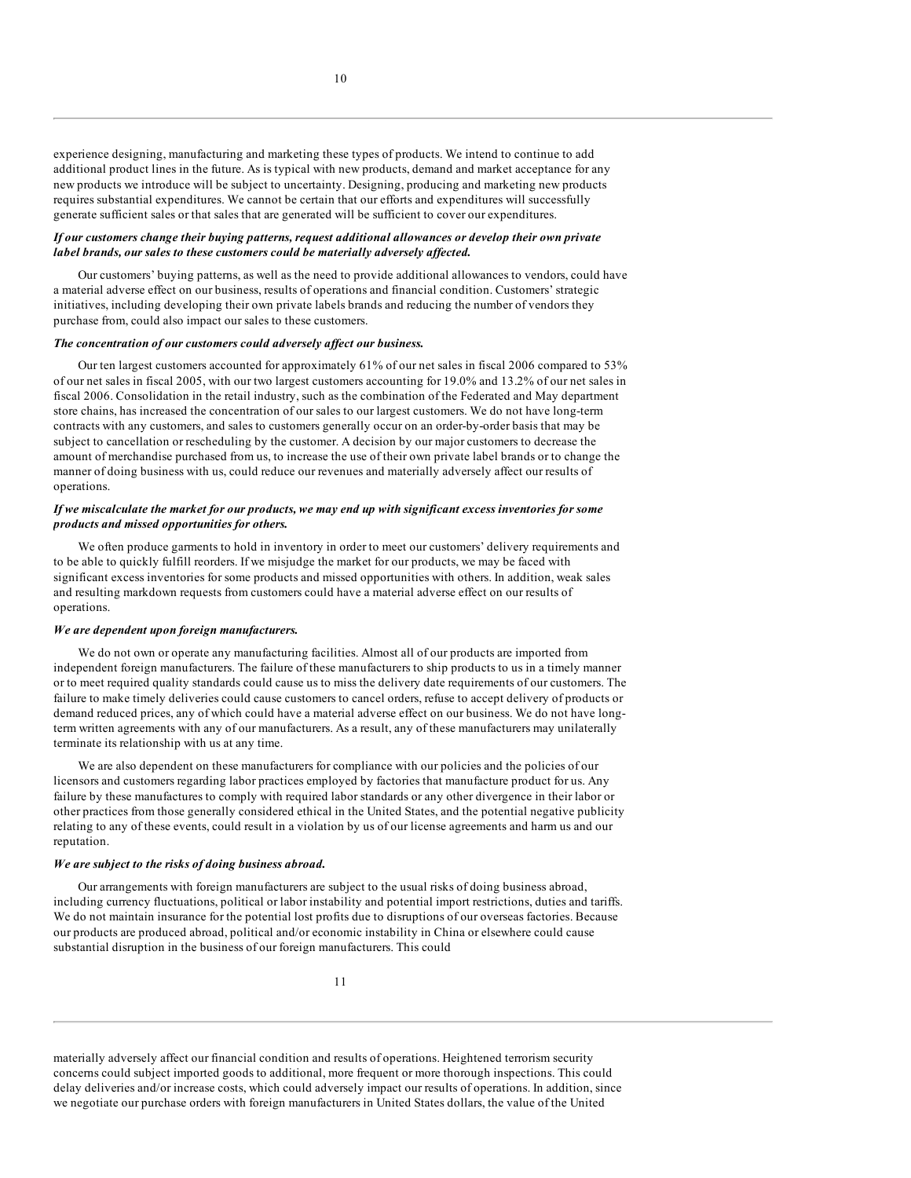experience designing, manufacturing and marketing these types of products. We intend to continue to add additional product lines in the future. As is typical with new products, demand and market acceptance for any new products we introduce will be subject to uncertainty. Designing, producing and marketing new products requires substantial expenditures. We cannot be certain that our efforts and expenditures will successfully generate sufficient sales or that sales that are generated will be sufficient to cover our expenditures.

## *If our customers change their buying patterns, request additional allowances or develop their own private label brands, our sales to these customers could be materially adversely af ected.*

Our customers' buying patterns, as well as the need to provide additional allowances to vendors, could have a material adverse effect on our business, results of operations and financial condition. Customers' strategic initiatives, including developing their own private labels brands and reducing the number of vendors they purchase from, could also impact our sales to these customers.

## *The concentration of our customers could adversely af ect our business.*

Our ten largest customers accounted for approximately 61% of our net sales in fiscal 2006 compared to 53% of our net sales in fiscal 2005, with our two largest customers accounting for 19.0% and 13.2% of our net sales in fiscal 2006. Consolidation in the retail industry, such as the combination of the Federated and May department store chains, has increased the concentration of our sales to our largest customers. We do not have long-term contracts with any customers, and sales to customers generally occur on an order-by-order basis that may be subject to cancellation or rescheduling by the customer. A decision by our major customers to decrease the amount of merchandise purchased from us, to increase the use of their own private label brands or to change the manner of doing business with us, could reduce our revenues and materially adversely affect our results of operations.

## If we miscalculate the market for our products, we may end up with significant excess inventories for some *products and missed opportunities for others.*

We often produce garments to hold in inventory in order to meet our customers' delivery requirements and to be able to quickly fulfill reorders. If we misjudge the market for our products, we may be faced with significant excess inventories for some products and missed opportunities with others. In addition, weak sales and resulting markdown requests from customers could have a material adverse effect on our results of operations.

## *We are dependent upon foreign manufacturers.*

We do not own or operate any manufacturing facilities. Almost all of our products are imported from independent foreign manufacturers. The failure of these manufacturers to ship products to us in a timely manner or to meet required quality standards could cause us to miss the delivery date requirements of our customers. The failure to make timely deliveries could cause customers to cancel orders, refuse to accept delivery of products or demand reduced prices, any of which could have a material adverse effect on our business. We do not have longterm written agreements with any of our manufacturers. As a result, any of these manufacturers may unilaterally terminate its relationship with us at any time.

We are also dependent on these manufacturers for compliance with our policies and the policies of our licensors and customers regarding labor practices employed by factories that manufacture product for us. Any failure by these manufactures to comply with required labor standards or any other divergence in their labor or other practices from those generally considered ethical in the United States, and the potential negative publicity relating to any of these events, could result in a violation by us of our license agreements and harm us and our reputation.

#### *We are subject to the risks of doing business abroad.*

Our arrangements with foreign manufacturers are subject to the usual risks of doing business abroad, including currency fluctuations, political or labor instability and potential import restrictions, duties and tariffs. We do not maintain insurance for the potential lost profits due to disruptions of our overseas factories. Because our products are produced abroad, political and/or economic instability in China or elsewhere could cause substantial disruption in the business of our foreign manufacturers. This could

materially adversely affect our financial condition and results of operations. Heightened terrorism security concerns could subject imported goods to additional, more frequent or more thorough inspections. This could delay deliveries and/or increase costs, which could adversely impact our results of operations. In addition, since we negotiate our purchase orders with foreign manufacturers in United States dollars, the value of the United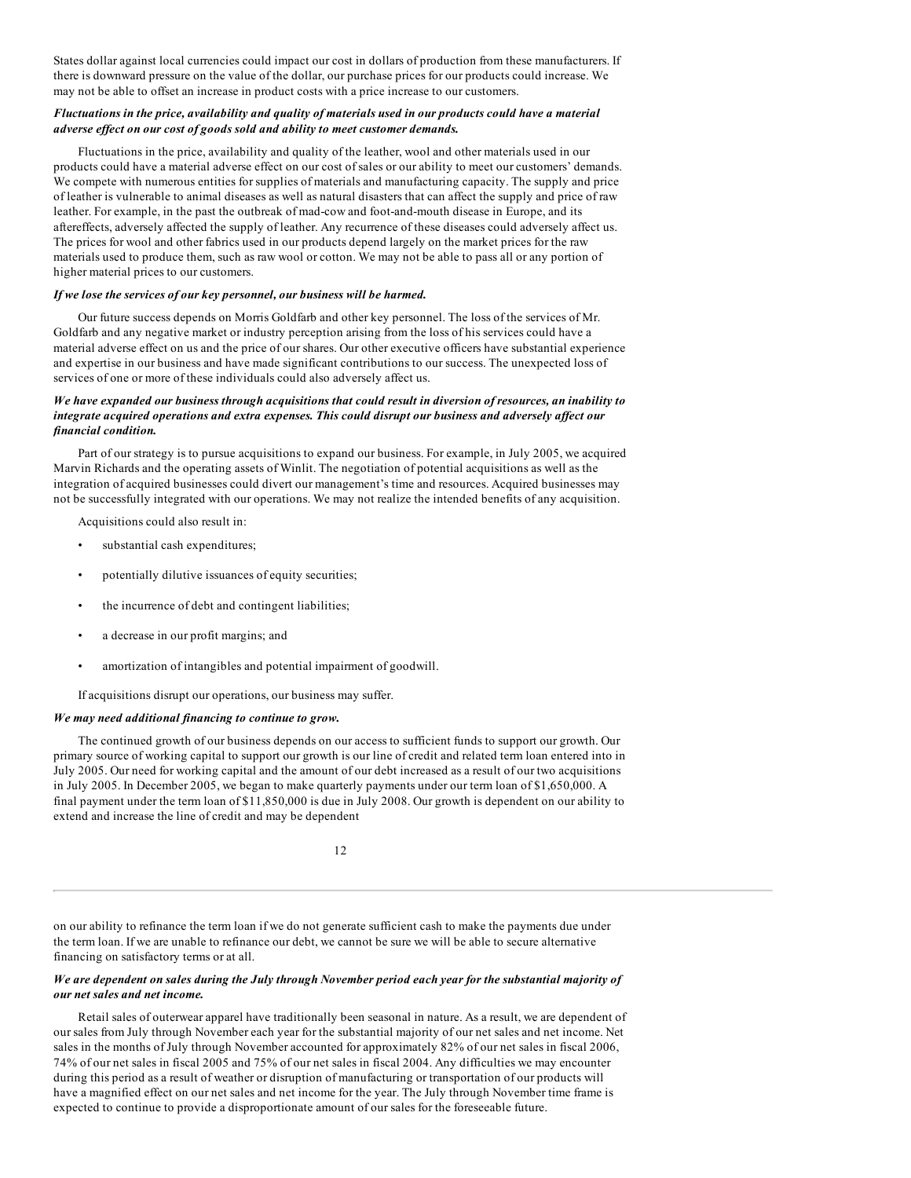States dollar against local currencies could impact our cost in dollars of production from these manufacturers. If there is downward pressure on the value of the dollar, our purchase prices for our products could increase. We may not be able to offset an increase in product costs with a price increase to our customers.

## Fluctuations in the price, availability and quality of materials used in our products could have a material *adverse ef ect on our cost of goods sold and ability to meet customer demands.*

Fluctuations in the price, availability and quality of the leather, wool and other materials used in our products could have a material adverse effect on our cost of sales or our ability to meet our customers' demands. We compete with numerous entities for supplies of materials and manufacturing capacity. The supply and price of leather is vulnerable to animal diseases as well as natural disasters that can affect the supply and price of raw leather. For example, in the past the outbreak of mad-cow and foot-and-mouth disease in Europe, and its aftereffects, adversely affected the supply of leather. Any recurrence of these diseases could adversely affect us. The prices for wool and other fabrics used in our products depend largely on the market prices for the raw materials used to produce them, such as raw wool or cotton. We may not be able to pass all or any portion of higher material prices to our customers.

## *If we lose the services of our key personnel, our business will be harmed.*

Our future success depends on Morris Goldfarb and other key personnel. The loss of the services of Mr. Goldfarb and any negative market or industry perception arising from the loss of his services could have a material adverse effect on us and the price of our shares. Our other executive officers have substantial experience and expertise in our business and have made significant contributions to our success. The unexpected loss of services of one or more of these individuals could also adversely affect us.

## We have expanded our business through acquisitions that could result in diversion of resources, an inability to *integrate acquired operations and extra expenses. This could disrupt our business and adversely af ect our financial condition.*

Part of our strategy is to pursue acquisitions to expand our business. For example, in July 2005, we acquired Marvin Richards and the operating assets of Winlit. The negotiation of potential acquisitions as well as the integration of acquired businesses could divert our management's time and resources. Acquired businesses may not be successfully integrated with our operations. We may not realize the intended benefits of any acquisition.

Acquisitions could also result in:

- substantial cash expenditures;
- potentially dilutive issuances of equity securities;
- the incurrence of debt and contingent liabilities;
- a decrease in our profit margins; and
- amortization of intangibles and potential impairment of goodwill.

If acquisitions disrupt our operations, our business may suffer.

#### *We may need additional financing to continue to grow.*

The continued growth of our business depends on our access to sufficient funds to support our growth. Our primary source of working capital to support our growth is our line of credit and related term loan entered into in July 2005. Our need for working capital and the amount of our debt increased as a result of our two acquisitions in July 2005. In December 2005, we began to make quarterly payments under our term loan of \$1,650,000. A final payment under the term loan of \$11,850,000 is due in July 2008. Our growth is dependent on our ability to extend and increase the line of credit and may be dependent

12

on our ability to refinance the term loan if we do not generate sufficient cash to make the payments due under the term loan. If we are unable to refinance our debt, we cannot be sure we will be able to secure alternative financing on satisfactory terms or at all.

## We are dependent on sales during the July through November period each year for the substantial majority of *our net sales and net income.*

Retail sales of outerwear apparel have traditionally been seasonal in nature. As a result, we are dependent of our sales from July through November each year for the substantial majority of our net sales and net income. Net sales in the months of July through November accounted for approximately 82% of our net sales in fiscal 2006, 74% of our net sales in fiscal 2005 and 75% of our net sales in fiscal 2004. Any difficulties we may encounter during this period as a result of weather or disruption of manufacturing or transportation of our products will have a magnified effect on our net sales and net income for the year. The July through November time frame is expected to continue to provide a disproportionate amount of our sales for the foreseeable future.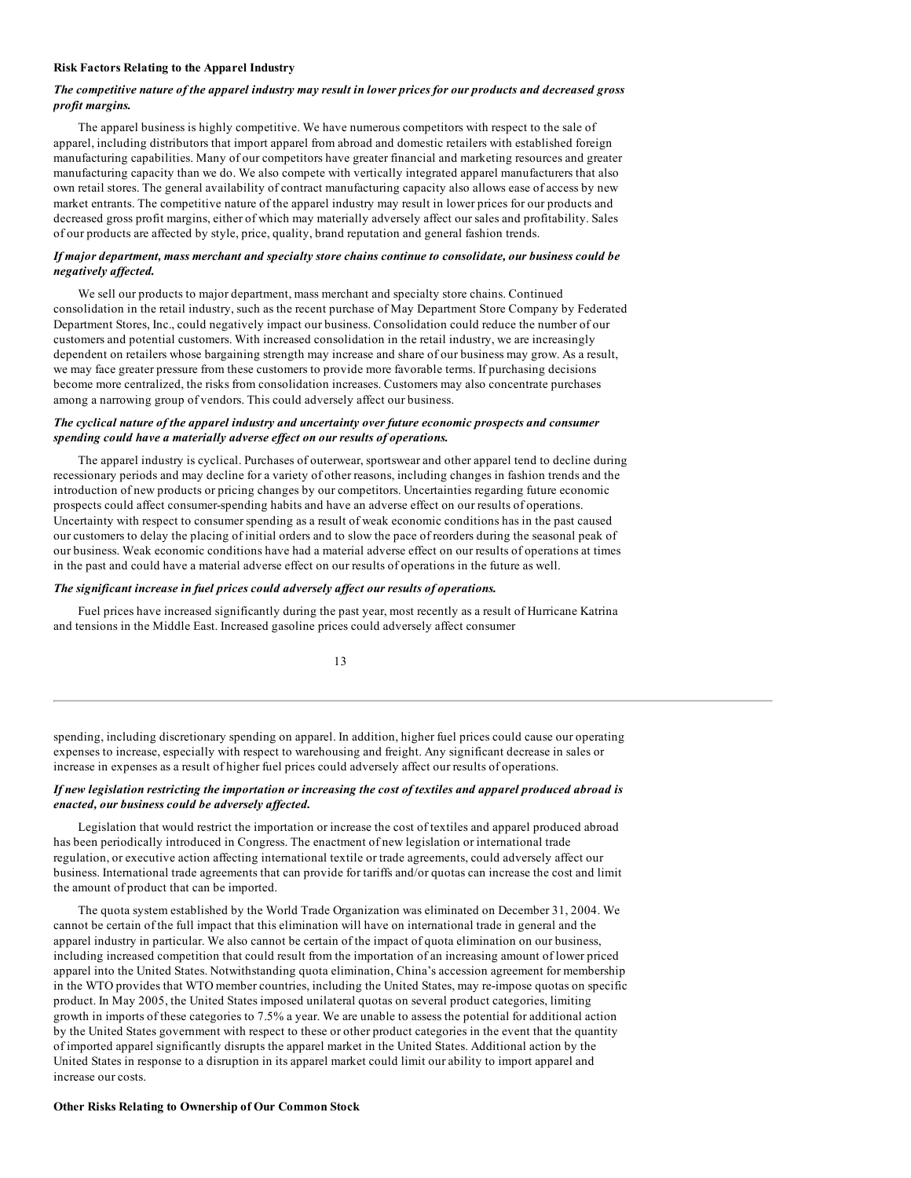#### **Risk Factors Relating to the Apparel Industry**

## The competitive nature of the apparel industry may result in lower prices for our products and decreased gross *profit margins.*

The apparel business is highly competitive. We have numerous competitors with respect to the sale of apparel, including distributors that import apparel from abroad and domestic retailers with established foreign manufacturing capabilities. Many of our competitors have greater financial and marketing resources and greater manufacturing capacity than we do. We also compete with vertically integrated apparel manufacturers that also own retail stores. The general availability of contract manufacturing capacity also allows ease of access by new market entrants. The competitive nature of the apparel industry may result in lower prices for our products and decreased gross profit margins, either of which may materially adversely affect our sales and profitability. Sales of our products are affected by style, price, quality, brand reputation and general fashion trends.

## *If major department, mass merchant and specialty store chains continue to consolidate, our business could be negatively af ected.*

We sell our products to major department, mass merchant and specialty store chains. Continued consolidation in the retail industry, such as the recent purchase of May Department Store Company by Federated Department Stores, Inc., could negatively impact our business. Consolidation could reduce the number of our customers and potential customers. With increased consolidation in the retail industry, we are increasingly dependent on retailers whose bargaining strength may increase and share of our business may grow. As a result, we may face greater pressure from these customers to provide more favorable terms. If purchasing decisions become more centralized, the risks from consolidation increases. Customers may also concentrate purchases among a narrowing group of vendors. This could adversely affect our business.

#### *The cyclical nature of the apparel industry and uncertainty over future economic prospects and consumer spending could have a materially adverse ef ect on our results of operations.*

The apparel industry is cyclical. Purchases of outerwear, sportswear and other apparel tend to decline during recessionary periods and may decline for a variety of other reasons, including changes in fashion trends and the introduction of new products or pricing changes by our competitors. Uncertainties regarding future economic prospects could affect consumer-spending habits and have an adverse effect on our results of operations. Uncertainty with respect to consumer spending as a result of weak economic conditions has in the past caused our customers to delay the placing of initial orders and to slow the pace of reorders during the seasonal peak of our business. Weak economic conditions have had a material adverse effect on our results of operations at times in the past and could have a material adverse effect on our results of operations in the future as well.

#### *The significant increase in fuel prices could adversely af ect our results of operations.*

Fuel prices have increased significantly during the past year, most recently as a result of Hurricane Katrina and tensions in the Middle East. Increased gasoline prices could adversely affect consumer

13

spending, including discretionary spending on apparel. In addition, higher fuel prices could cause our operating expenses to increase, especially with respect to warehousing and freight. Any significant decrease in sales or increase in expenses as a result of higher fuel prices could adversely affect our results of operations.

## If new legislation restricting the importation or increasing the cost of textiles and apparel produced abroad is *enacted, our business could be adversely af ected.*

Legislation that would restrict the importation or increase the cost of textiles and apparel produced abroad has been periodically introduced in Congress. The enactment of new legislation or international trade regulation, or executive action affecting international textile or trade agreements, could adversely affect our business. International trade agreements that can provide for tariffs and/or quotas can increase the cost and limit the amount of product that can be imported.

The quota system established by the World Trade Organization was eliminated on December 31, 2004. We cannot be certain of the full impact that this elimination will have on international trade in general and the apparel industry in particular. We also cannot be certain of the impact of quota elimination on our business, including increased competition that could result from the importation of an increasing amount of lower priced apparel into the United States. Notwithstanding quota elimination, China's accession agreement for membership in the WTO provides that WTO member countries, including the United States, may re-impose quotas on specific product. In May 2005, the United States imposed unilateral quotas on several product categories, limiting growth in imports of these categories to 7.5% a year. We are unable to assess the potential for additional action by the United States government with respect to these or other product categories in the event that the quantity of imported apparel significantly disrupts the apparel market in the United States. Additional action by the United States in response to a disruption in its apparel market could limit our ability to import apparel and increase our costs.

#### **Other Risks Relating to Ownership of Our Common Stock**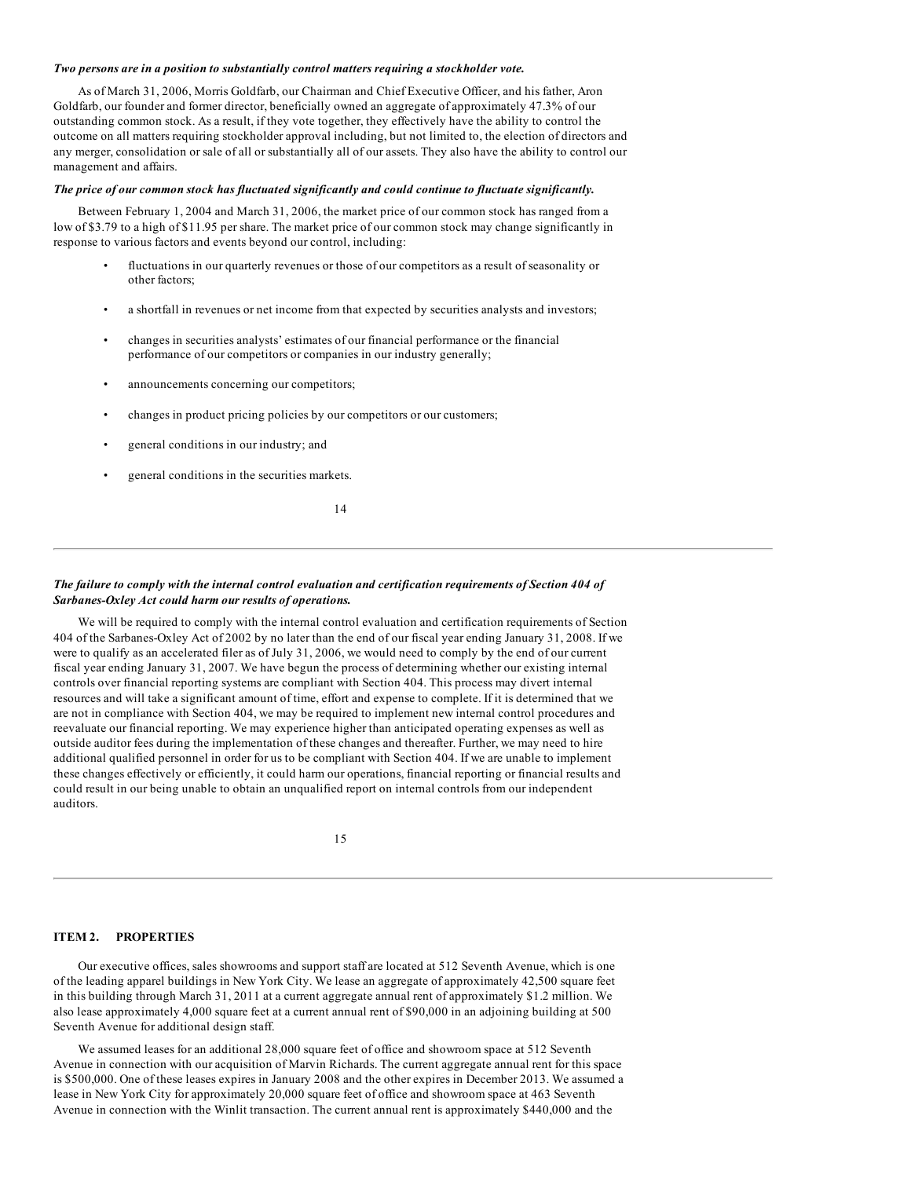#### *Two persons are in a position to substantially control matters requiring a stockholder vote.*

As of March 31, 2006, Morris Goldfarb, our Chairman and Chief Executive Officer, and his father, Aron Goldfarb, our founder and former director, beneficially owned an aggregate of approximately 47.3% of our outstanding common stock. As a result, if they vote together, they effectively have the ability to control the outcome on all matters requiring stockholder approval including, but not limited to, the election of directors and any merger, consolidation or sale of all or substantially all of our assets. They also have the ability to control our management and affairs.

#### *The price of our common stock has fluctuated significantly and could continue to fluctuate significantly.*

Between February 1, 2004 and March 31, 2006, the market price of our common stock has ranged from a low of \$3.79 to a high of \$11.95 per share. The market price of our common stock may change significantly in response to various factors and events beyond our control, including:

- fluctuations in our quarterly revenues or those of our competitors as a result of seasonality or other factors;
- a shortfall in revenues or net income from that expected by securities analysts and investors;
- changes in securities analysts' estimates of our financial performance or the financial performance of our competitors or companies in our industry generally;
- announcements concerning our competitors;
- changes in product pricing policies by our competitors or our customers;
- general conditions in our industry; and
- general conditions in the securities markets.

14

#### *The failure to comply with the internal control evaluation and certification requirements of Section 404 of Sarbanes-Oxley Act could harm our results of operations.*

We will be required to comply with the internal control evaluation and certification requirements of Section 404 of the Sarbanes-Oxley Act of 2002 by no later than the end of our fiscal year ending January 31, 2008. If we were to qualify as an accelerated filer as of July 31, 2006, we would need to comply by the end of our current fiscal year ending January 31, 2007. We have begun the process of determining whether our existing internal controls over financial reporting systems are compliant with Section 404. This process may divert internal resources and will take a significant amount of time, effort and expense to complete. If it is determined that we are not in compliance with Section 404, we may be required to implement new internal control procedures and reevaluate our financial reporting. We may experience higher than anticipated operating expenses as well as outside auditor fees during the implementation of these changes and thereafter. Further, we may need to hire additional qualified personnel in order for us to be compliant with Section 404. If we are unable to implement these changes effectively or efficiently, it could harm our operations, financial reporting or financial results and could result in our being unable to obtain an unqualified report on internal controls from our independent auditors.

15

#### **ITEM 2. PROPERTIES**

Our executive offices, sales showrooms and support staff are located at 512 Seventh Avenue, which is one of the leading apparel buildings in New York City. We lease an aggregate of approximately 42,500 square feet in this building through March 31, 2011 at a current aggregate annual rent of approximately \$1.2 million. We also lease approximately 4,000 square feet at a current annual rent of \$90,000 in an adjoining building at 500 Seventh Avenue for additional design staff.

We assumed leases for an additional 28,000 square feet of office and showroom space at 512 Seventh Avenue in connection with our acquisition of Marvin Richards. The current aggregate annual rent for this space is \$500,000. One of these leases expires in January 2008 and the other expires in December 2013. We assumed a lease in New York City for approximately 20,000 square feet of office and showroom space at 463 Seventh Avenue in connection with the Winlit transaction. The current annual rent is approximately \$440,000 and the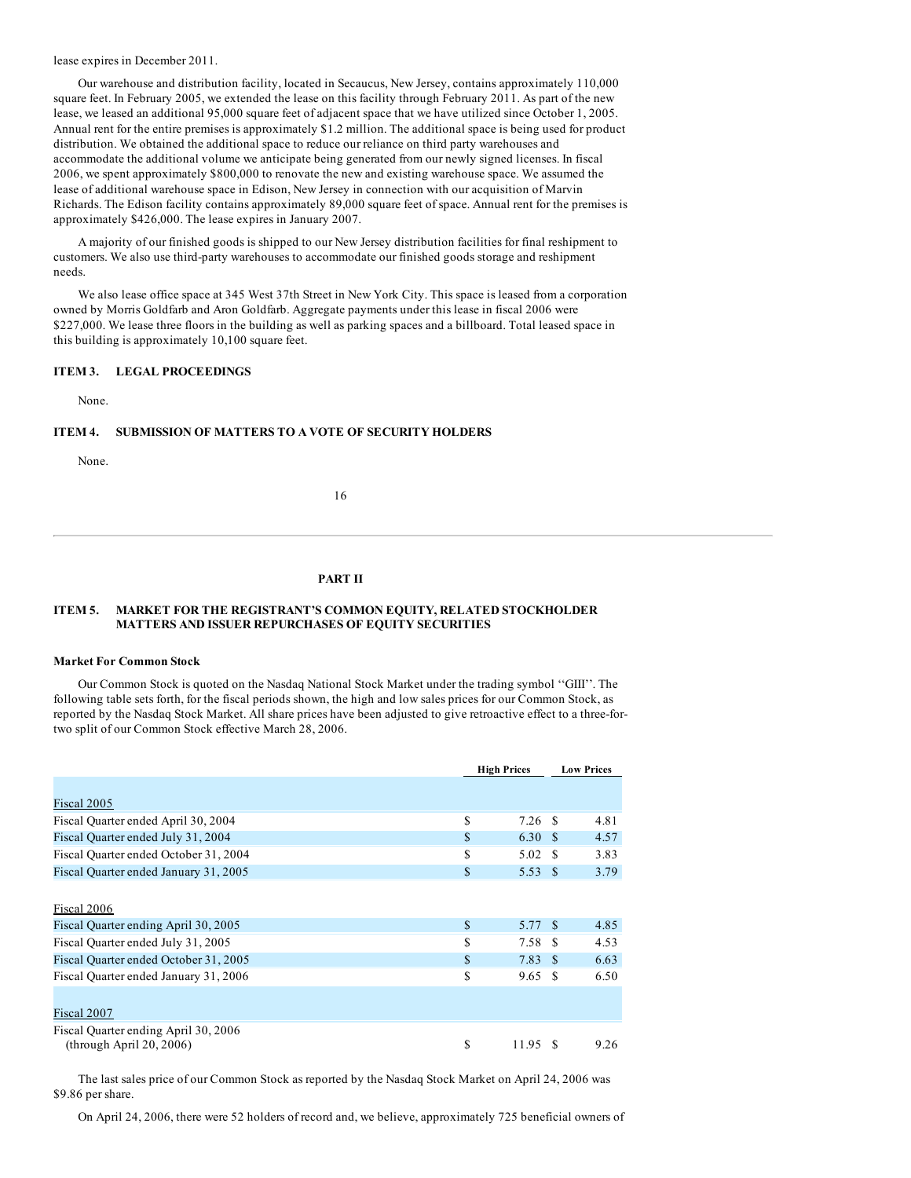lease expires in December 2011.

Our warehouse and distribution facility, located in Secaucus, New Jersey, contains approximately 110,000 square feet. In February 2005, we extended the lease on this facility through February 2011. As part of the new lease, we leased an additional 95,000 square feet of adjacent space that we have utilized since October 1, 2005. Annual rent for the entire premises is approximately \$1.2 million. The additional space is being used for product distribution. We obtained the additional space to reduce our reliance on third party warehouses and accommodate the additional volume we anticipate being generated from our newly signed licenses. In fiscal 2006, we spent approximately \$800,000 to renovate the new and existing warehouse space. We assumed the lease of additional warehouse space in Edison, New Jersey in connection with our acquisition of Marvin Richards. The Edison facility contains approximately 89,000 square feet of space. Annual rent for the premises is approximately \$426,000. The lease expires in January 2007.

A majority of our finished goods is shipped to our New Jersey distribution facilities for final reshipment to customers. We also use third-party warehouses to accommodate our finished goods storage and reshipment needs.

We also lease office space at 345 West 37th Street in New York City. This space is leased from a corporation owned by Morris Goldfarb and Aron Goldfarb. Aggregate payments under this lease in fiscal 2006 were \$227,000. We lease three floors in the building as well as parking spaces and a billboard. Total leased space in this building is approximately 10,100 square feet.

#### **ITEM 3. LEGAL PROCEEDINGS**

None.

#### **ITEM 4. SUBMISSION OF MATTERS TO A VOTE OF SECURITY HOLDERS**

None.

16

### **PART II**

#### **ITEM 5. MARKET FOR THE REGISTRANT'S COMMON EQUITY, RELATED STOCKHOLDER MATTERS AND ISSUER REPURCHASES OF EQUITY SECURITIES**

#### **Market For Common Stock**

Our Common Stock is quoted on the Nasdaq National Stock Market under the trading symbol ''GIII''. The following table sets forth, for the fiscal periods shown, the high and low sales prices for our Common Stock, as reported by the Nasdaq Stock Market. All share prices have been adjusted to give retroactive effect to a three-fortwo split of our Common Stock effective March 28, 2006.

|                                                                   | <b>High Prices</b>     |      | <b>Low Prices</b> |
|-------------------------------------------------------------------|------------------------|------|-------------------|
|                                                                   |                        |      |                   |
| Fiscal 2005                                                       |                        |      |                   |
| Fiscal Quarter ended April 30, 2004                               | \$<br>7.26 \$          |      | 4.81              |
| Fiscal Quarter ended July 31, 2004                                | \$<br>6.30             | - \$ | 4.57              |
| Fiscal Quarter ended October 31, 2004                             | \$<br>5.02 S           |      | 3.83              |
| Fiscal Quarter ended January 31, 2005                             | \$<br>5.53             | - \$ | 3.79              |
|                                                                   |                        |      |                   |
| Fiscal 2006                                                       |                        |      |                   |
| Fiscal Quarter ending April 30, 2005                              | \$<br>5.77 \$          |      | 4.85              |
| Fiscal Quarter ended July 31, 2005                                | \$<br>7.58             | - \$ | 4.53              |
| Fiscal Quarter ended October 31, 2005                             | \$<br>7.83             | - \$ | 6.63              |
| Fiscal Quarter ended January 31, 2006                             | \$<br>$9.65 \text{ s}$ |      | 6.50              |
|                                                                   |                        |      |                   |
| Fiscal 2007                                                       |                        |      |                   |
| Fiscal Quarter ending April 30, 2006<br>(throught April 20, 2006) | \$<br>11.95            |      | 9.26              |

The last sales price of our Common Stock as reported by the Nasdaq Stock Market on April 24, 2006 was \$9.86 per share.

On April 24, 2006, there were 52 holders of record and, we believe, approximately 725 beneficial owners of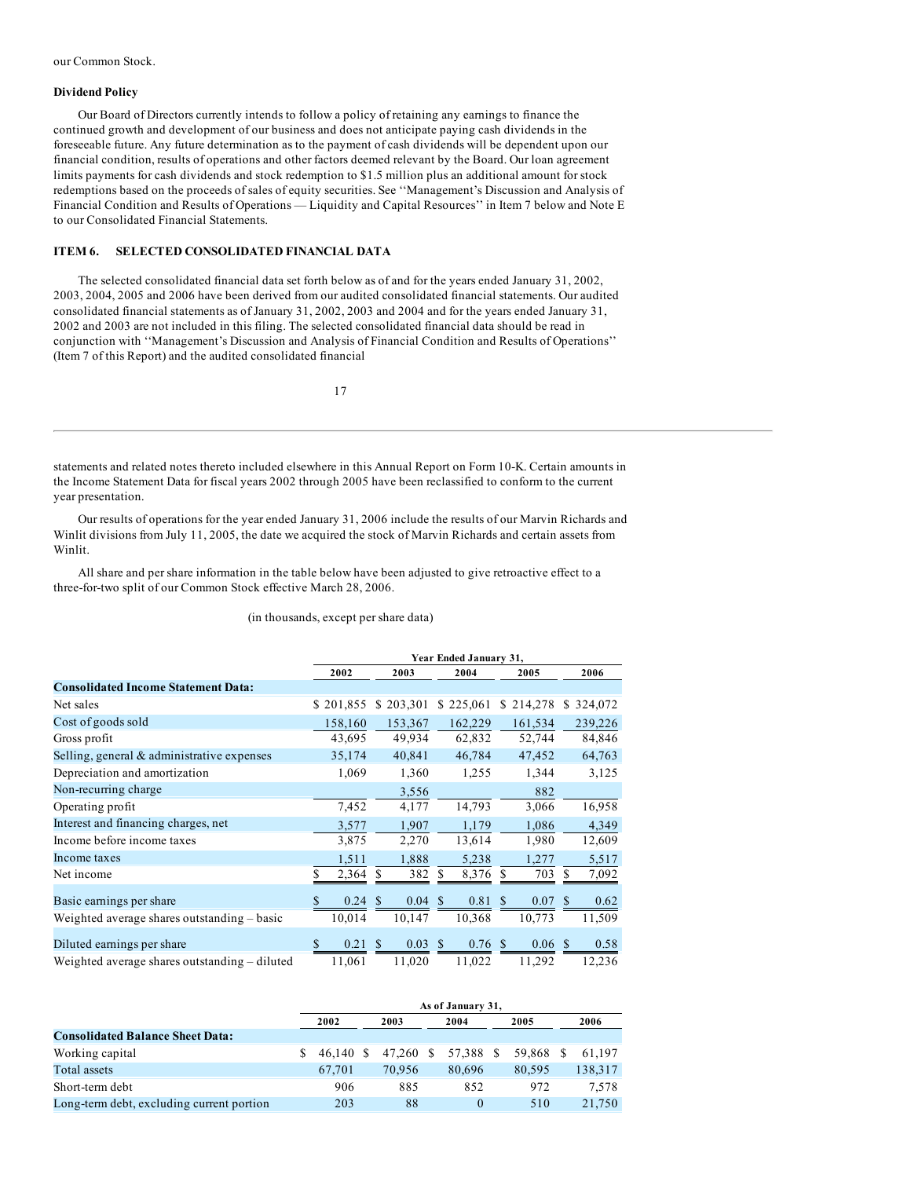#### **Dividend Policy**

Our Board of Directors currently intends to follow a policy of retaining any earnings to finance the continued growth and development of our business and does not anticipate paying cash dividends in the foreseeable future. Any future determination as to the payment of cash dividends will be dependent upon our financial condition, results of operations and other factors deemed relevant by the Board. Our loan agreement limits payments for cash dividends and stock redemption to \$1.5 million plus an additional amount for stock redemptions based on the proceeds of sales of equity securities. See ''Management's Discussion and Analysis of Financial Condition and Results of Operations — Liquidity and Capital Resources'' in Item 7 below and Note E to our Consolidated Financial Statements.

## **ITEM 6. SELECTED CONSOLIDATED FINANCIAL DATA**

The selected consolidated financial data set forth below as of and for the years ended January 31, 2002, 2003, 2004, 2005 and 2006 have been derived from our audited consolidated financial statements. Our audited consolidated financial statements as of January 31, 2002, 2003 and 2004 and for the years ended January 31, 2002 and 2003 are not included in this filing. The selected consolidated financial data should be read in conjunction with ''Management's Discussion and Analysis of Financial Condition and Results of Operations'' (Item 7 of this Report) and the audited consolidated financial

17

statements and related notes thereto included elsewhere in this Annual Report on Form 10-K. Certain amounts in the Income Statement Data for fiscal years 2002 through 2005 have been reclassified to conform to the current year presentation.

Our results of operations for the year ended January 31, 2006 include the results of our Marvin Richards and Winlit divisions from July 11, 2005, the date we acquired the stock of Marvin Richards and certain assets from Winlit.

All share and per share information in the table below have been adjusted to give retroactive effect to a three-for-two split of our Common Stock effective March 28, 2006.

#### (in thousands, except per share data)

|                                               |     |           |               |           |   | Year Ended January 31, |     |         |               |         |
|-----------------------------------------------|-----|-----------|---------------|-----------|---|------------------------|-----|---------|---------------|---------|
|                                               |     | 2002      |               | 2003      |   | 2004                   |     | 2005    |               | 2006    |
| <b>Consolidated Income Statement Data:</b>    |     |           |               |           |   |                        |     |         |               |         |
| Net sales                                     |     | \$201,855 |               | \$203,301 |   | \$225,061              | \$. | 214,278 | S.            | 324,072 |
| Cost of goods sold                            |     | 158,160   |               | 153,367   |   | 162,229                |     | 161,534 |               | 239,226 |
| Gross profit                                  |     | 43,695    |               | 49,934    |   | 62,832                 |     | 52,744  |               | 84,846  |
| Selling, general & administrative expenses    |     | 35,174    |               | 40,841    |   | 46,784                 |     | 47,452  |               | 64,763  |
| Depreciation and amortization                 |     | 1,069     |               | 1,360     |   | 1,255                  |     | 1,344   |               | 3,125   |
| Non-recurring charge                          |     |           |               | 3,556     |   |                        |     | 882     |               |         |
| Operating profit                              |     | 7,452     |               | 4,177     |   | 14,793                 |     | 3,066   |               | 16,958  |
| Interest and financing charges, net           |     | 3,577     |               | 1,907     |   | 1,179                  |     | 1,086   |               | 4,349   |
| Income before income taxes                    |     | 3,875     |               | 2,270     |   | 13,614                 |     | 1,980   |               | 12,609  |
| Income taxes                                  |     | 1,511     |               | 1,888     |   | 5,238                  |     | 1,277   |               | 5,517   |
| Net income                                    |     | 2,364     |               | 382       | S | 8,376                  | S   | 703     | S.            | 7,092   |
| Basic earnings per share                      | \$. | 0.24      | <sup>S</sup>  | 0.04      | S | 0.81                   | S   | 0.07    | <b>S</b>      | 0.62    |
| Weighted average shares outstanding – basic   |     | 10.014    |               | 10,147    |   | 10,368                 |     | 10,773  |               | 11,509  |
| Diluted earnings per share                    |     | 0.21      | <sup>\$</sup> | 0.03      | S | 0.76                   | -S  | 0.06    | <sup>\$</sup> | 0.58    |
| Weighted average shares outstanding – diluted |     | 11,061    |               | 11,020    |   | 11,022                 |     | 11,292  |               | 12,236  |

|                                           | As of January 31, |  |           |  |           |  |        |     |         |
|-------------------------------------------|-------------------|--|-----------|--|-----------|--|--------|-----|---------|
|                                           | 2002              |  | 2003      |  | 2004      |  | 2005   |     | 2006    |
| <b>Consolidated Balance Sheet Data:</b>   |                   |  |           |  |           |  |        |     |         |
| Working capital                           | 46,140 \$         |  | 47.260 \$ |  | 57,388 \$ |  | 59.868 | - S | 61.197  |
| Total assets                              | 67.701            |  | 70.956    |  | 80.696    |  | 80.595 |     | 138,317 |
| Short-term debt                           | 906               |  | 885       |  | 852       |  | 972    |     | 7.578   |
| Long-term debt, excluding current portion | 203               |  | 88        |  | $\theta$  |  | 510    |     | 21,750  |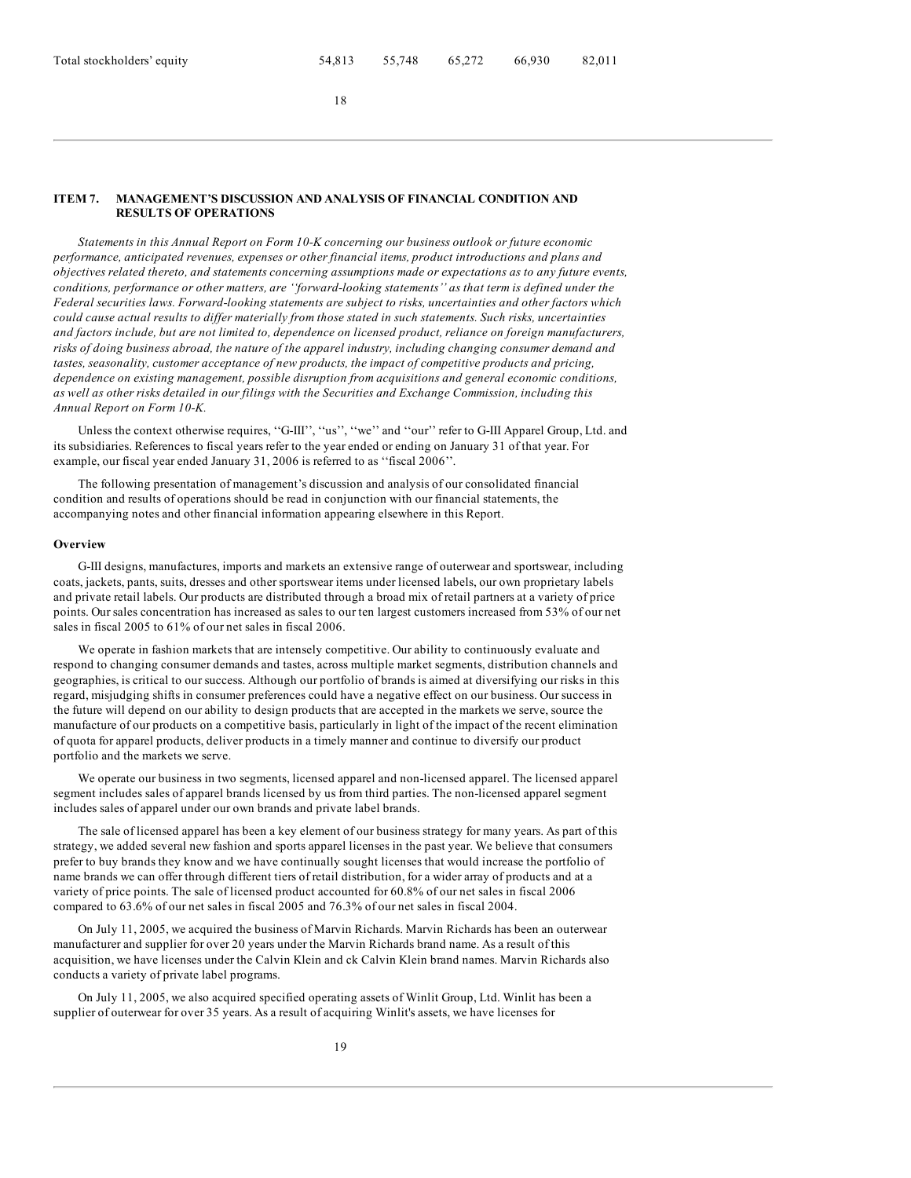#### **ITEM 7. MANAGEMENT'S DISCUSSION AND ANALYSIS OF FINANCIAL CONDITION AND RESULTS OF OPERATIONS**

*Statements in this Annual Report on Form 10-K concerning our business outlook or future economic performance, anticipated revenues, expenses or other financial items, product introductions and plans and objectives related thereto, and statements concerning assumptions made or expectations as to any future events, conditions, performance or other matters, are ''forward-looking statements'' as that term is defined under the Federal securities laws. Forward-looking statements are subject to risks, uncertainties and other factors which* could cause actual results to differ materially from those stated in such statements. Such risks, uncertainties *and factors include, but are not limited to, dependence on licensed product, reliance on foreign manufacturers, risks of doing business abroad, the nature of the apparel industry, including changing consumer demand and tastes, seasonality, customer acceptance of new products, the impact of competitive products and pricing, dependence on existing management, possible disruption from acquisitions and general economic conditions,* as well as other risks detailed in our filings with the Securities and Exchange Commission, including this *Annual Report on Form 10-K.*

Unless the context otherwise requires, ''G-III'', ''us'', ''we'' and ''our'' refer to G-III Apparel Group, Ltd. and its subsidiaries. References to fiscal years refer to the year ended or ending on January 31 of that year. For example, our fiscal year ended January 31, 2006 is referred to as ''fiscal 2006''.

The following presentation of management's discussion and analysis of our consolidated financial condition and results of operations should be read in conjunction with our financial statements, the accompanying notes and other financial information appearing elsewhere in this Report.

#### **Overview**

G-III designs, manufactures, imports and markets an extensive range of outerwear and sportswear, including coats, jackets, pants, suits, dresses and other sportswear items under licensed labels, our own proprietary labels and private retail labels. Our products are distributed through a broad mix of retail partners at a variety of price points. Our sales concentration has increased as sales to our ten largest customers increased from 53% of our net sales in fiscal 2005 to 61% of our net sales in fiscal 2006.

We operate in fashion markets that are intensely competitive. Our ability to continuously evaluate and respond to changing consumer demands and tastes, across multiple market segments, distribution channels and geographies, is critical to our success. Although our portfolio of brands is aimed at diversifying our risks in this regard, misjudging shifts in consumer preferences could have a negative effect on our business. Our success in the future will depend on our ability to design products that are accepted in the markets we serve, source the manufacture of our products on a competitive basis, particularly in light of the impact of the recent elimination of quota for apparel products, deliver products in a timely manner and continue to diversify our product portfolio and the markets we serve.

We operate our business in two segments, licensed apparel and non-licensed apparel. The licensed apparel segment includes sales of apparel brands licensed by us from third parties. The non-licensed apparel segment includes sales of apparel under our own brands and private label brands.

The sale of licensed apparel has been a key element of our business strategy for many years. As part of this strategy, we added several new fashion and sports apparel licenses in the past year. We believe that consumers prefer to buy brands they know and we have continually sought licenses that would increase the portfolio of name brands we can offer through different tiers of retail distribution, for a wider array of products and at a variety of price points. The sale of licensed product accounted for 60.8% of our net sales in fiscal 2006 compared to 63.6% of our net sales in fiscal 2005 and 76.3% of our net sales in fiscal 2004.

On July 11, 2005, we acquired the business of Marvin Richards. Marvin Richards has been an outerwear manufacturer and supplier for over 20 years under the Marvin Richards brand name. As a result of this acquisition, we have licenses under the Calvin Klein and ck Calvin Klein brand names. Marvin Richards also conducts a variety of private label programs.

On July 11, 2005, we also acquired specified operating assets of Winlit Group, Ltd. Winlit has been a supplier of outerwear for over 35 years. As a result of acquiring Winlit's assets, we have licenses for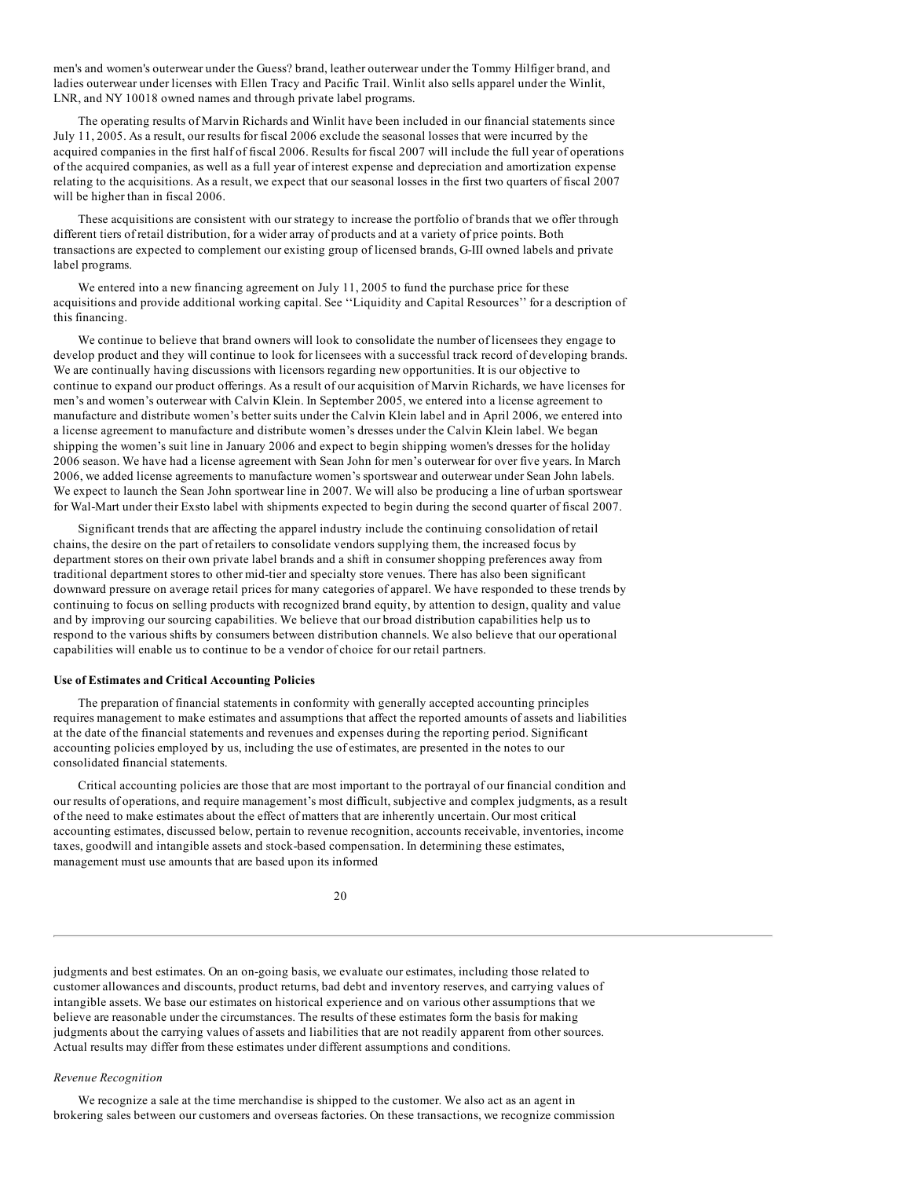men's and women's outerwear under the Guess? brand, leather outerwear under the Tommy Hilfiger brand, and ladies outerwear under licenses with Ellen Tracy and Pacific Trail. Winlit also sells apparel under the Winlit, LNR, and NY 10018 owned names and through private label programs.

The operating results of Marvin Richards and Winlit have been included in our financial statements since July 11, 2005. As a result, our results for fiscal 2006 exclude the seasonal losses that were incurred by the acquired companies in the first half of fiscal 2006. Results for fiscal 2007 will include the full year of operations of the acquired companies, as well as a full year of interest expense and depreciation and amortization expense relating to the acquisitions. As a result, we expect that our seasonal losses in the first two quarters of fiscal 2007 will be higher than in fiscal 2006.

These acquisitions are consistent with our strategy to increase the portfolio of brands that we offer through different tiers of retail distribution, for a wider array of products and at a variety of price points. Both transactions are expected to complement our existing group of licensed brands, G-III owned labels and private label programs.

We entered into a new financing agreement on July 11, 2005 to fund the purchase price for these acquisitions and provide additional working capital. See ''Liquidity and Capital Resources'' for a description of this financing.

We continue to believe that brand owners will look to consolidate the number of licensees they engage to develop product and they will continue to look for licensees with a successful track record of developing brands. We are continually having discussions with licensors regarding new opportunities. It is our objective to continue to expand our product offerings. As a result of our acquisition of Marvin Richards, we have licenses for men's and women's outerwear with Calvin Klein. In September 2005, we entered into a license agreement to manufacture and distribute women's better suits under the Calvin Klein label and in April 2006, we entered into a license agreement to manufacture and distribute women's dresses under the Calvin Klein label. We began shipping the women's suit line in January 2006 and expect to begin shipping women's dresses for the holiday 2006 season. We have had a license agreement with Sean John for men's outerwear for over five years. In March 2006, we added license agreements to manufacture women's sportswear and outerwear under Sean John labels. We expect to launch the Sean John sportwear line in 2007. We will also be producing a line of urban sportswear for Wal-Mart under their Exsto label with shipments expected to begin during the second quarter of fiscal 2007.

Significant trends that are affecting the apparel industry include the continuing consolidation of retail chains, the desire on the part of retailers to consolidate vendors supplying them, the increased focus by department stores on their own private label brands and a shift in consumer shopping preferences away from traditional department stores to other mid-tier and specialty store venues. There has also been significant downward pressure on average retail prices for many categories of apparel. We have responded to these trends by continuing to focus on selling products with recognized brand equity, by attention to design, quality and value and by improving our sourcing capabilities. We believe that our broad distribution capabilities help us to respond to the various shifts by consumers between distribution channels. We also believe that our operational capabilities will enable us to continue to be a vendor of choice for our retail partners.

## **Use of Estimates and Critical Accounting Policies**

The preparation of financial statements in conformity with generally accepted accounting principles requires management to make estimates and assumptions that affect the reported amounts of assets and liabilities at the date of the financial statements and revenues and expenses during the reporting period. Significant accounting policies employed by us, including the use of estimates, are presented in the notes to our consolidated financial statements.

Critical accounting policies are those that are most important to the portrayal of our financial condition and our results of operations, and require management's most difficult, subjective and complex judgments, as a result of the need to make estimates about the effect of matters that are inherently uncertain. Our most critical accounting estimates, discussed below, pertain to revenue recognition, accounts receivable, inventories, income taxes, goodwill and intangible assets and stock-based compensation. In determining these estimates, management must use amounts that are based upon its informed

judgments and best estimates. On an on-going basis, we evaluate our estimates, including those related to customer allowances and discounts, product returns, bad debt and inventory reserves, and carrying values of intangible assets. We base our estimates on historical experience and on various other assumptions that we believe are reasonable under the circumstances. The results of these estimates form the basis for making judgments about the carrying values of assets and liabilities that are not readily apparent from other sources. Actual results may differ from these estimates under different assumptions and conditions.

#### *Revenue Recognition*

We recognize a sale at the time merchandise is shipped to the customer. We also act as an agent in brokering sales between our customers and overseas factories. On these transactions, we recognize commission

<sup>20</sup>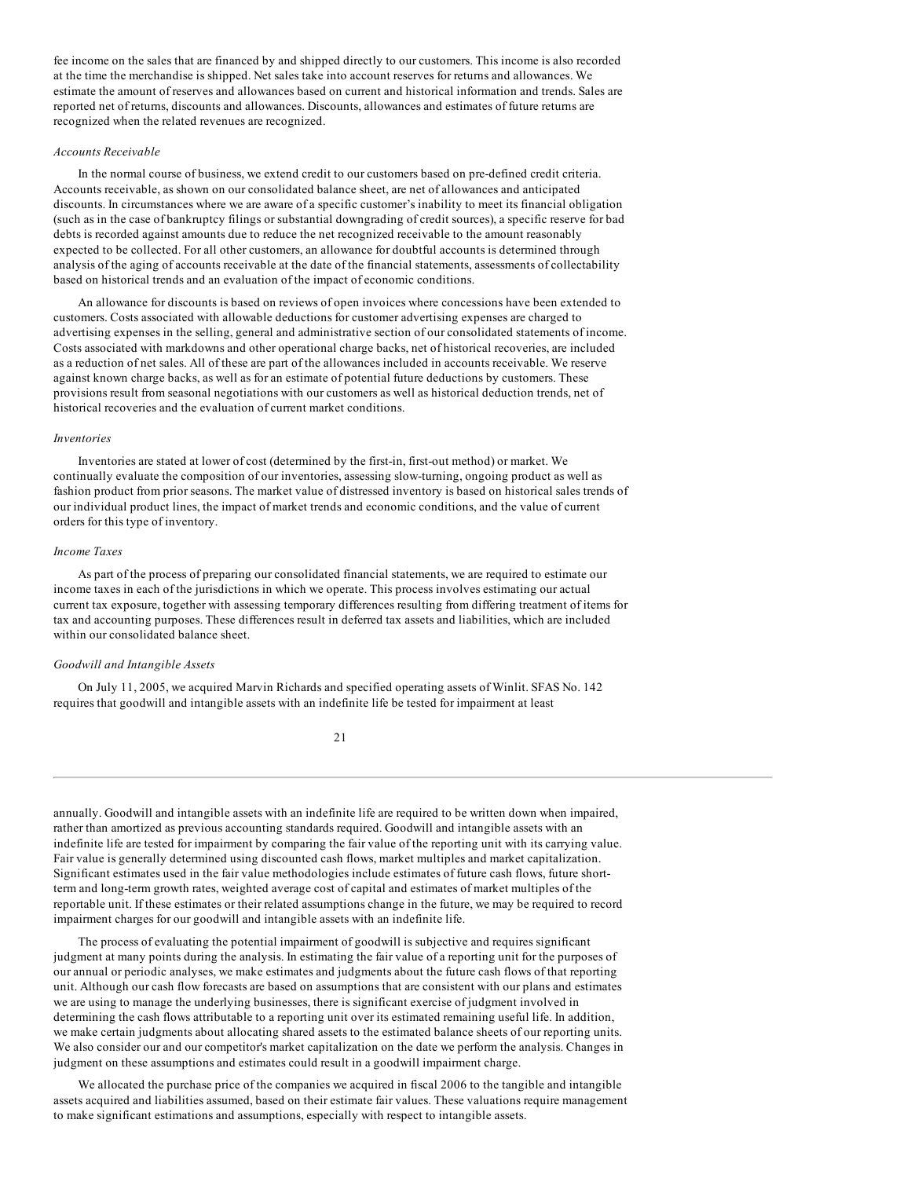fee income on the sales that are financed by and shipped directly to our customers. This income is also recorded at the time the merchandise is shipped. Net sales take into account reserves for returns and allowances. We estimate the amount of reserves and allowances based on current and historical information and trends. Sales are reported net of returns, discounts and allowances. Discounts, allowances and estimates of future returns are recognized when the related revenues are recognized.

#### *Accounts Receivable*

In the normal course of business, we extend credit to our customers based on pre-defined credit criteria. Accounts receivable, as shown on our consolidated balance sheet, are net of allowances and anticipated discounts. In circumstances where we are aware of a specific customer's inability to meet its financial obligation (such as in the case of bankruptcy filings or substantial downgrading of credit sources), a specific reserve for bad debts is recorded against amounts due to reduce the net recognized receivable to the amount reasonably expected to be collected. For all other customers, an allowance for doubtful accounts is determined through analysis of the aging of accounts receivable at the date of the financial statements, assessments of collectability based on historical trends and an evaluation of the impact of economic conditions.

An allowance for discounts is based on reviews of open invoices where concessions have been extended to customers. Costs associated with allowable deductions for customer advertising expenses are charged to advertising expenses in the selling, general and administrative section of our consolidated statements of income. Costs associated with markdowns and other operational charge backs, net of historical recoveries, are included as a reduction of net sales. All of these are part of the allowances included in accounts receivable. We reserve against known charge backs, as well as for an estimate of potential future deductions by customers. These provisions result from seasonal negotiations with our customers as well as historical deduction trends, net of historical recoveries and the evaluation of current market conditions.

#### *Inventories*

Inventories are stated at lower of cost (determined by the first-in, first-out method) or market. We continually evaluate the composition of our inventories, assessing slow-turning, ongoing product as well as fashion product from prior seasons. The market value of distressed inventory is based on historical sales trends of our individual product lines, the impact of market trends and economic conditions, and the value of current orders for this type of inventory.

#### *Income Taxes*

As part of the process of preparing our consolidated financial statements, we are required to estimate our income taxes in each of the jurisdictions in which we operate. This process involves estimating our actual current tax exposure, together with assessing temporary differences resulting from differing treatment of items for tax and accounting purposes. These differences result in deferred tax assets and liabilities, which are included within our consolidated balance sheet.

#### *Goodwill and Intangible Assets*

On July 11, 2005, we acquired Marvin Richards and specified operating assets of Winlit. SFAS No. 142 requires that goodwill and intangible assets with an indefinite life be tested for impairment at least

21

annually. Goodwill and intangible assets with an indefinite life are required to be written down when impaired, rather than amortized as previous accounting standards required. Goodwill and intangible assets with an indefinite life are tested for impairment by comparing the fair value of the reporting unit with its carrying value. Fair value is generally determined using discounted cash flows, market multiples and market capitalization. Significant estimates used in the fair value methodologies include estimates of future cash flows, future shortterm and long-term growth rates, weighted average cost of capital and estimates of market multiples of the reportable unit. If these estimates or their related assumptions change in the future, we may be required to record impairment charges for our goodwill and intangible assets with an indefinite life.

The process of evaluating the potential impairment of goodwill is subjective and requires significant judgment at many points during the analysis. In estimating the fair value of a reporting unit for the purposes of our annual or periodic analyses, we make estimates and judgments about the future cash flows of that reporting unit. Although our cash flow forecasts are based on assumptions that are consistent with our plans and estimates we are using to manage the underlying businesses, there is significant exercise of judgment involved in determining the cash flows attributable to a reporting unit over its estimated remaining useful life. In addition, we make certain judgments about allocating shared assets to the estimated balance sheets of our reporting units. We also consider our and our competitor's market capitalization on the date we perform the analysis. Changes in judgment on these assumptions and estimates could result in a goodwill impairment charge.

We allocated the purchase price of the companies we acquired in fiscal 2006 to the tangible and intangible assets acquired and liabilities assumed, based on their estimate fair values. These valuations require management to make significant estimations and assumptions, especially with respect to intangible assets.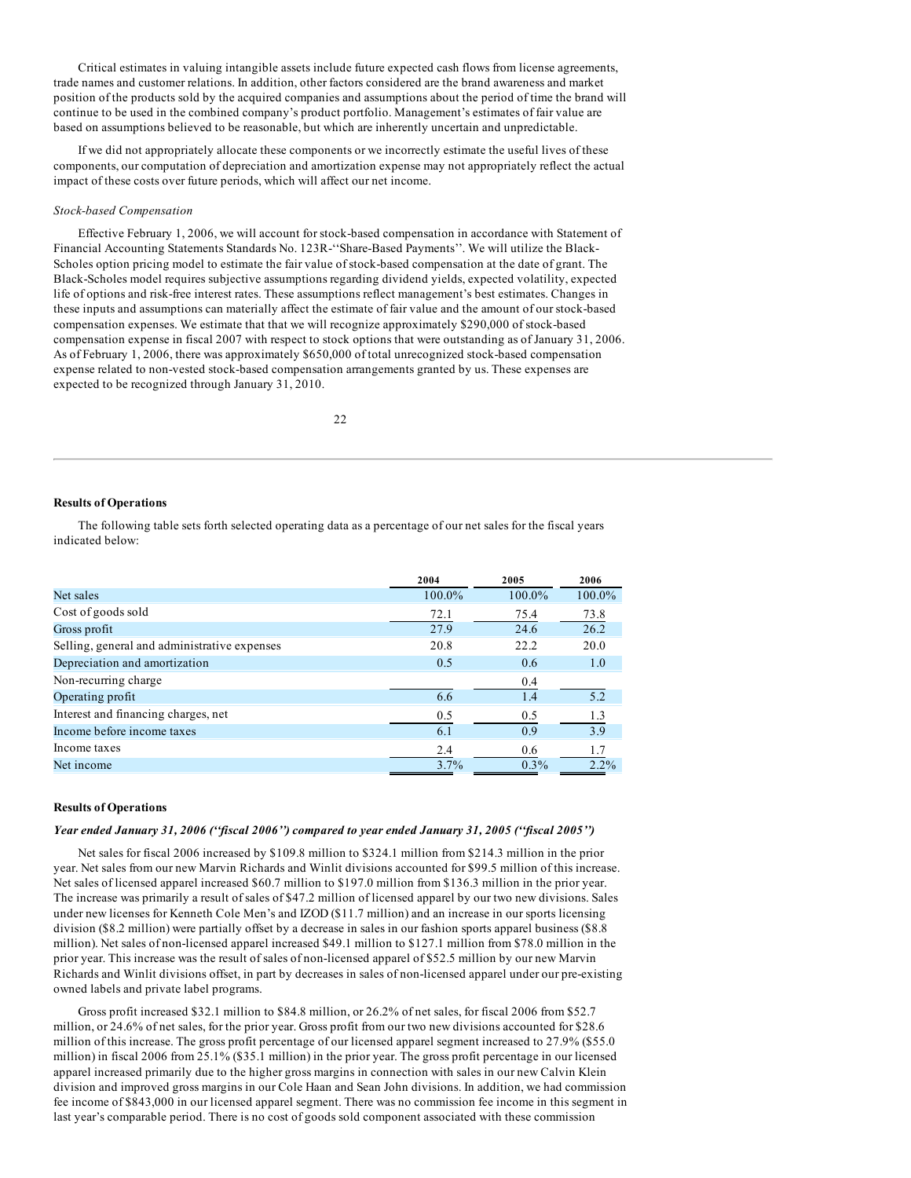Critical estimates in valuing intangible assets include future expected cash flows from license agreements, trade names and customer relations. In addition, other factors considered are the brand awareness and market position of the products sold by the acquired companies and assumptions about the period of time the brand will continue to be used in the combined company's product portfolio. Management's estimates of fair value are based on assumptions believed to be reasonable, but which are inherently uncertain and unpredictable.

If we did not appropriately allocate these components or we incorrectly estimate the useful lives of these components, our computation of depreciation and amortization expense may not appropriately reflect the actual impact of these costs over future periods, which will affect our net income.

#### *Stock-based Compensation*

Effective February 1, 2006, we will account for stock-based compensation in accordance with Statement of Financial Accounting Statements Standards No. 123R-''Share-Based Payments''. We will utilize the Black-Scholes option pricing model to estimate the fair value of stock-based compensation at the date of grant. The Black-Scholes model requires subjective assumptions regarding dividend yields, expected volatility, expected life of options and risk-free interest rates. These assumptions reflect management's best estimates. Changes in these inputs and assumptions can materially affect the estimate of fair value and the amount of our stock-based compensation expenses. We estimate that that we will recognize approximately \$290,000 of stock-based compensation expense in fiscal 2007 with respect to stock options that were outstanding as of January 31, 2006. As of February 1, 2006, there was approximately \$650,000 of total unrecognized stock-based compensation expense related to non-vested stock-based compensation arrangements granted by us. These expenses are expected to be recognized through January 31, 2010.

22

#### **Results of Operations**

The following table sets forth selected operating data as a percentage of our net sales for the fiscal years indicated below:

|                                              | 2004   | 2005    | 2006    |
|----------------------------------------------|--------|---------|---------|
| Net sales                                    | 100.0% | 100.0%  | 100.0%  |
| Cost of goods sold                           | 72.1   | 75.4    | 73.8    |
| Gross profit                                 | 27.9   | 24.6    | 26.2    |
| Selling, general and administrative expenses | 20.8   | 22.2    | 20.0    |
| Depreciation and amortization                | 0.5    | 0.6     | 1.0     |
| Non-recurring charge                         |        | 0.4     |         |
| Operating profit                             | 6.6    | 1.4     | 5.2     |
| Interest and financing charges, net          | 0.5    | 0.5     | 1.3     |
| Income before income taxes                   | 6.1    | 0.9     | 3.9     |
| Income taxes                                 | 2.4    | 0.6     | 1.7     |
| Net income                                   | 3.7%   | $0.3\%$ | $2.2\%$ |
|                                              |        |         |         |

#### **Results of Operations**

#### *Year ended January 31, 2006 (''fiscal 2006'') compared to year ended January 31, 2005 (''fiscal 2005'')*

Net sales for fiscal 2006 increased by \$109.8 million to \$324.1 million from \$214.3 million in the prior year. Net sales from our new Marvin Richards and Winlit divisions accounted for \$99.5 million of this increase. Net sales of licensed apparel increased \$60.7 million to \$197.0 million from \$136.3 million in the prior year. The increase was primarily a result of sales of \$47.2 million of licensed apparel by our two new divisions. Sales under new licenses for Kenneth Cole Men's and IZOD (\$11.7 million) and an increase in our sports licensing division (\$8.2 million) were partially offset by a decrease in sales in our fashion sports apparel business (\$8.8 million). Net sales of non-licensed apparel increased \$49.1 million to \$127.1 million from \$78.0 million in the prior year. This increase was the result of sales of non-licensed apparel of \$52.5 million by our new Marvin Richards and Winlit divisions offset, in part by decreases in sales of non-licensed apparel under our pre-existing owned labels and private label programs.

Gross profit increased \$32.1 million to \$84.8 million, or 26.2% of net sales, for fiscal 2006 from \$52.7 million, or 24.6% of net sales, for the prior year. Gross profit from our two new divisions accounted for \$28.6 million of this increase. The gross profit percentage of our licensed apparel segment increased to 27.9% (\$55.0 million) in fiscal 2006 from 25.1% (\$35.1 million) in the prior year. The gross profit percentage in our licensed apparel increased primarily due to the higher gross margins in connection with sales in our new Calvin Klein division and improved gross margins in our Cole Haan and Sean John divisions. In addition, we had commission fee income of \$843,000 in our licensed apparel segment. There was no commission fee income in this segment in last year's comparable period. There is no cost of goods sold component associated with these commission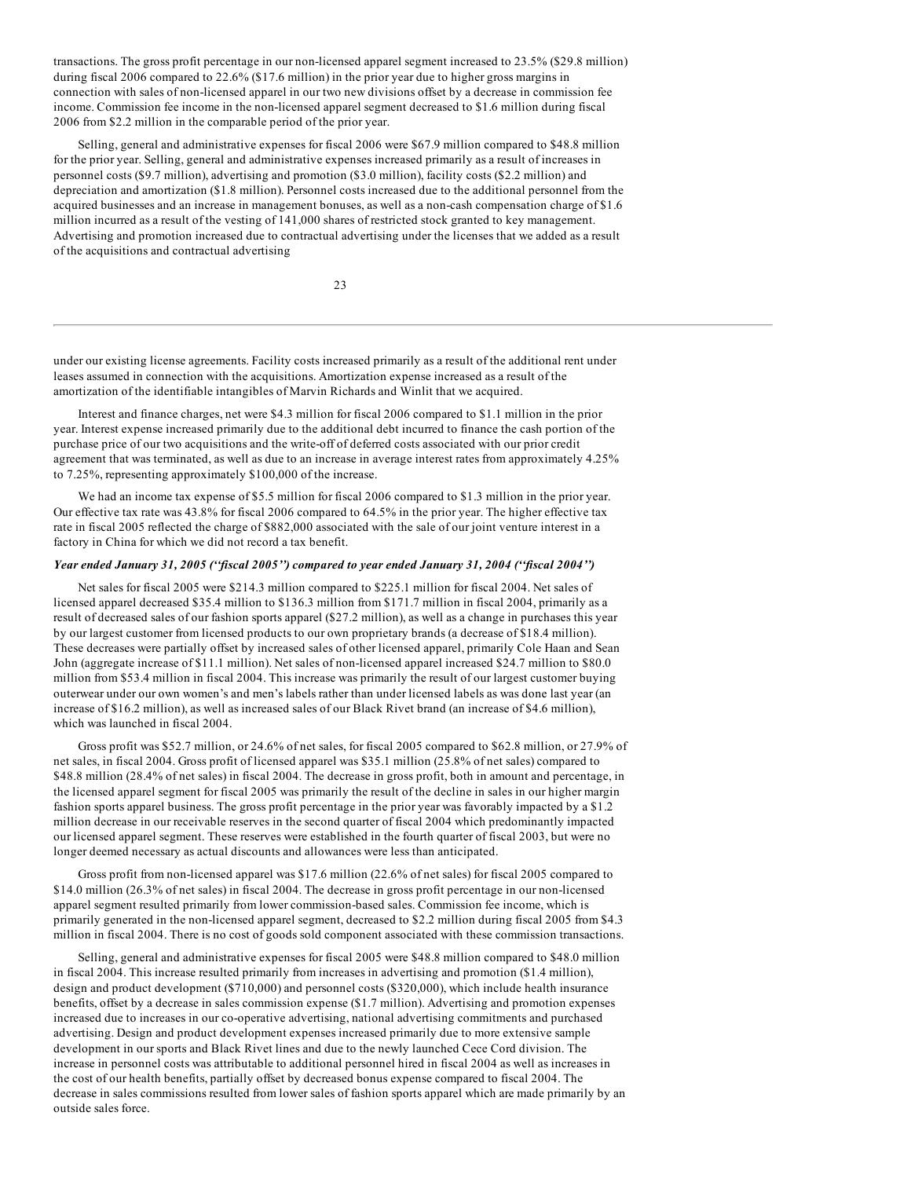transactions. The gross profit percentage in our non-licensed apparel segment increased to 23.5% (\$29.8 million) during fiscal 2006 compared to 22.6% (\$17.6 million) in the prior year due to higher gross margins in connection with sales of non-licensed apparel in our two new divisions offset by a decrease in commission fee income. Commission fee income in the non-licensed apparel segment decreased to \$1.6 million during fiscal 2006 from \$2.2 million in the comparable period of the prior year.

Selling, general and administrative expenses for fiscal 2006 were \$67.9 million compared to \$48.8 million for the prior year. Selling, general and administrative expenses increased primarily as a result of increases in personnel costs (\$9.7 million), advertising and promotion (\$3.0 million), facility costs (\$2.2 million) and depreciation and amortization (\$1.8 million). Personnel costs increased due to the additional personnel from the acquired businesses and an increase in management bonuses, as well as a non-cash compensation charge of \$1.6 million incurred as a result of the vesting of 141,000 shares of restricted stock granted to key management. Advertising and promotion increased due to contractual advertising under the licenses that we added as a result of the acquisitions and contractual advertising

23

under our existing license agreements. Facility costs increased primarily as a result of the additional rent under leases assumed in connection with the acquisitions. Amortization expense increased as a result of the amortization of the identifiable intangibles of Marvin Richards and Winlit that we acquired.

Interest and finance charges, net were \$4.3 million for fiscal 2006 compared to \$1.1 million in the prior year. Interest expense increased primarily due to the additional debt incurred to finance the cash portion of the purchase price of our two acquisitions and the write-off of deferred costs associated with our prior credit agreement that was terminated, as well as due to an increase in average interest rates from approximately 4.25% to 7.25%, representing approximately \$100,000 of the increase.

We had an income tax expense of \$5.5 million for fiscal 2006 compared to \$1.3 million in the prior year. Our effective tax rate was 43.8% for fiscal 2006 compared to 64.5% in the prior year. The higher effective tax rate in fiscal 2005 reflected the charge of \$882,000 associated with the sale of our joint venture interest in a factory in China for which we did not record a tax benefit.

#### *Year ended January 31, 2005 (''fiscal 2005'') compared to year ended January 31, 2004 (''fiscal 2004'')*

Net sales for fiscal 2005 were \$214.3 million compared to \$225.1 million for fiscal 2004. Net sales of licensed apparel decreased \$35.4 million to \$136.3 million from \$171.7 million in fiscal 2004, primarily as a result of decreased sales of our fashion sports apparel (\$27.2 million), as well as a change in purchases this year by our largest customer from licensed products to our own proprietary brands (a decrease of \$18.4 million). These decreases were partially offset by increased sales of other licensed apparel, primarily Cole Haan and Sean John (aggregate increase of \$11.1 million). Net sales of non-licensed apparel increased \$24.7 million to \$80.0 million from \$53.4 million in fiscal 2004. This increase was primarily the result of our largest customer buying outerwear under our own women's and men's labels rather than under licensed labels as was done last year (an increase of \$16.2 million), as well as increased sales of our Black Rivet brand (an increase of \$4.6 million), which was launched in fiscal 2004.

Gross profit was \$52.7 million, or 24.6% of net sales, for fiscal 2005 compared to \$62.8 million, or 27.9% of net sales, in fiscal 2004. Gross profit of licensed apparel was \$35.1 million (25.8% of net sales) compared to \$48.8 million (28.4% of net sales) in fiscal 2004. The decrease in gross profit, both in amount and percentage, in the licensed apparel segment for fiscal 2005 was primarily the result of the decline in sales in our higher margin fashion sports apparel business. The gross profit percentage in the prior year was favorably impacted by a \$1.2 million decrease in our receivable reserves in the second quarter of fiscal 2004 which predominantly impacted our licensed apparel segment. These reserves were established in the fourth quarter of fiscal 2003, but were no longer deemed necessary as actual discounts and allowances were less than anticipated.

Gross profit from non-licensed apparel was \$17.6 million (22.6% of net sales) for fiscal 2005 compared to \$14.0 million (26.3% of net sales) in fiscal 2004. The decrease in gross profit percentage in our non-licensed apparel segment resulted primarily from lower commission-based sales. Commission fee income, which is primarily generated in the non-licensed apparel segment, decreased to \$2.2 million during fiscal 2005 from \$4.3 million in fiscal 2004. There is no cost of goods sold component associated with these commission transactions.

Selling, general and administrative expenses for fiscal 2005 were \$48.8 million compared to \$48.0 million in fiscal 2004. This increase resulted primarily from increases in advertising and promotion (\$1.4 million), design and product development (\$710,000) and personnel costs (\$320,000), which include health insurance benefits, offset by a decrease in sales commission expense (\$1.7 million). Advertising and promotion expenses increased due to increases in our co-operative advertising, national advertising commitments and purchased advertising. Design and product development expenses increased primarily due to more extensive sample development in our sports and Black Rivet lines and due to the newly launched Cece Cord division. The increase in personnel costs was attributable to additional personnel hired in fiscal 2004 as well as increases in the cost of our health benefits, partially offset by decreased bonus expense compared to fiscal 2004. The decrease in sales commissions resulted from lower sales of fashion sports apparel which are made primarily by an outside sales force.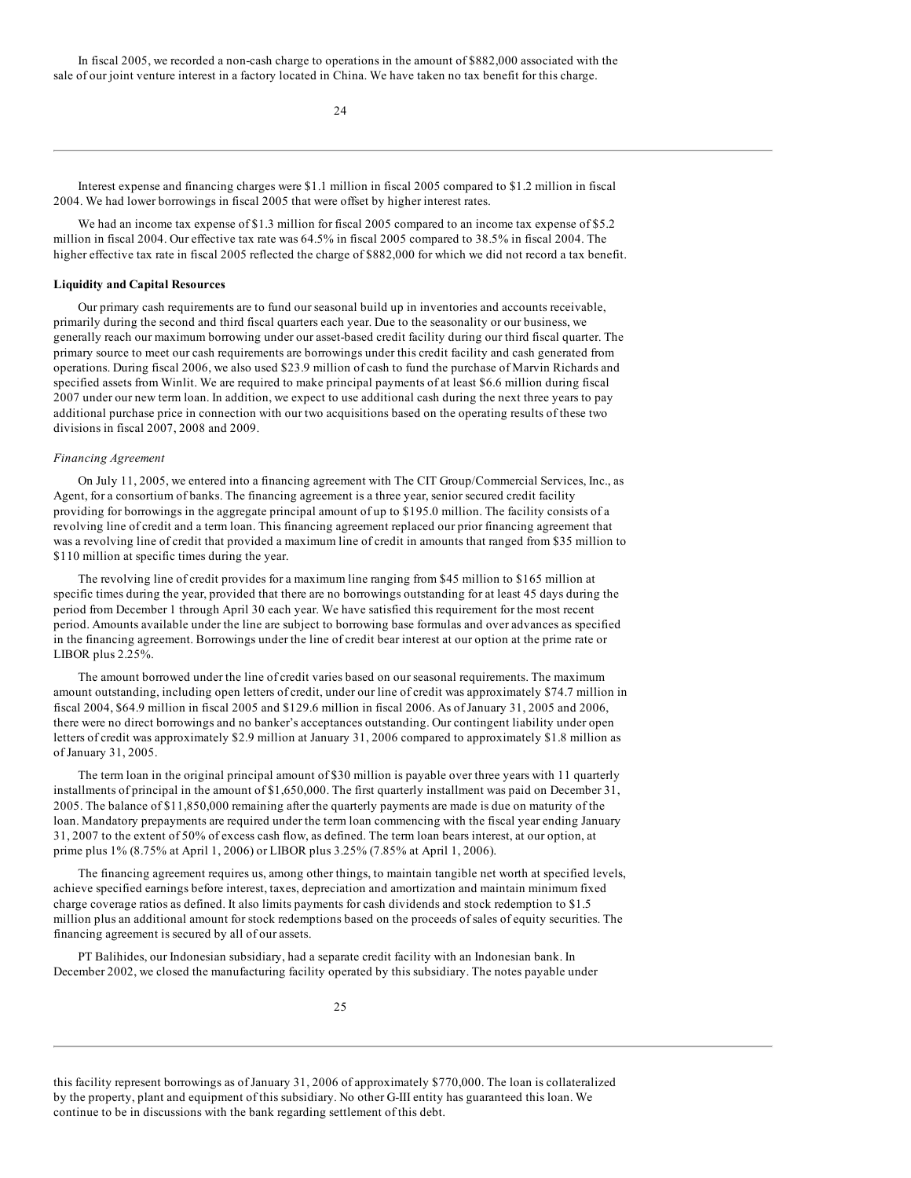In fiscal 2005, we recorded a non-cash charge to operations in the amount of \$882,000 associated with the sale of our joint venture interest in a factory located in China. We have taken no tax benefit for this charge.

Interest expense and financing charges were \$1.1 million in fiscal 2005 compared to \$1.2 million in fiscal 2004. We had lower borrowings in fiscal 2005 that were offset by higher interest rates.

We had an income tax expense of \$1.3 million for fiscal 2005 compared to an income tax expense of \$5.2 million in fiscal 2004. Our effective tax rate was 64.5% in fiscal 2005 compared to 38.5% in fiscal 2004. The higher effective tax rate in fiscal 2005 reflected the charge of \$882,000 for which we did not record a tax benefit.

#### **Liquidity and Capital Resources**

Our primary cash requirements are to fund our seasonal build up in inventories and accounts receivable, primarily during the second and third fiscal quarters each year. Due to the seasonality or our business, we generally reach our maximum borrowing under our asset-based credit facility during our third fiscal quarter. The primary source to meet our cash requirements are borrowings under this credit facility and cash generated from operations. During fiscal 2006, we also used \$23.9 million of cash to fund the purchase of Marvin Richards and specified assets from Winlit. We are required to make principal payments of at least \$6.6 million during fiscal 2007 under our new term loan. In addition, we expect to use additional cash during the next three years to pay additional purchase price in connection with our two acquisitions based on the operating results of these two divisions in fiscal 2007, 2008 and 2009.

#### *Financing Agreement*

On July 11, 2005, we entered into a financing agreement with The CIT Group/Commercial Services, Inc., as Agent, for a consortium of banks. The financing agreement is a three year, senior secured credit facility providing for borrowings in the aggregate principal amount of up to \$195.0 million. The facility consists of a revolving line of credit and a term loan. This financing agreement replaced our prior financing agreement that was a revolving line of credit that provided a maximum line of credit in amounts that ranged from \$35 million to \$110 million at specific times during the year.

The revolving line of credit provides for a maximum line ranging from \$45 million to \$165 million at specific times during the year, provided that there are no borrowings outstanding for at least 45 days during the period from December 1 through April 30 each year. We have satisfied this requirement for the most recent period. Amounts available under the line are subject to borrowing base formulas and over advances as specified in the financing agreement. Borrowings under the line of credit bear interest at our option at the prime rate or LIBOR plus 2.25%.

The amount borrowed under the line of credit varies based on our seasonal requirements. The maximum amount outstanding, including open letters of credit, under our line of credit was approximately \$74.7 million in fiscal 2004, \$64.9 million in fiscal 2005 and \$129.6 million in fiscal 2006. As of January 31, 2005 and 2006, there were no direct borrowings and no banker's acceptances outstanding. Our contingent liability under open letters of credit was approximately \$2.9 million at January 31, 2006 compared to approximately \$1.8 million as of January 31, 2005.

The term loan in the original principal amount of \$30 million is payable over three years with 11 quarterly installments of principal in the amount of \$1,650,000. The first quarterly installment was paid on December 31, 2005. The balance of \$11,850,000 remaining after the quarterly payments are made is due on maturity of the loan. Mandatory prepayments are required under the term loan commencing with the fiscal year ending January 31, 2007 to the extent of 50% of excess cash flow, as defined. The term loan bears interest, at our option, at prime plus 1% (8.75% at April 1, 2006) or LIBOR plus 3.25% (7.85% at April 1, 2006).

The financing agreement requires us, among other things, to maintain tangible net worth at specified levels, achieve specified earnings before interest, taxes, depreciation and amortization and maintain minimum fixed charge coverage ratios as defined. It also limits payments for cash dividends and stock redemption to \$1.5 million plus an additional amount for stock redemptions based on the proceeds of sales of equity securities. The financing agreement is secured by all of our assets.

PT Balihides, our Indonesian subsidiary, had a separate credit facility with an Indonesian bank. In December 2002, we closed the manufacturing facility operated by this subsidiary. The notes payable under

this facility represent borrowings as of January 31, 2006 of approximately \$770,000. The loan is collateralized by the property, plant and equipment of this subsidiary. No other G-III entity has guaranteed this loan. We continue to be in discussions with the bank regarding settlement of this debt.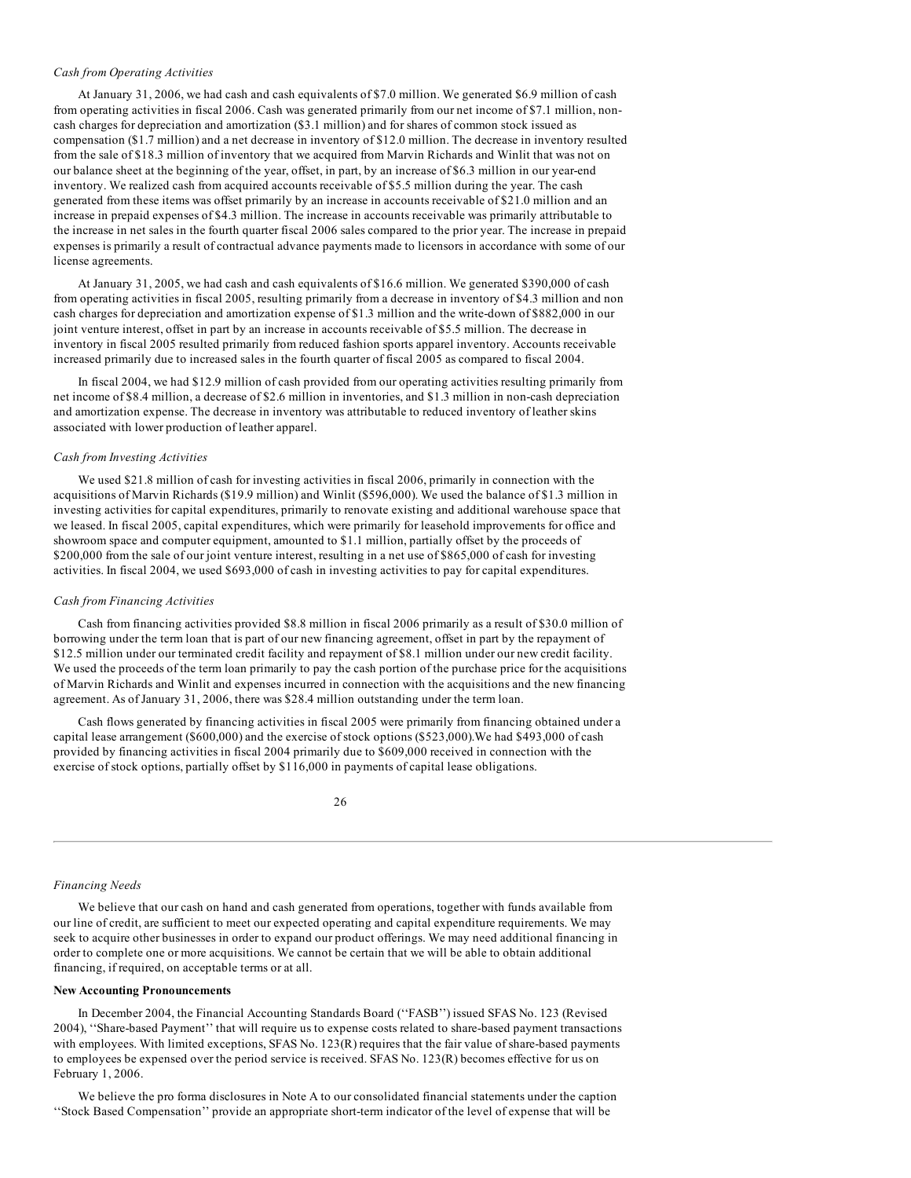#### *Cash from Operating Activities*

At January 31, 2006, we had cash and cash equivalents of \$7.0 million. We generated \$6.9 million of cash from operating activities in fiscal 2006. Cash was generated primarily from our net income of \$7.1 million, noncash charges for depreciation and amortization (\$3.1 million) and for shares of common stock issued as compensation (\$1.7 million) and a net decrease in inventory of \$12.0 million. The decrease in inventory resulted from the sale of \$18.3 million of inventory that we acquired from Marvin Richards and Winlit that was not on our balance sheet at the beginning of the year, offset, in part, by an increase of \$6.3 million in our year-end inventory. We realized cash from acquired accounts receivable of \$5.5 million during the year. The cash generated from these items was offset primarily by an increase in accounts receivable of \$21.0 million and an increase in prepaid expenses of \$4.3 million. The increase in accounts receivable was primarily attributable to the increase in net sales in the fourth quarter fiscal 2006 sales compared to the prior year. The increase in prepaid expenses is primarily a result of contractual advance payments made to licensors in accordance with some of our license agreements.

At January 31, 2005, we had cash and cash equivalents of \$16.6 million. We generated \$390,000 of cash from operating activities in fiscal 2005, resulting primarily from a decrease in inventory of \$4.3 million and non cash charges for depreciation and amortization expense of \$1.3 million and the write-down of \$882,000 in our joint venture interest, offset in part by an increase in accounts receivable of \$5.5 million. The decrease in inventory in fiscal 2005 resulted primarily from reduced fashion sports apparel inventory. Accounts receivable increased primarily due to increased sales in the fourth quarter of fiscal 2005 as compared to fiscal 2004.

In fiscal 2004, we had \$12.9 million of cash provided from our operating activities resulting primarily from net income of \$8.4 million, a decrease of \$2.6 million in inventories, and \$1.3 million in non-cash depreciation and amortization expense. The decrease in inventory was attributable to reduced inventory of leather skins associated with lower production of leather apparel.

#### *Cash from Investing Activities*

We used \$21.8 million of cash for investing activities in fiscal 2006, primarily in connection with the acquisitions of Marvin Richards (\$19.9 million) and Winlit (\$596,000). We used the balance of \$1.3 million in investing activities for capital expenditures, primarily to renovate existing and additional warehouse space that we leased. In fiscal 2005, capital expenditures, which were primarily for leasehold improvements for office and showroom space and computer equipment, amounted to \$1.1 million, partially offset by the proceeds of \$200,000 from the sale of our joint venture interest, resulting in a net use of \$865,000 of cash for investing activities. In fiscal 2004, we used \$693,000 of cash in investing activities to pay for capital expenditures.

#### *Cash from Financing Activities*

Cash from financing activities provided \$8.8 million in fiscal 2006 primarily as a result of \$30.0 million of borrowing under the term loan that is part of our new financing agreement, offset in part by the repayment of \$12.5 million under our terminated credit facility and repayment of \$8.1 million under our new credit facility. We used the proceeds of the term loan primarily to pay the cash portion of the purchase price for the acquisitions of Marvin Richards and Winlit and expenses incurred in connection with the acquisitions and the new financing agreement. As of January 31, 2006, there was \$28.4 million outstanding under the term loan.

Cash flows generated by financing activities in fiscal 2005 were primarily from financing obtained under a capital lease arrangement (\$600,000) and the exercise of stock options (\$523,000).We had \$493,000 of cash provided by financing activities in fiscal 2004 primarily due to \$609,000 received in connection with the exercise of stock options, partially offset by \$116,000 in payments of capital lease obligations.

## 26

## *Financing Needs*

We believe that our cash on hand and cash generated from operations, together with funds available from our line of credit, are sufficient to meet our expected operating and capital expenditure requirements. We may seek to acquire other businesses in order to expand our product offerings. We may need additional financing in order to complete one or more acquisitions. We cannot be certain that we will be able to obtain additional financing, if required, on acceptable terms or at all.

#### **New Accounting Pronouncements**

In December 2004, the Financial Accounting Standards Board (''FASB'') issued SFAS No. 123 (Revised 2004), ''Share-based Payment'' that will require us to expense costs related to share-based payment transactions with employees. With limited exceptions, SFAS No. 123(R) requires that the fair value of share-based payments to employees be expensed over the period service is received. SFAS No. 123(R) becomes effective for us on February 1, 2006.

We believe the pro forma disclosures in Note A to our consolidated financial statements under the caption ''Stock Based Compensation'' provide an appropriate short-term indicator of the level of expense that will be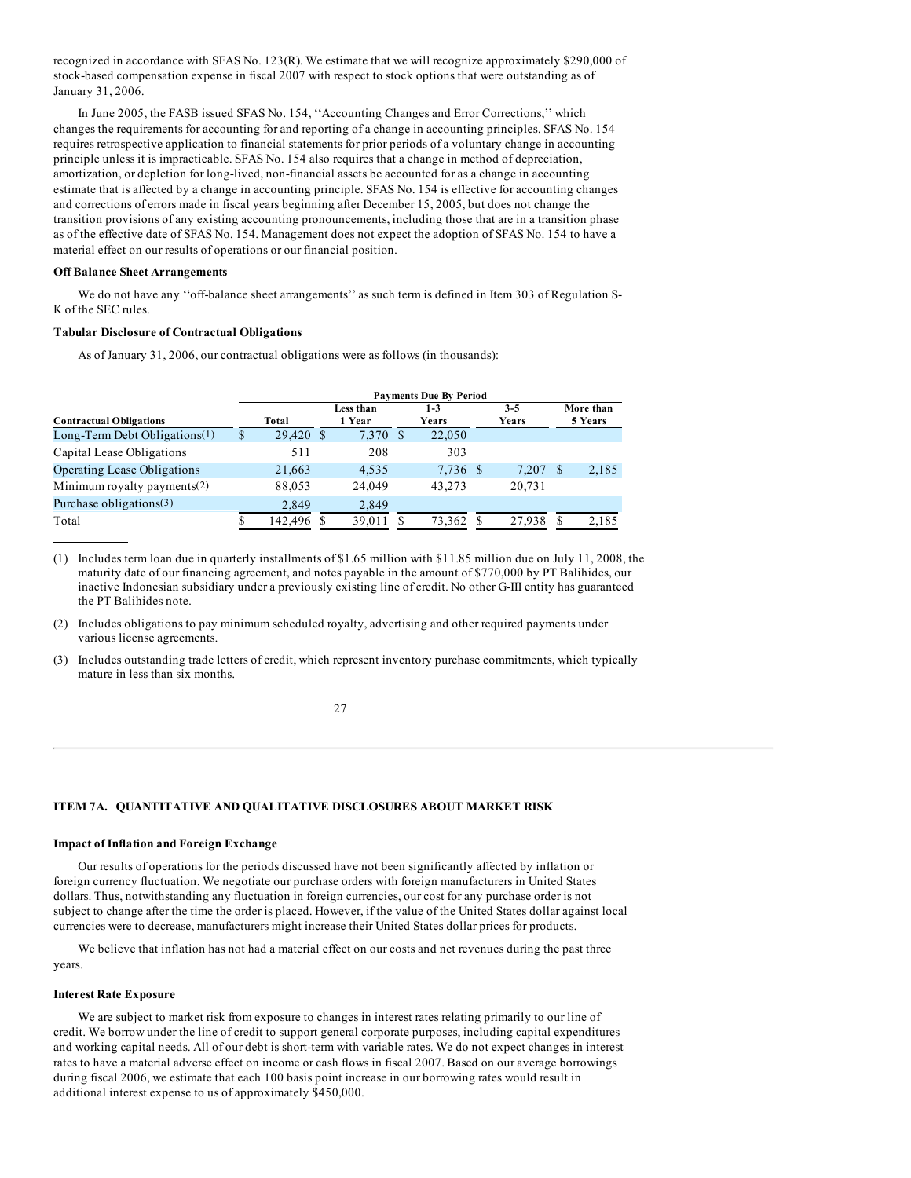recognized in accordance with SFAS No. 123(R). We estimate that we will recognize approximately \$290,000 of stock-based compensation expense in fiscal 2007 with respect to stock options that were outstanding as of January 31, 2006.

In June 2005, the FASB issued SFAS No. 154, ''Accounting Changes and Error Corrections,'' which changes the requirements for accounting for and reporting of a change in accounting principles. SFAS No. 154 requires retrospective application to financial statements for prior periods of a voluntary change in accounting principle unless it is impracticable. SFAS No. 154 also requires that a change in method of depreciation, amortization, or depletion for long-lived, non-financial assets be accounted for as a change in accounting estimate that is affected by a change in accounting principle. SFAS No. 154 is effective for accounting changes and corrections of errors made in fiscal years beginning after December 15, 2005, but does not change the transition provisions of any existing accounting pronouncements, including those that are in a transition phase as of the effective date of SFAS No. 154. Management does not expect the adoption of SFAS No. 154 to have a material effect on our results of operations or our financial position.

#### **Off Balance Sheet Arrangements**

We do not have any "off-balance sheet arrangements" as such term is defined in Item 303 of Regulation S-K of the SEC rules.

#### **Tabular Disclosure of Contractual Obligations**

As of January 31, 2006, our contractual obligations were as follows (in thousands):

|                                    |    |         |                     | <b>Payments Due By Period</b> |      |                  |   |                      |
|------------------------------------|----|---------|---------------------|-------------------------------|------|------------------|---|----------------------|
| <b>Contractual Obligations</b>     |    | Total   | Less than<br>1 Year | $1 - 3$<br>Years              |      | $3 - 5$<br>Years |   | More than<br>5 Years |
| Long-Term Debt Obligations $(1)$   | \$ | 29,420  | 7.370               | 22,050                        |      |                  |   |                      |
| Capital Lease Obligations          |    | 511     | 208                 | 303                           |      |                  |   |                      |
| <b>Operating Lease Obligations</b> |    | 21,663  | 4,535               | 7,736                         | - \$ | 7.207            | S | 2,185                |
| Minimum royalty payments $(2)$     |    | 88,053  | 24,049              | 43.273                        |      | 20,731           |   |                      |
| Purchase obligations $(3)$         |    | 2,849   | 2,849               |                               |      |                  |   |                      |
| Total                              |    | 142.496 | 39.011              | 73,362                        |      | 27.938           |   | 2,185                |

(1) Includes term loan due in quarterly installments of \$1.65 million with \$11.85 million due on July 11, 2008, the maturity date of our financing agreement, and notes payable in the amount of \$770,000 by PT Balihides, our inactive Indonesian subsidiary under a previously existing line of credit. No other G-III entity has guaranteed the PT Balihides note.

- (2) Includes obligations to pay minimum scheduled royalty, advertising and other required payments under various license agreements.
- (3) Includes outstanding trade letters of credit, which represent inventory purchase commitments, which typically mature in less than six months.

### 27

## **ITEM 7A. QUANTITATIVE AND QUALITATIVE DISCLOSURES ABOUT MARKET RISK**

## **Impact of Inflation and Foreign Exchange**

Our results of operations for the periods discussed have not been significantly affected by inflation or foreign currency fluctuation. We negotiate our purchase orders with foreign manufacturers in United States dollars. Thus, notwithstanding any fluctuation in foreign currencies, our cost for any purchase order is not subject to change after the time the order is placed. However, if the value of the United States dollar against local currencies were to decrease, manufacturers might increase their United States dollar prices for products.

We believe that inflation has not had a material effect on our costs and net revenues during the past three years.

## **Interest Rate Exposure**

We are subject to market risk from exposure to changes in interest rates relating primarily to our line of credit. We borrow under the line of credit to support general corporate purposes, including capital expenditures and working capital needs. All of our debt is short-term with variable rates. We do not expect changes in interest rates to have a material adverse effect on income or cash flows in fiscal 2007. Based on our average borrowings during fiscal 2006, we estimate that each 100 basis point increase in our borrowing rates would result in additional interest expense to us of approximately \$450,000.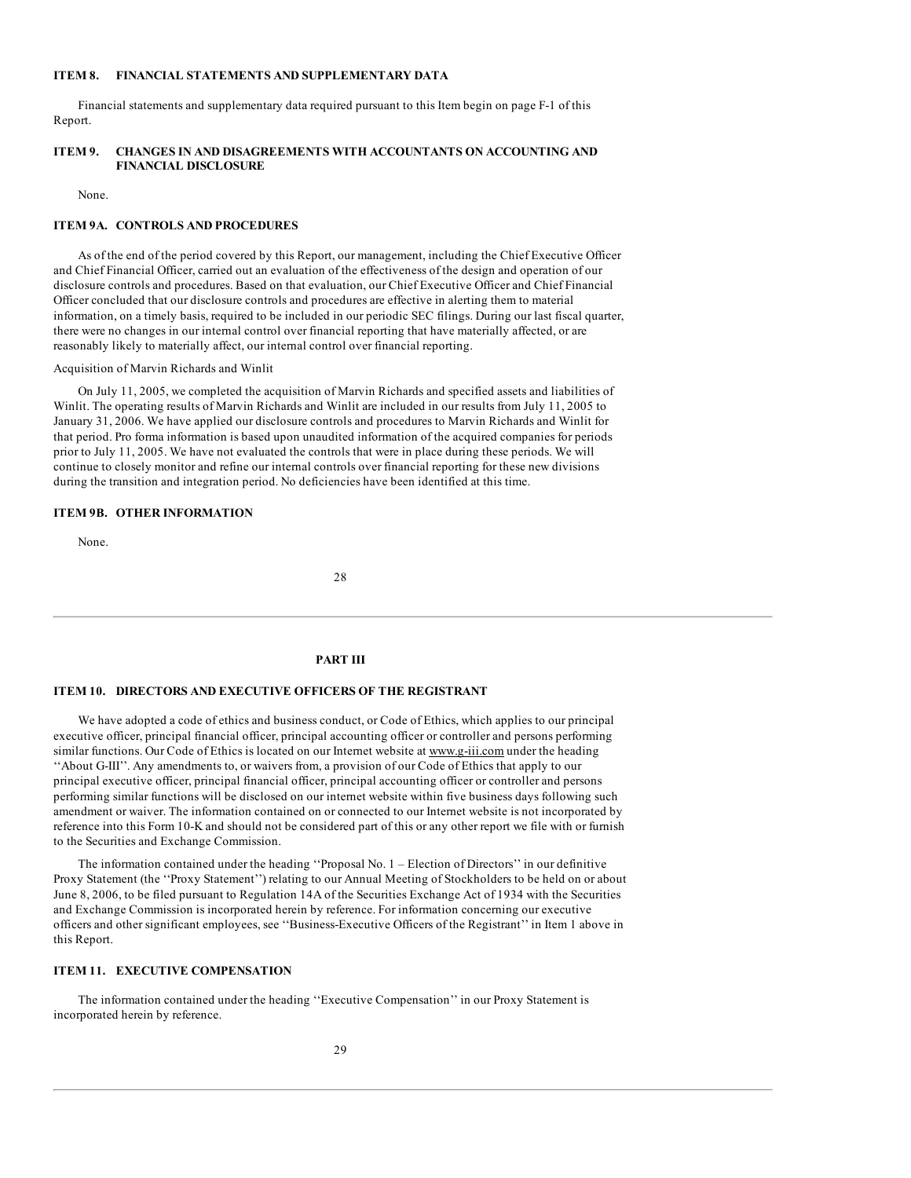## **ITEM 8. FINANCIAL STATEMENTS AND SUPPLEMENTARY DATA**

Financial statements and supplementary data required pursuant to this Item begin on page F-1 of this Report.

#### **ITEM 9. CHANGES IN AND DISAGREEMENTS WITH ACCOUNTANTS ON ACCOUNTING AND FINANCIAL DISCLOSURE**

None.

## **ITEM 9A. CONTROLS AND PROCEDURES**

As of the end of the period covered by this Report, our management, including the Chief Executive Officer and Chief Financial Officer, carried out an evaluation of the effectiveness of the design and operation of our disclosure controls and procedures. Based on that evaluation, our Chief Executive Officer and Chief Financial Officer concluded that our disclosure controls and procedures are effective in alerting them to material information, on a timely basis, required to be included in our periodic SEC filings. During our last fiscal quarter, there were no changes in our internal control over financial reporting that have materially affected, or are reasonably likely to materially affect, our internal control over financial reporting.

#### Acquisition of Marvin Richards and Winlit

On July 11, 2005, we completed the acquisition of Marvin Richards and specified assets and liabilities of Winlit. The operating results of Marvin Richards and Winlit are included in our results from July 11, 2005 to January 31, 2006. We have applied our disclosure controls and procedures to Marvin Richards and Winlit for that period. Pro forma information is based upon unaudited information of the acquired companies for periods prior to July 11, 2005. We have not evaluated the controls that were in place during these periods. We will continue to closely monitor and refine our internal controls over financial reporting for these new divisions during the transition and integration period. No deficiencies have been identified at this time.

## **ITEM 9B. OTHER INFORMATION**

None.

28

## **PART III**

#### **ITEM 10. DIRECTORS AND EXECUTIVE OFFICERS OF THE REGISTRANT**

We have adopted a code of ethics and business conduct, or Code of Ethics, which applies to our principal executive officer, principal financial officer, principal accounting officer or controller and persons performing similar functions. Our Code of Ethics is located on our Internet website at www.g-iii.com under the heading ''About G-III''. Any amendments to, or waivers from, a provision of our Code of Ethics that apply to our principal executive officer, principal financial officer, principal accounting officer or controller and persons performing similar functions will be disclosed on our internet website within five business days following such amendment or waiver. The information contained on or connected to our Internet website is not incorporated by reference into this Form 10-K and should not be considered part of this or any other report we file with or furnish to the Securities and Exchange Commission.

The information contained under the heading ''Proposal No. 1 – Election of Directors'' in our definitive Proxy Statement (the ''Proxy Statement'') relating to our Annual Meeting of Stockholders to be held on or about June 8, 2006, to be filed pursuant to Regulation 14A of the Securities Exchange Act of 1934 with the Securities and Exchange Commission is incorporated herein by reference. For information concerning our executive officers and other significant employees, see ''Business-Executive Officers of the Registrant'' in Item 1 above in this Report.

## **ITEM 11. EXECUTIVE COMPENSATION**

The information contained under the heading ''Executive Compensation'' in our Proxy Statement is incorporated herein by reference.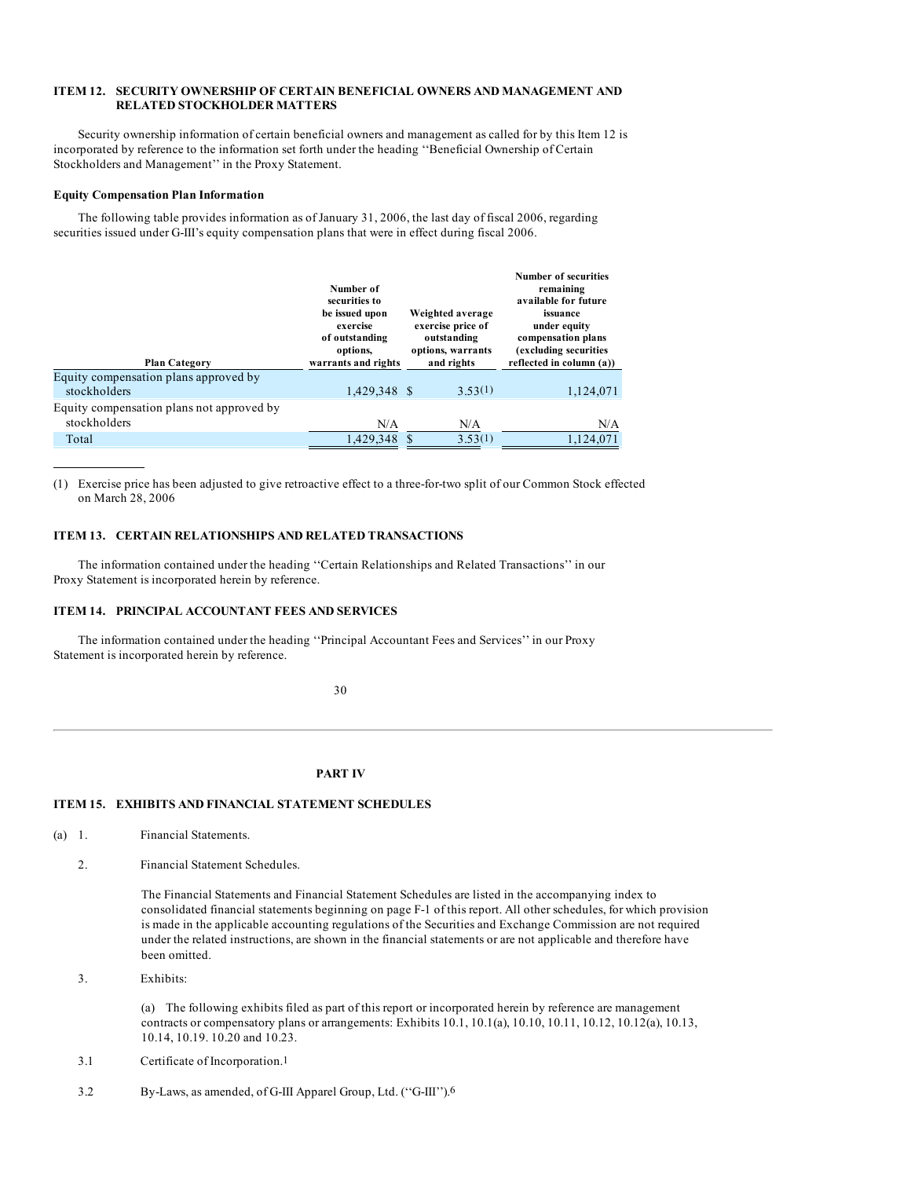## **ITEM 12. SECURITY OWNERSHIP OF CERTAIN BENEFICIAL OWNERS AND MANAGEMENT AND RELATED STOCKHOLDER MATTERS**

Security ownership information of certain beneficial owners and management as called for by this Item 12 is incorporated by reference to the information set forth under the heading ''Beneficial Ownership of Certain Stockholders and Management'' in the Proxy Statement.

#### **Equity Compensation Plan Information**

The following table provides information as of January 31, 2006, the last day of fiscal 2006, regarding securities issued under G-III's equity compensation plans that were in effect during fiscal 2006.

| <b>Plan Category</b>                                      | Number of<br>securities to<br>be issued upon<br>exercise<br>of outstanding<br>options.<br>warrants and rights | <b>Number of securities</b><br>remaining<br>available for future<br>Weighted average<br>issuance<br>under equity<br>compensation plans<br>(excluding securities<br>options, warrants<br>reflected in column (a)) |           |
|-----------------------------------------------------------|---------------------------------------------------------------------------------------------------------------|------------------------------------------------------------------------------------------------------------------------------------------------------------------------------------------------------------------|-----------|
| Equity compensation plans approved by<br>stockholders     | 1,429,348 \$                                                                                                  | 3.53(1)                                                                                                                                                                                                          | 1,124,071 |
| Equity compensation plans not approved by<br>stockholders | N/A                                                                                                           | N/A                                                                                                                                                                                                              | N/A       |
| Total                                                     | 1,429,348                                                                                                     | 3.53(1)                                                                                                                                                                                                          | 1,124,071 |

(1) Exercise price has been adjusted to give retroactive effect to a three-for-two split of our Common Stock effected on March 28, 2006

## **ITEM 13. CERTAIN RELATIONSHIPS AND RELATED TRANSACTIONS**

The information contained under the heading ''Certain Relationships and Related Transactions'' in our Proxy Statement is incorporated herein by reference.

#### **ITEM 14. PRINCIPAL ACCOUNTANT FEES AND SERVICES**

The information contained under the heading ''Principal Accountant Fees and Services'' in our Proxy Statement is incorporated herein by reference.

30

## **PART IV**

#### **ITEM 15. EXHIBITS AND FINANCIAL STATEMENT SCHEDULES**

- (a) 1. Financial Statements.
	- 2. Financial Statement Schedules.

The Financial Statements and Financial Statement Schedules are listed in the accompanying index to consolidated financial statements beginning on page F-1 of this report. All other schedules, for which provision is made in the applicable accounting regulations of the Securities and Exchange Commission are not required under the related instructions, are shown in the financial statements or are not applicable and therefore have been omitted.

3. Exhibits:

(a) The following exhibits filed as part of this report or incorporated herein by reference are management contracts or compensatory plans or arrangements: Exhibits 10.1, 10.1(a), 10.10, 10.11, 10.12, 10.12(a), 10.13, 10.14, 10.19. 10.20 and 10.23.

- 3.1 Certificate of Incorporation.1
- 3.2 By-Laws, as amended, of G-III Apparel Group, Ltd. (''G-III'').6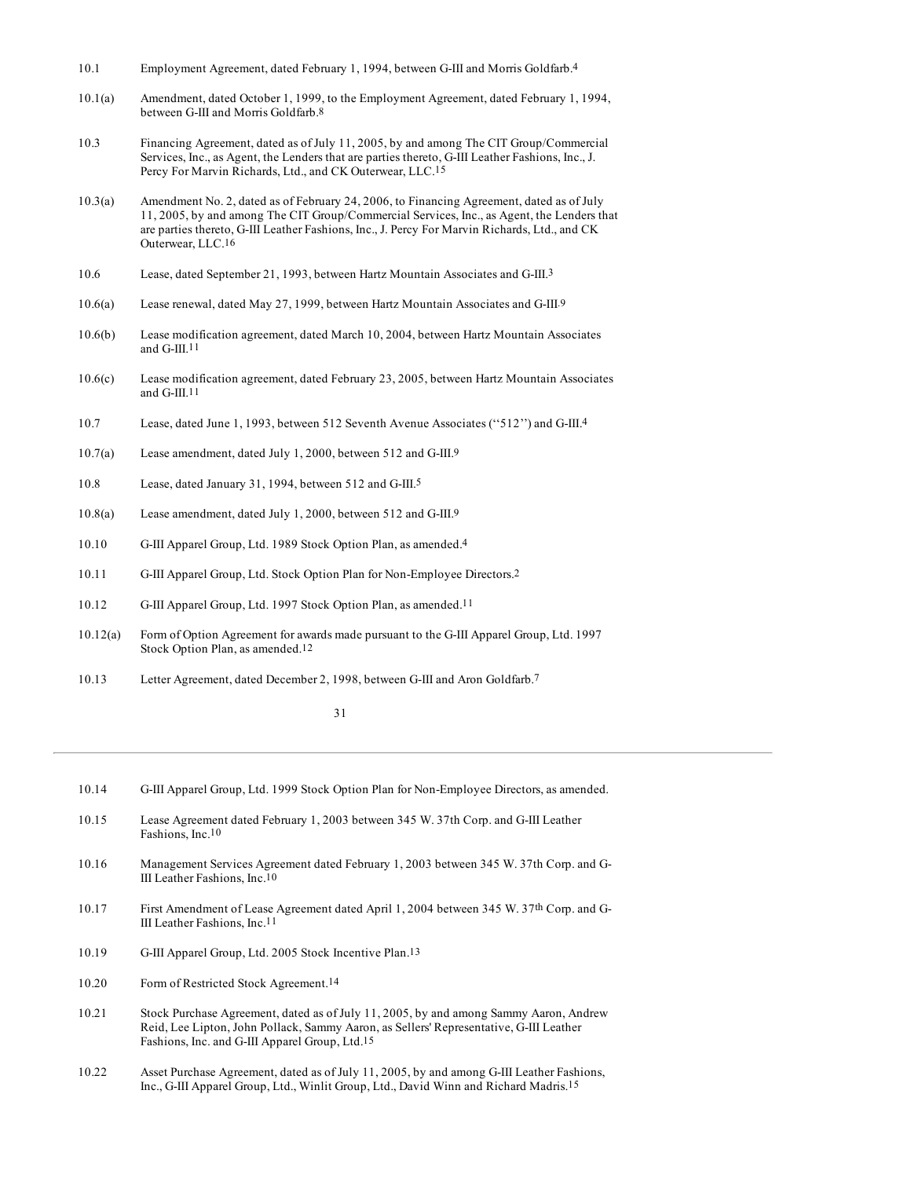| 10.1    | Employment Agreement, dated February 1, 1994, between G-III and Morris Goldfarb. <sup>4</sup>                                                                                                                                                                                                                            |
|---------|--------------------------------------------------------------------------------------------------------------------------------------------------------------------------------------------------------------------------------------------------------------------------------------------------------------------------|
| 10.1(a) | Amendment, dated October 1, 1999, to the Employment Agreement, dated February 1, 1994,<br>between G-III and Morris Goldfarb.8                                                                                                                                                                                            |
| 10.3    | Financing Agreement, dated as of July 11, 2005, by and among The CIT Group/Commercial<br>Services, Inc., as Agent, the Lenders that are parties thereto, G-III Leather Fashions, Inc., J.<br>Percy For Marvin Richards, Ltd., and CK Outerwear, LLC.15                                                                   |
| 10.3(a) | Amendment No. 2, dated as of February 24, 2006, to Financing Agreement, dated as of July<br>11, 2005, by and among The CIT Group/Commercial Services, Inc., as Agent, the Lenders that<br>are parties thereto, G-III Leather Fashions, Inc., J. Percy For Marvin Richards, Ltd., and CK<br>Outerwear, LLC. <sup>16</sup> |
| 10.6    | Lease, dated September 21, 1993, between Hartz Mountain Associates and G-III.3                                                                                                                                                                                                                                           |
| 10.6(a) | Lease renewal, dated May 27, 1999, between Hartz Mountain Associates and G-III.9                                                                                                                                                                                                                                         |
| 10.6(b) | Lease modification agreement, dated March 10, 2004, between Hartz Mountain Associates<br>and G-III.11                                                                                                                                                                                                                    |
| 10.6(c) | Lease modification agreement, dated February 23, 2005, between Hartz Mountain Associates<br>and G-III.11                                                                                                                                                                                                                 |
| 10.7    | Lease, dated June 1, 1993, between 512 Seventh Avenue Associates ("512") and G-III.4                                                                                                                                                                                                                                     |
| 10.7(a) | Lease amendment, dated July 1, 2000, between 512 and G-III.9                                                                                                                                                                                                                                                             |
| 10.8    | Lease, dated January 31, 1994, between 512 and G-III. <sup>5</sup>                                                                                                                                                                                                                                                       |
|         |                                                                                                                                                                                                                                                                                                                          |

- 10.8(a) Lease amendment, dated July 1, 2000, between 512 and G-III.9
- 10.10 G-III Apparel Group, Ltd. 1989 Stock Option Plan, as amended.4
- 10.11 G-III Apparel Group, Ltd. Stock Option Plan for Non-Employee Directors.2
- 10.12 G-III Apparel Group, Ltd. 1997 Stock Option Plan, as amended.11
- 10.12(a) Form of Option Agreement for awards made pursuant to the G-III Apparel Group, Ltd. 1997 Stock Option Plan, as amended.12
- 10.13 Letter Agreement, dated December 2, 1998, between G-III and Aron Goldfarb.7

31

| 10.14 | G-III Apparel Group, Ltd. 1999 Stock Option Plan for Non-Employee Directors, as amended.                                                                                                                                                      |
|-------|-----------------------------------------------------------------------------------------------------------------------------------------------------------------------------------------------------------------------------------------------|
| 10.15 | Lease Agreement dated February 1, 2003 between 345 W, 37th Corp. and G-III Leather<br>Fashions, Inc. <sup>10</sup>                                                                                                                            |
| 10.16 | Management Services Agreement dated February 1, 2003 between 345 W. 37th Corp. and G-<br>III Leather Fashions, Inc.10                                                                                                                         |
| 10.17 | First Amendment of Lease Agreement dated April 1, 2004 between 345 W. 37th Corp. and G-<br>III Leather Fashions, Inc. <sup>11</sup>                                                                                                           |
| 10.19 | G-III Apparel Group, Ltd. 2005 Stock Incentive Plan. <sup>13</sup>                                                                                                                                                                            |
| 10.20 | Form of Restricted Stock Agreement. <sup>14</sup>                                                                                                                                                                                             |
| 10.21 | Stock Purchase Agreement, dated as of July 11, 2005, by and among Sammy Aaron, Andrew<br>Reid, Lee Lipton, John Pollack, Sammy Aaron, as Sellers' Representative, G-III Leather<br>Fashions, Inc. and G-III Apparel Group, Ltd. <sup>15</sup> |

10.22 Asset Purchase Agreement, dated as of July 11, 2005, by and among G-III Leather Fashions, Inc., G-III Apparel Group, Ltd., Winlit Group, Ltd., David Winn and Richard Madris.15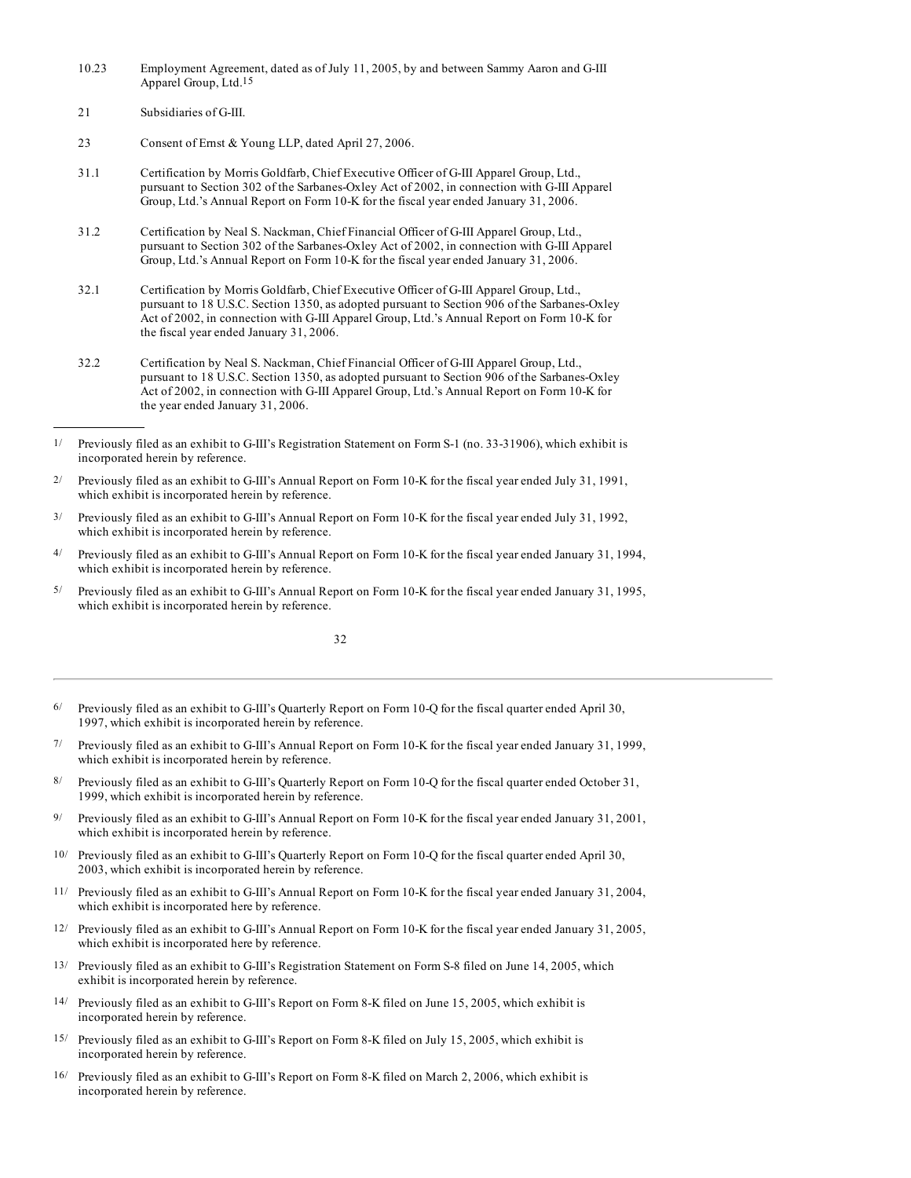| 10.23 | Employment Agreement, dated as of July 11, 2005, by and between Sammy Aaron and G-III |
|-------|---------------------------------------------------------------------------------------|
|       | Apparel Group, Ltd. <sup>15</sup>                                                     |

21 Subsidiaries of G-III.

23 Consent of Ernst & Young LLP, dated April 27, 2006.

- 31.1 Certification by Morris Goldfarb, Chief Executive Officer of G-III Apparel Group, Ltd., pursuant to Section 302 of the Sarbanes-Oxley Act of 2002, in connection with G-III Apparel Group, Ltd.'s Annual Report on Form 10-K for the fiscal year ended January 31, 2006.
- 31.2 Certification by Neal S. Nackman, Chief Financial Officer of G-III Apparel Group, Ltd., pursuant to Section 302 of the Sarbanes-Oxley Act of 2002, in connection with G-III Apparel Group, Ltd.'s Annual Report on Form 10-K for the fiscal year ended January 31, 2006.
- 32.1 Certification by Morris Goldfarb, Chief Executive Officer of G-III Apparel Group, Ltd., pursuant to 18 U.S.C. Section 1350, as adopted pursuant to Section 906 of the Sarbanes-Oxley Act of 2002, in connection with G-III Apparel Group, Ltd.'s Annual Report on Form 10-K for the fiscal year ended January 31, 2006.
- 32.2 Certification by Neal S. Nackman, Chief Financial Officer of G-III Apparel Group, Ltd., pursuant to 18 U.S.C. Section 1350, as adopted pursuant to Section 906 of the Sarbanes-Oxley Act of 2002, in connection with G-III Apparel Group, Ltd.'s Annual Report on Form 10-K for the year ended January 31, 2006.
- 1/ Previously filed as an exhibit to G-III's Registration Statement on Form S-1 (no. 33-31906), which exhibit is incorporated herein by reference.
- 2/ Previously filed as an exhibit to G-III's Annual Report on Form 10-K for the fiscal year ended July 31, 1991, which exhibit is incorporated herein by reference.
- 3/ Previously filed as an exhibit to G-III's Annual Report on Form 10-K for the fiscal year ended July 31, 1992, which exhibit is incorporated herein by reference.
- 4/ Previously filed as an exhibit to G-III's Annual Report on Form 10-K for the fiscal year ended January 31, 1994, which exhibit is incorporated herein by reference.
- 5/ Previously filed as an exhibit to G-III's Annual Report on Form 10-K for the fiscal year ended January 31, 1995, which exhibit is incorporated herein by reference.

32

- 6/ Previously filed as an exhibit to G-III's Quarterly Report on Form 10-Q for the fiscal quarter ended April 30, 1997, which exhibit is incorporated herein by reference.
- 7/ Previously filed as an exhibit to G-III's Annual Report on Form 10-K for the fiscal year ended January 31, 1999, which exhibit is incorporated herein by reference.
- 8/ Previously filed as an exhibit to G-III's Quarterly Report on Form 10-Q for the fiscal quarter ended October 31, 1999, which exhibit is incorporated herein by reference.
- 9/ Previously filed as an exhibit to G-III's Annual Report on Form 10-K for the fiscal year ended January 31, 2001, which exhibit is incorporated herein by reference.
- 10/ Previously filed as an exhibit to G-III's Quarterly Report on Form 10-Q for the fiscal quarter ended April 30, 2003, which exhibit is incorporated herein by reference.
- 11/ Previously filed as an exhibit to G-III's Annual Report on Form 10-K for the fiscal year ended January 31, 2004, which exhibit is incorporated here by reference.
- 12/ Previously filed as an exhibit to G-III's Annual Report on Form 10-K for the fiscal year ended January 31, 2005, which exhibit is incorporated here by reference.
- 13/ Previously filed as an exhibit to G-III's Registration Statement on Form S-8 filed on June 14, 2005, which exhibit is incorporated herein by reference.
- 14/ Previously filed as an exhibit to G-III's Report on Form 8-K filed on June 15, 2005, which exhibit is incorporated herein by reference.
- 15/ Previously filed as an exhibit to G-III's Report on Form 8-K filed on July 15, 2005, which exhibit is incorporated herein by reference.
- 16/ Previously filed as an exhibit to G-III's Report on Form 8-K filed on March 2, 2006, which exhibit is incorporated herein by reference.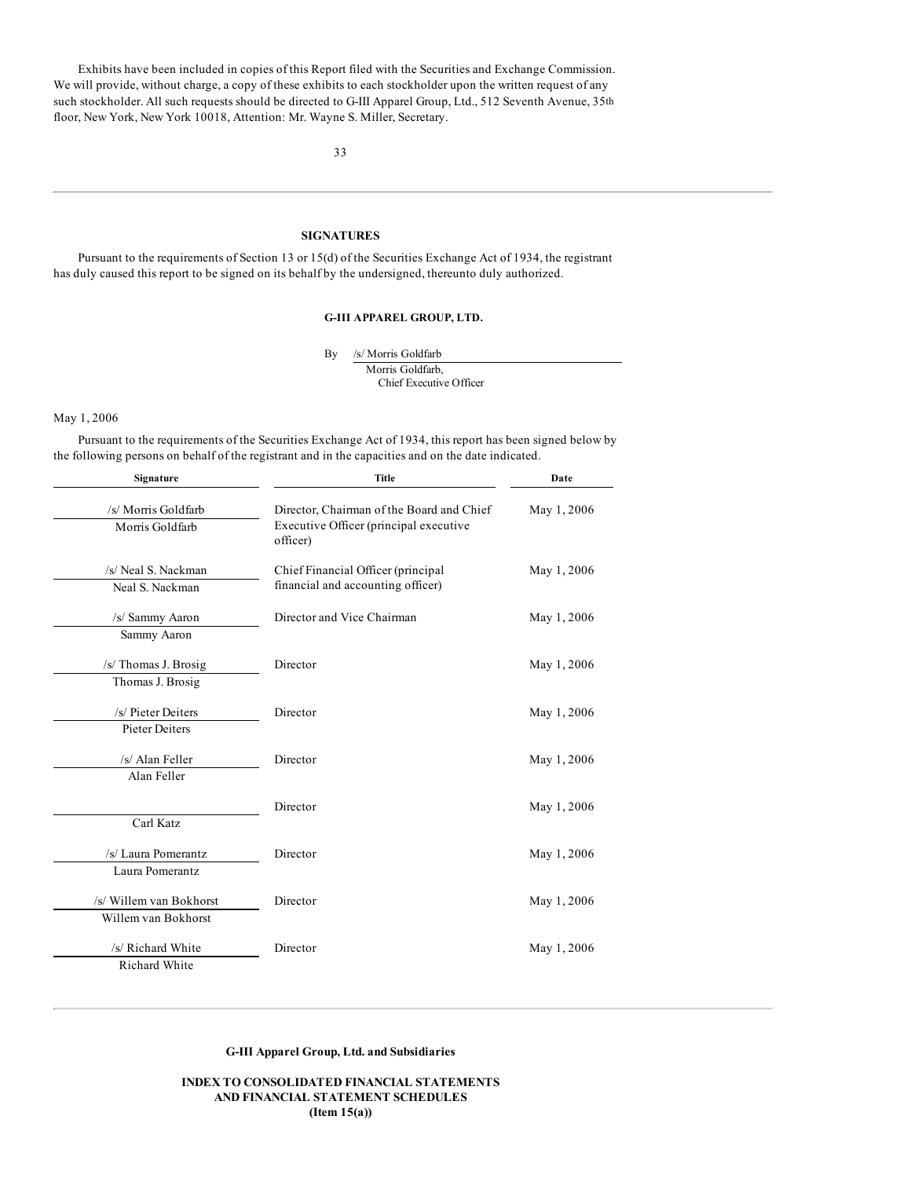Exhibits have been included in copies of this Report filed with the Securities and Exchange Commission. We will provide, without charge, a copy of these exhibits to each stockholder upon the written request of any such stockholder. All such requests should be directed to G-III Apparel Group, Ltd., 512 Seventh Avenue, 35th floor, New York, New York 10018, Attention: Mr. Wayne S. Miller, Secretary.

33

## **SIGNATURES**

Pursuant to the requirements of Section 13 or 15(d) of the Securities Exchange Act of 1934, the registrant has duly caused this report to be signed on its behalf by the undersigned, thereunto duly authorized.

## **G-III APPAREL GROUP, LTD.**

By /s/ Morris Goldfarb Morris Goldfarb, Chief Executive Officer

## May 1, 2006

Pursuant to the requirements of the Securities Exchange Act of 1934, this report has been signed below by the following persons on behalf of the registrant and in the capacities and on the date indicated.

| Signature                              | <b>Title</b>                                                                        | Date        |
|----------------------------------------|-------------------------------------------------------------------------------------|-------------|
| /s/ Morris Goldfarb<br>Morris Goldfarb | Director, Chairman of the Board and Chief<br>Executive Officer (principal executive | May 1,2006  |
|                                        | officer)                                                                            |             |
| /s/ Neal S. Nackman                    | Chief Financial Officer (principal                                                  | May 1,2006  |
| Neal S. Nackman                        | financial and accounting officer)                                                   |             |
| /s/ Sammy Aaron                        | Director and Vice Chairman                                                          | May 1, 2006 |
| Sammy Aaron                            |                                                                                     |             |
| /s/ Thomas J. Brosig                   | Director                                                                            | May 1, 2006 |
| Thomas J. Brosig                       |                                                                                     |             |
| /s/ Pieter Deiters                     | Director                                                                            | May 1,2006  |
| Pieter Deiters                         |                                                                                     |             |
| /s/ Alan Feller                        | Director                                                                            | May 1, 2006 |
| Alan Feller                            |                                                                                     |             |
|                                        | Director                                                                            | May 1,2006  |
| Carl Katz                              |                                                                                     |             |
| /s/ Laura Pomerantz                    | Director                                                                            | May 1,2006  |
| Laura Pomerantz                        |                                                                                     |             |
| /s/ Willem van Bokhorst                | Director                                                                            | May 1,2006  |
| Willem van Bokhorst                    |                                                                                     |             |
| /s/ Richard White                      | Director                                                                            | May 1,2006  |
| Richard White                          |                                                                                     |             |

#### **G-III Apparel Group, Ltd. and Subsidiaries**

## **INDEX TO CONSOLIDATED FINANCIAL STATEMENTS AND FINANCIAL STATEMENT SCHEDULES (Item 15(a))**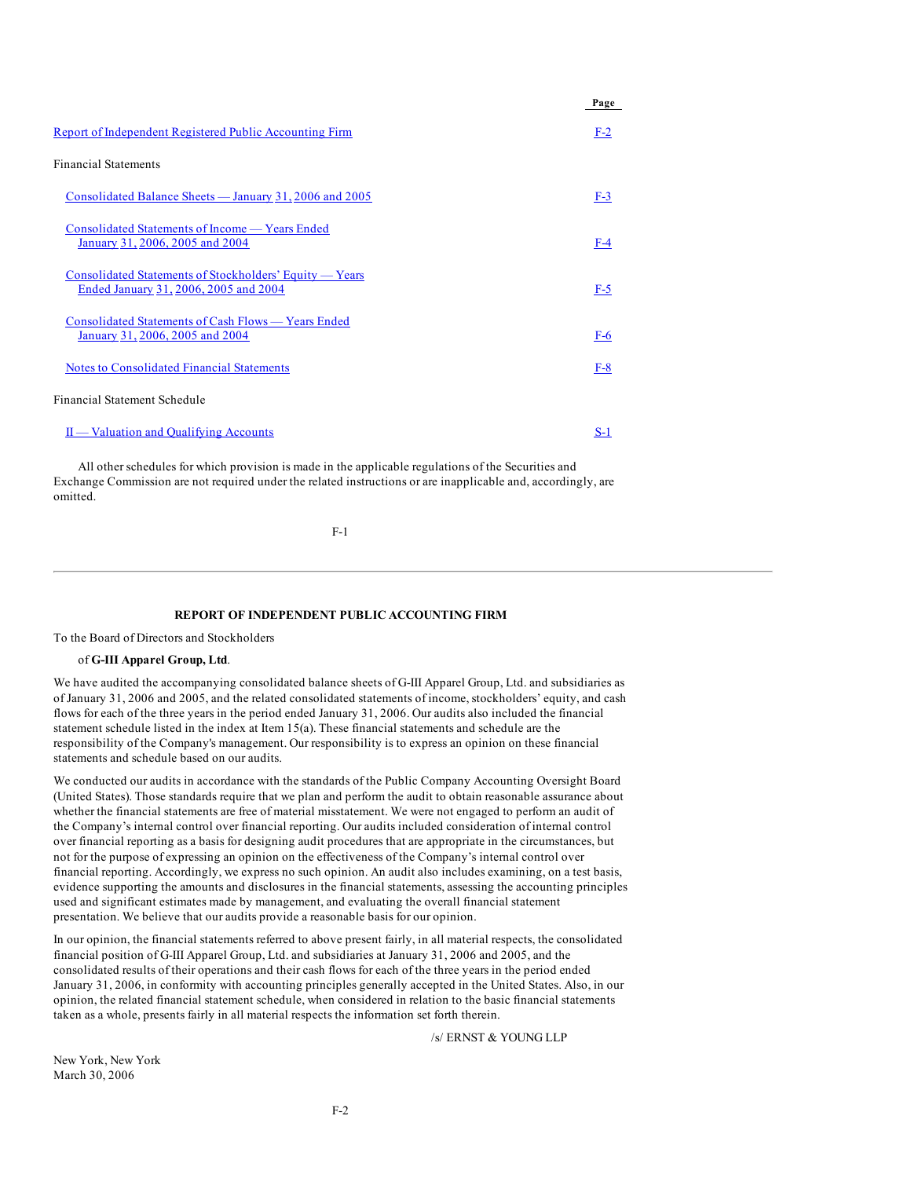|                                                                                                  | Page  |
|--------------------------------------------------------------------------------------------------|-------|
| Report of Independent Registered Public Accounting Firm                                          | $F-2$ |
| <b>Financial Statements</b>                                                                      |       |
| Consolidated Balance Sheets — January 31, 2006 and 2005                                          | $F-3$ |
| Consolidated Statements of Income — Years Ended<br>January 31, 2006, 2005 and 2004               | $F-4$ |
| Consolidated Statements of Stockholders' Equity — Years<br>Ended January 31, 2006, 2005 and 2004 | $F-5$ |
| Consolidated Statements of Cash Flows — Years Ended<br>January 31, 2006, 2005 and 2004           | $F-6$ |
| <b>Notes to Consolidated Financial Statements</b>                                                | $F-8$ |
| Financial Statement Schedule                                                                     |       |
| $II$ — Valuation and Qualifying Accounts                                                         | $S-1$ |

All other schedules for which provision is made in the applicable regulations of the Securities and Exchange Commission are not required under the related instructions or are inapplicable and, accordingly, are omitted.

F-1

## **REPORT OF INDEPENDENT PUBLIC ACCOUNTING FIRM**

To the Board of Directors and Stockholders

## of **G-III Apparel Group, Ltd**.

We have audited the accompanying consolidated balance sheets of G-III Apparel Group, Ltd. and subsidiaries as of January 31, 2006 and 2005, and the related consolidated statements of income, stockholders' equity, and cash flows for each of the three years in the period ended January 31, 2006. Our audits also included the financial statement schedule listed in the index at Item 15(a). These financial statements and schedule are the responsibility of the Company's management. Our responsibility is to express an opinion on these financial statements and schedule based on our audits.

We conducted our audits in accordance with the standards of the Public Company Accounting Oversight Board (United States). Those standards require that we plan and perform the audit to obtain reasonable assurance about whether the financial statements are free of material misstatement. We were not engaged to perform an audit of the Company's internal control over financial reporting. Our audits included consideration of internal control over financial reporting as a basis for designing audit procedures that are appropriate in the circumstances, but not for the purpose of expressing an opinion on the effectiveness of the Company's internal control over financial reporting. Accordingly, we express no such opinion. An audit also includes examining, on a test basis, evidence supporting the amounts and disclosures in the financial statements, assessing the accounting principles used and significant estimates made by management, and evaluating the overall financial statement presentation. We believe that our audits provide a reasonable basis for our opinion.

In our opinion, the financial statements referred to above present fairly, in all material respects, the consolidated financial position of G-III Apparel Group, Ltd. and subsidiaries at January 31, 2006 and 2005, and the consolidated results of their operations and their cash flows for each of the three years in the period ended January 31, 2006, in conformity with accounting principles generally accepted in the United States. Also, in our opinion, the related financial statement schedule, when considered in relation to the basic financial statements taken as a whole, presents fairly in all material respects the information set forth therein.

/s/ ERNST & YOUNG LLP

New York, New York March 30, 2006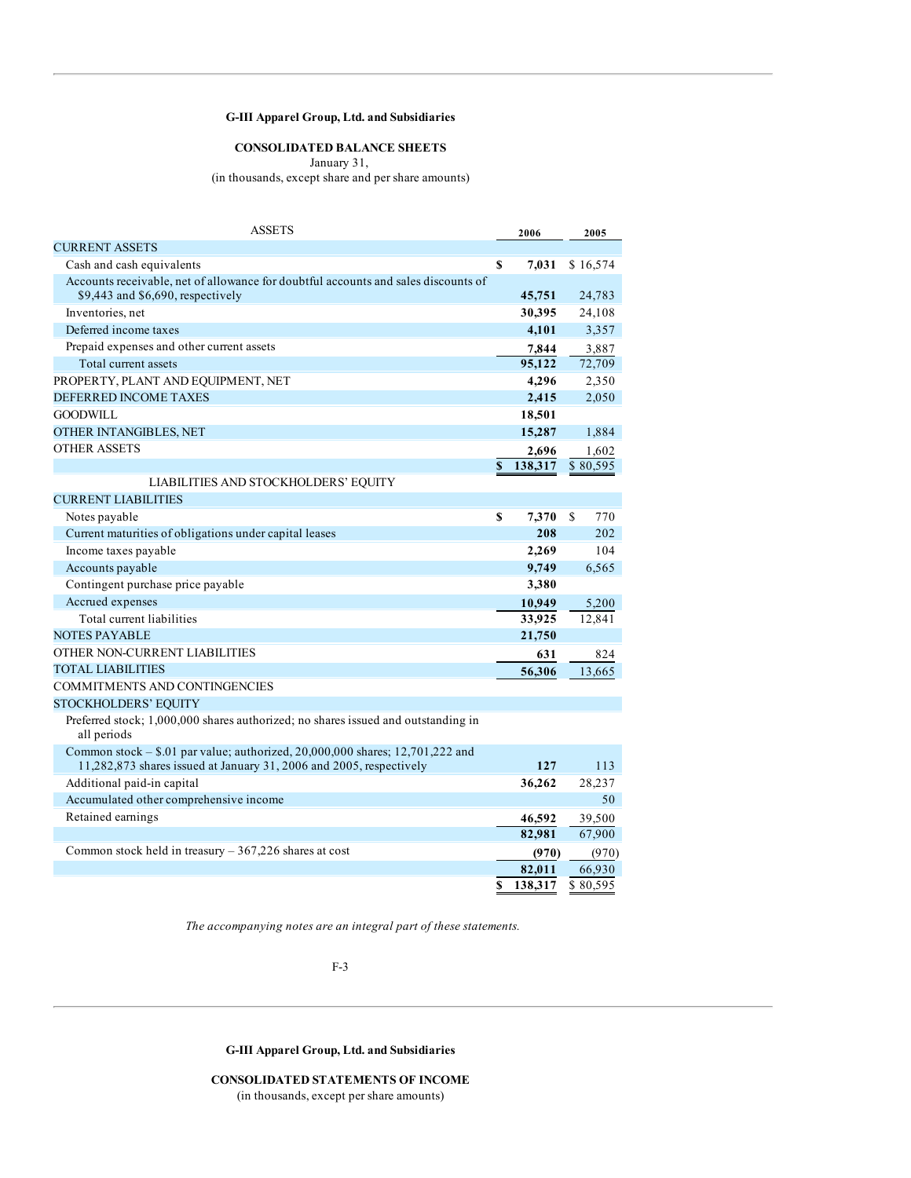## **G-III Apparel Group, Ltd. and Subsidiaries**

## **CONSOLIDATED BALANCE SHEETS**

January 31, (in thousands, except share and per share amounts)

<span id="page-28-0"></span>

| <b>ASSETS</b>                                                                                    |     | 2006    | 2005                 |
|--------------------------------------------------------------------------------------------------|-----|---------|----------------------|
| <b>CURRENT ASSETS</b>                                                                            |     |         |                      |
| Cash and cash equivalents                                                                        | \$  | 7,031   | \$16,574             |
| Accounts receivable, net of allowance for doubtful accounts and sales discounts of               |     |         |                      |
| $$9,443$ and $$6,690$ , respectively                                                             |     | 45,751  | 24,783               |
| Inventories, net                                                                                 |     | 30,395  | 24,108               |
| Deferred income taxes                                                                            |     | 4,101   | 3,357                |
| Prepaid expenses and other current assets                                                        |     | 7,844   | 3,887                |
| Total current assets                                                                             |     | 95,122  | 72,709               |
| PROPERTY, PLANT AND EQUIPMENT, NET                                                               |     | 4,296   | 2,350                |
| DEFERRED INCOME TAXES                                                                            |     | 2,415   | 2,050                |
| <b>GOODWILL</b>                                                                                  |     | 18,501  |                      |
| OTHER INTANGIBLES, NET                                                                           |     | 15,287  | 1,884                |
| <b>OTHER ASSETS</b>                                                                              |     | 2,696   | 1,602                |
|                                                                                                  | \$. | 138,317 | $\overline{$}80,595$ |
| LIABILITIES AND STOCKHOLDERS' EQUITY                                                             |     |         |                      |
| <b>CURRENT LIABILITIES</b>                                                                       |     |         |                      |
| Notes payable                                                                                    | \$  | 7,370   | <sup>\$</sup><br>770 |
| Current maturities of obligations under capital leases                                           |     | 208     | 202                  |
| Income taxes payable                                                                             |     | 2,269   | 104                  |
| Accounts payable                                                                                 |     | 9,749   | 6,565                |
| Contingent purchase price payable                                                                |     | 3,380   |                      |
| Accrued expenses                                                                                 |     | 10,949  | 5,200                |
| Total current liabilities                                                                        |     | 33,925  | 12,841               |
| <b>NOTES PAYABLE</b>                                                                             |     | 21,750  |                      |
| OTHER NON-CURRENT LIABILITIES                                                                    |     | 631     | 824                  |
| <b>TOTAL LIABILITIES</b>                                                                         |     | 56,306  | 13,665               |
| <b>COMMITMENTS AND CONTINGENCIES</b>                                                             |     |         |                      |
| <b>STOCKHOLDERS' EQUITY</b>                                                                      |     |         |                      |
| Preferred stock; 1,000,000 shares authorized; no shares issued and outstanding in<br>all periods |     |         |                      |
| Common stock - \$.01 par value; authorized, 20,000,000 shares; 12,701,222 and                    |     |         |                      |
| 11,282,873 shares issued at January 31, 2006 and 2005, respectively                              |     | 127     | 113                  |
| Additional paid-in capital                                                                       |     | 36,262  | 28,237               |
| Accumulated other comprehensive income                                                           |     |         | 50                   |
| Retained earnings                                                                                |     | 46,592  | 39,500               |
|                                                                                                  |     | 82,981  | 67,900               |
| Common stock held in treasury $-367,226$ shares at cost                                          |     | (970)   | (970)                |
|                                                                                                  |     | 82,011  | 66,930               |
|                                                                                                  | S   | 138,317 | \$80,595             |

*The accompanying notes are an integral part of these statements.*

F-3

**G-III Apparel Group, Ltd. and Subsidiaries**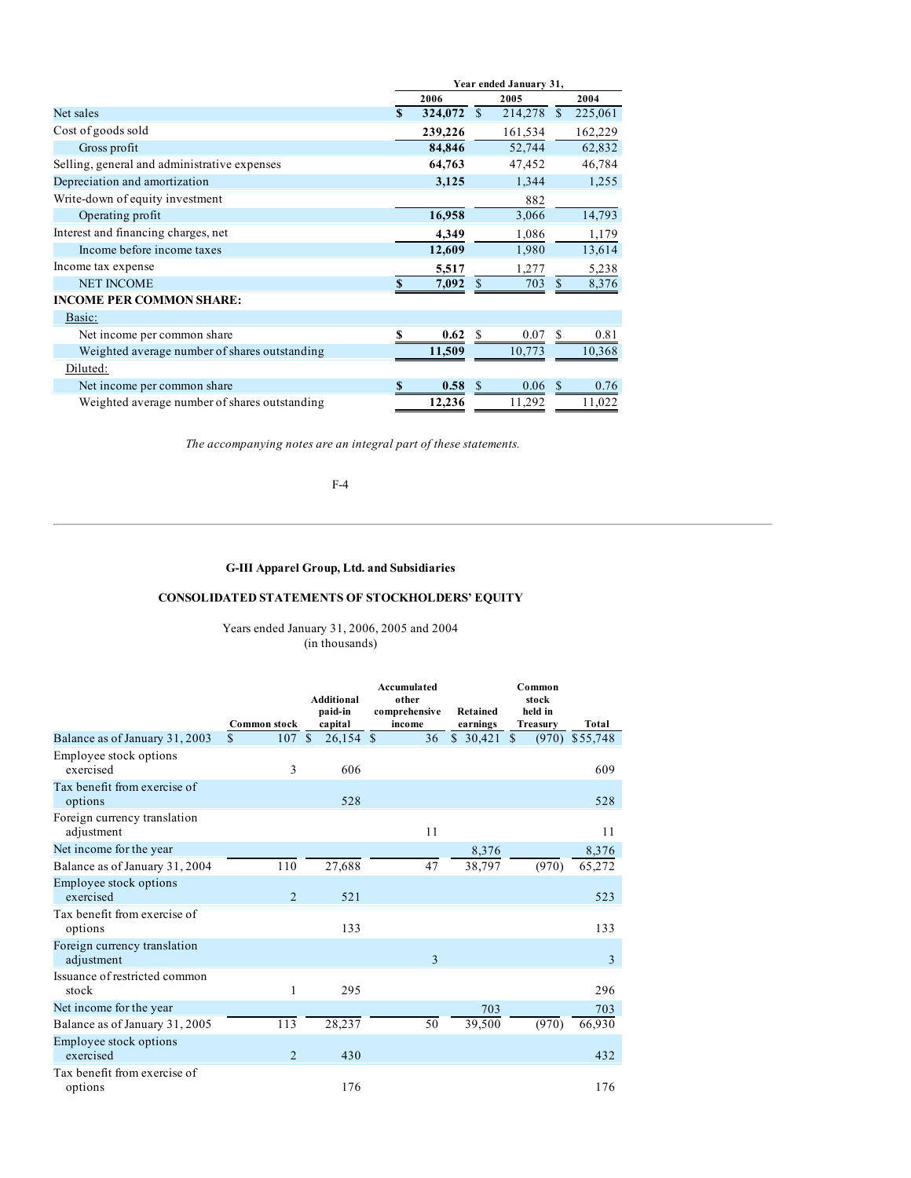<span id="page-29-0"></span>

|                                               | Year ended January 31, |            |               |            |               |         |
|-----------------------------------------------|------------------------|------------|---------------|------------|---------------|---------|
|                                               |                        | 2006       |               | 2005       |               | 2004    |
| Net sales                                     | $\mathbf{s}$           | 324,072 \$ |               | 214,278 \$ |               | 225,061 |
| Cost of goods sold                            |                        | 239,226    |               | 161,534    |               | 162,229 |
| Gross profit                                  |                        | 84,846     |               | 52,744     |               | 62,832  |
| Selling, general and administrative expenses  |                        | 64,763     |               | 47,452     |               | 46,784  |
| Depreciation and amortization                 |                        | 3,125      |               | 1,344      |               | 1,255   |
| Write-down of equity investment               |                        |            |               | 882        |               |         |
| Operating profit                              |                        | 16,958     |               | 3,066      |               | 14,793  |
| Interest and financing charges, net           |                        | 4,349      |               | 1,086      |               | 1,179   |
| Income before income taxes                    |                        | 12,609     |               | 1,980      |               | 13,614  |
| Income tax expense                            |                        | 5,517      |               | 1,277      |               | 5,238   |
| <b>NET INCOME</b>                             | \$.                    | 7,092      | <sup>\$</sup> | 703        | <sup>S</sup>  | 8,376   |
| <b>INCOME PER COMMON SHARE:</b>               |                        |            |               |            |               |         |
| Basic:                                        |                        |            |               |            |               |         |
| Net income per common share                   |                        | 0.62       | -S            | 0.07       | S             | 0.81    |
| Weighted average number of shares outstanding |                        | 11,509     |               | 10,773     |               | 10,368  |
| Diluted:                                      |                        |            |               |            |               |         |
| Net income per common share                   |                        | 0.58       | <sup>\$</sup> | 0.06       | <sup>\$</sup> | 0.76    |
| Weighted average number of shares outstanding |                        | 12,236     |               | 11,292     |               | 11,022  |

*The accompanying notes are an integral part of these statements.*

## **G-III Apparel Group, Ltd. and Subsidiaries**

## **CONSOLIDATED STATEMENTS OF STOCKHOLDERS' EQUITY**

Years ended January 31, 2006, 2005 and 2004 (in thousands)

|                                            | <b>Common stock</b>  | <b>Additional</b><br>paid-in<br>capital | Accumulated<br>other<br>comprehensive<br>income | <b>Retained</b><br>earnings | Common<br>stock<br>held in<br>Treasury | Total    |
|--------------------------------------------|----------------------|-----------------------------------------|-------------------------------------------------|-----------------------------|----------------------------------------|----------|
| Balance as of January 31, 2003             | $\mathcal{S}$<br>107 | <sup>\$</sup><br>$26,154$ \$            | 36                                              | $$30,421$ \$                | (970)                                  | \$55,748 |
| Employee stock options<br>exercised        | 3                    | 606                                     |                                                 |                             |                                        | 609      |
| Tax benefit from exercise of<br>options    |                      | 528                                     |                                                 |                             |                                        | 528      |
| Foreign currency translation<br>adjustment |                      |                                         | 11                                              |                             |                                        | 11       |
| Net income for the year                    |                      |                                         |                                                 | 8,376                       |                                        | 8,376    |
| Balance as of January 31, 2004             | 110                  | 27,688                                  | 47                                              | 38,797                      | (970)                                  | 65,272   |
| Employee stock options<br>exercised        | $\overline{2}$       | 521                                     |                                                 |                             |                                        | 523      |
| Tax benefit from exercise of<br>options    |                      | 133                                     |                                                 |                             |                                        | 133      |
| Foreign currency translation<br>adjustment |                      |                                         | 3                                               |                             |                                        | 3        |
| Issuance of restricted common<br>stock     | 1                    | 295                                     |                                                 |                             |                                        | 296      |
| Net income for the year                    |                      |                                         |                                                 | 703                         |                                        | 703      |
| Balance as of January 31, 2005             | 113                  | 28,237                                  | 50                                              | 39,500                      | (970)                                  | 66,930   |
| Employee stock options<br>exercised        | 2                    | 430                                     |                                                 |                             |                                        | 432      |
| Tax benefit from exercise of<br>options    |                      | 176                                     |                                                 |                             |                                        | 176      |

F-4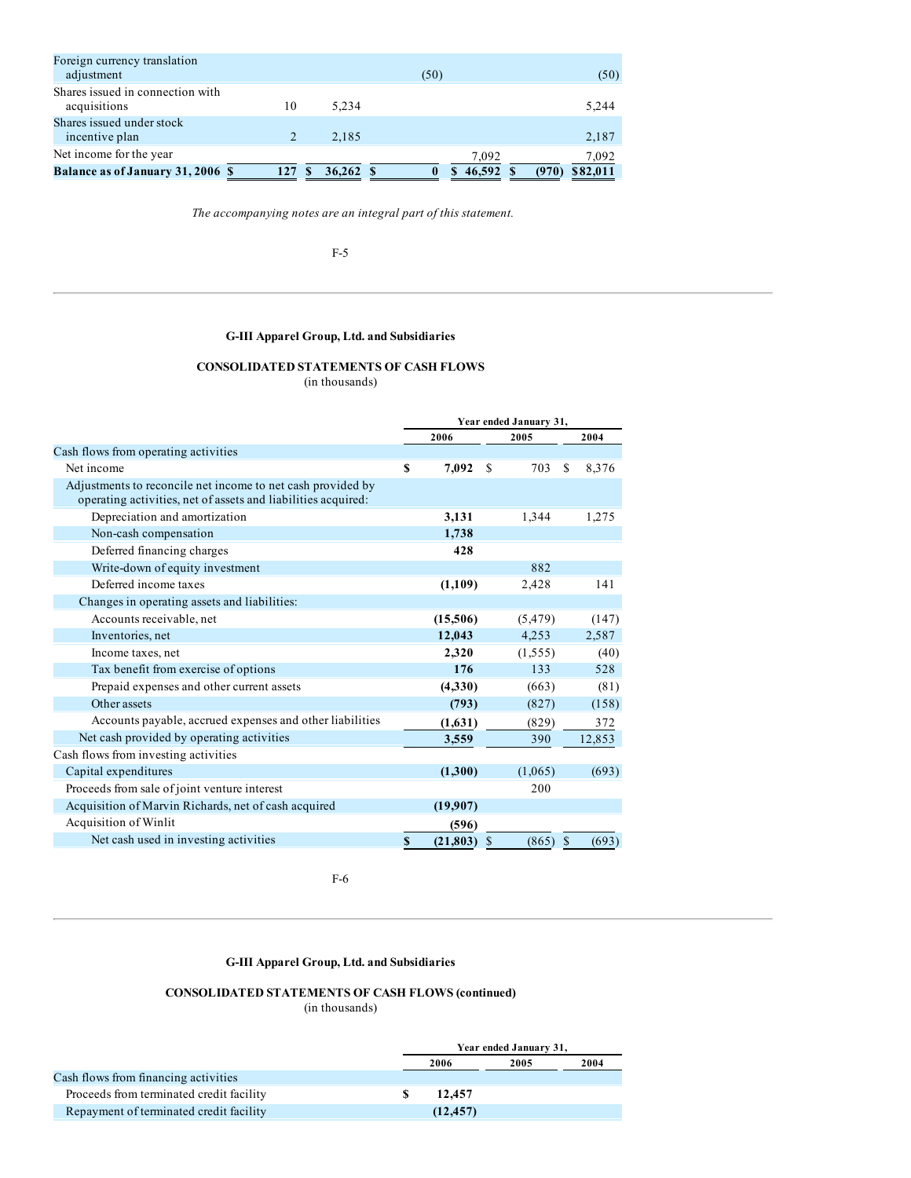<span id="page-30-0"></span>

| Foreign currency translation<br>adjustment       |     |             | (50)             | (50)              |
|--------------------------------------------------|-----|-------------|------------------|-------------------|
| Shares issued in connection with<br>acquisitions | 10  | 5.234       |                  | 5.244             |
| Shares issued under stock<br>incentive plan      |     | 2.185       |                  | 2,187             |
| Net income for the year                          |     |             | 7.092            | 7,092             |
| Balance as of January 31, 2006 \$                | 127 | $36,262$ \$ | 46.592<br>0<br>S | \$82,011<br>(970) |

*The accompanying notes are an integral part of this statement.*

F-5

## **G-III Apparel Group, Ltd. and Subsidiaries**

## **CONSOLIDATED STATEMENTS OF CASH FLOWS**

(in thousands)

|                                                                                                                              | Year ended January 31, |          |               |          |               |        |
|------------------------------------------------------------------------------------------------------------------------------|------------------------|----------|---------------|----------|---------------|--------|
|                                                                                                                              |                        | 2006     | 2005          |          |               | 2004   |
| Cash flows from operating activities                                                                                         |                        |          |               |          |               |        |
| Net income                                                                                                                   | S                      | 7,092    | S             | 703      | S             | 8,376  |
| Adjustments to reconcile net income to net cash provided by<br>operating activities, net of assets and liabilities acquired: |                        |          |               |          |               |        |
| Depreciation and amortization                                                                                                |                        | 3,131    |               | 1,344    |               | 1,275  |
| Non-cash compensation                                                                                                        |                        | 1,738    |               |          |               |        |
| Deferred financing charges                                                                                                   |                        | 428      |               |          |               |        |
| Write-down of equity investment                                                                                              |                        |          |               | 882      |               |        |
| Deferred income taxes                                                                                                        |                        | (1,109)  |               | 2,428    |               | 141    |
| Changes in operating assets and liabilities:                                                                                 |                        |          |               |          |               |        |
| Accounts receivable, net                                                                                                     |                        | (15,506) |               | (5, 479) |               | (147)  |
| Inventories, net                                                                                                             |                        | 12,043   |               | 4,253    |               | 2,587  |
| Income taxes, net                                                                                                            |                        | 2,320    |               | (1, 555) |               | (40)   |
| Tax benefit from exercise of options                                                                                         |                        | 176      |               | 133      |               | 528    |
| Prepaid expenses and other current assets                                                                                    |                        | (4,330)  |               | (663)    |               | (81)   |
| Other assets                                                                                                                 |                        | (793)    |               | (827)    |               | (158)  |
| Accounts payable, accrued expenses and other liabilities                                                                     |                        | (1,631)  |               | (829)    |               | 372    |
| Net cash provided by operating activities                                                                                    |                        | 3,559    |               | 390      |               | 12,853 |
| Cash flows from investing activities                                                                                         |                        |          |               |          |               |        |
| Capital expenditures                                                                                                         |                        | (1,300)  |               | (1,065)  |               | (693)  |
| Proceeds from sale of joint venture interest                                                                                 |                        |          |               | 200      |               |        |
| Acquisition of Marvin Richards, net of cash acquired                                                                         |                        | (19,907) |               |          |               |        |
| Acquisition of Winlit                                                                                                        |                        | (596)    |               |          |               |        |
| Net cash used in investing activities                                                                                        | \$                     | (21,803) | <sup>\$</sup> | (865)    | $\mathcal{S}$ | (693)  |

F-6

## **G-III Apparel Group, Ltd. and Subsidiaries**

**CONSOLIDATED STATEMENTS OF CASH FLOWS (continued)**

(in thousands)

|                                          |           | Year ended January 31, |      |  |  |  |  |  |
|------------------------------------------|-----------|------------------------|------|--|--|--|--|--|
|                                          | 2006      | 2005                   | 2004 |  |  |  |  |  |
| Cash flows from financing activities     |           |                        |      |  |  |  |  |  |
| Proceeds from terminated credit facility | 12.457    |                        |      |  |  |  |  |  |
| Repayment of terminated credit facility  | (12, 457) |                        |      |  |  |  |  |  |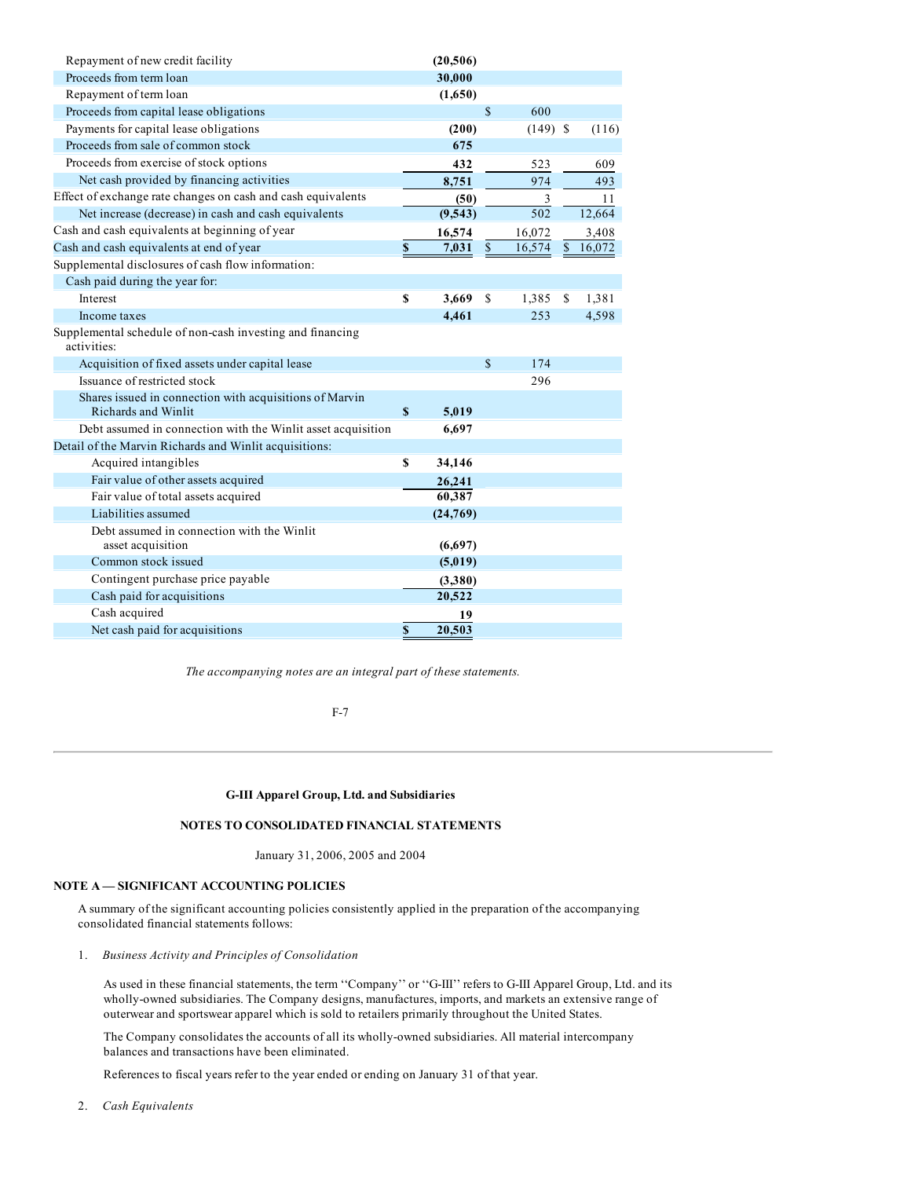<span id="page-31-0"></span>

| Repayment of new credit facility                                                      |              | (20,506) |               |            |              |
|---------------------------------------------------------------------------------------|--------------|----------|---------------|------------|--------------|
| Proceeds from term loan                                                               |              | 30,000   |               |            |              |
| Repayment of term loan                                                                |              | (1,650)  |               |            |              |
| Proceeds from capital lease obligations                                               |              |          | $\mathcal{S}$ | 600        |              |
| Payments for capital lease obligations                                                |              | (200)    |               | $(149)$ \$ | (116)        |
| Proceeds from sale of common stock                                                    |              | 675      |               |            |              |
| Proceeds from exercise of stock options                                               |              | 432      |               | 523        | 609          |
| Net cash provided by financing activities                                             |              | 8,751    |               | 974        | 493          |
| Effect of exchange rate changes on cash and cash equivalents                          |              | (50)     |               | 3          | 11           |
| Net increase (decrease) in cash and cash equivalents                                  |              | (9,543)  |               | 502        | 12,664       |
| Cash and cash equivalents at beginning of year                                        |              | 16,574   |               | 16,072     | 3,408        |
| Cash and cash equivalents at end of year                                              | \$           | 7,031    | $\mathcal{S}$ | 16,574     | \$<br>16,072 |
| Supplemental disclosures of cash flow information:                                    |              |          |               |            |              |
| Cash paid during the year for:                                                        |              |          |               |            |              |
| Interest                                                                              | \$           | 3,669    | \$            | 1,385      | \$<br>1,381  |
| Income taxes                                                                          |              | 4,461    |               | 253        | 4,598        |
| Supplemental schedule of non-cash investing and financing                             |              |          |               |            |              |
| activities:                                                                           |              |          |               |            |              |
| Acquisition of fixed assets under capital lease                                       |              |          | $\mathbb{S}$  | 174        |              |
| Issuance of restricted stock                                                          |              |          |               | 296        |              |
| Shares issued in connection with acquisitions of Marvin<br><b>Richards and Winlit</b> | $\mathbf{s}$ | 5,019    |               |            |              |
| Debt assumed in connection with the Winlit asset acquisition                          |              | 6,697    |               |            |              |
| Detail of the Marvin Richards and Winlit acquisitions:                                |              |          |               |            |              |
| Acquired intangibles                                                                  | $\mathbf S$  | 34,146   |               |            |              |
| Fair value of other assets acquired                                                   |              | 26,241   |               |            |              |
| Fair value of total assets acquired                                                   |              | 60,387   |               |            |              |
| Liabilities assumed                                                                   |              | (24,769) |               |            |              |
| Debt assumed in connection with the Winlit                                            |              |          |               |            |              |
| asset acquisition                                                                     |              | (6,697)  |               |            |              |
| Common stock issued                                                                   |              | (5,019)  |               |            |              |
| Contingent purchase price payable                                                     |              | (3,380)  |               |            |              |
| Cash paid for acquisitions                                                            |              | 20,522   |               |            |              |
| Cash acquired                                                                         |              | 19       |               |            |              |
| Net cash paid for acquisitions                                                        | \$           | 20,503   |               |            |              |

*The accompanying notes are an integral part of these statements.*

F-7

## **G-III Apparel Group, Ltd. and Subsidiaries**

## **NOTES TO CONSOLIDATED FINANCIAL STATEMENTS**

January 31, 2006, 2005 and 2004

## **NOTE A — SIGNIFICANT ACCOUNTING POLICIES**

A summary of the significant accounting policies consistently applied in the preparation of the accompanying consolidated financial statements follows:

1. *Business Activity and Principles of Consolidation*

As used in these financial statements, the term ''Company'' or ''G-III'' refers to G-III Apparel Group, Ltd. and its wholly-owned subsidiaries. The Company designs, manufactures, imports, and markets an extensive range of outerwear and sportswear apparel which is sold to retailers primarily throughout the United States.

The Company consolidates the accounts of all its wholly-owned subsidiaries. All material intercompany balances and transactions have been eliminated.

References to fiscal years refer to the year ended or ending on January 31 of that year.

2. *Cash Equivalents*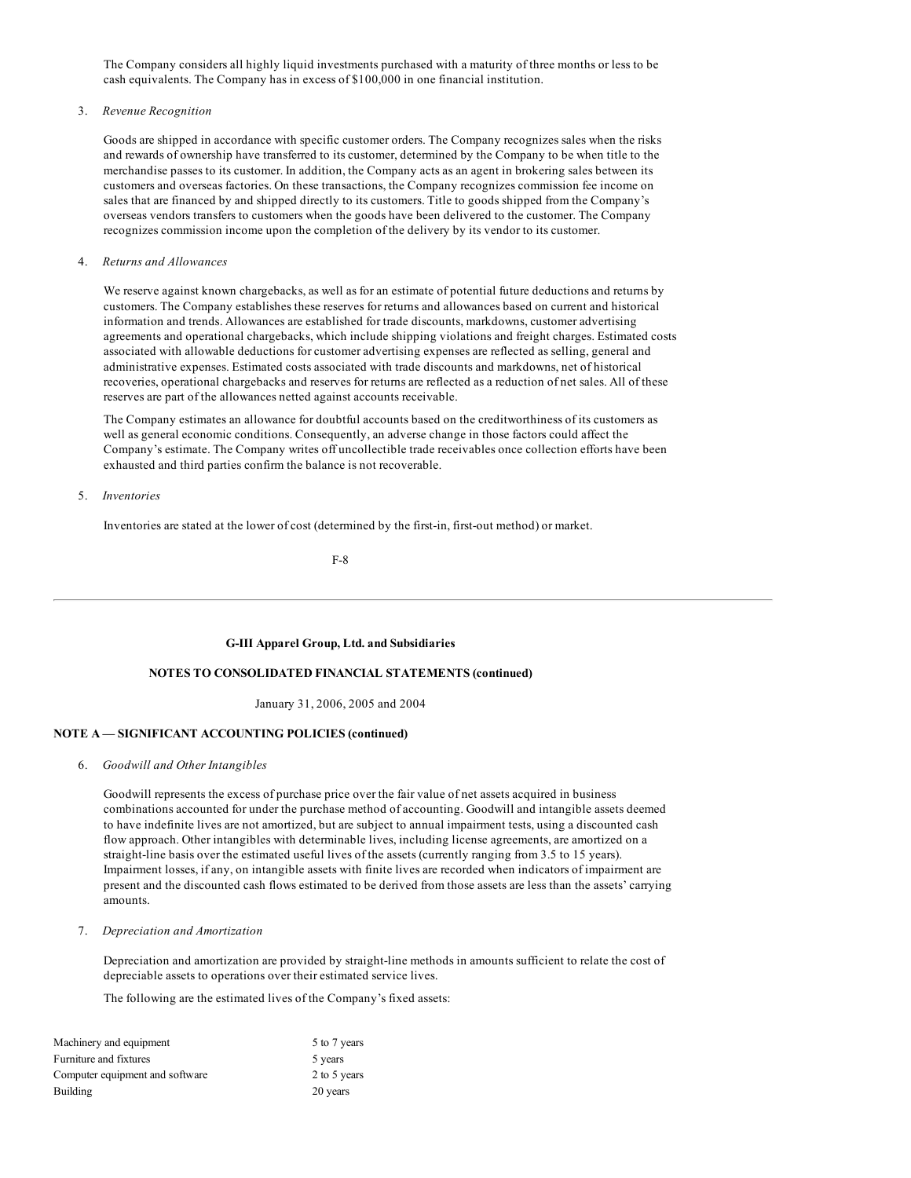The Company considers all highly liquid investments purchased with a maturity of three months or less to be cash equivalents. The Company has in excess of \$100,000 in one financial institution.

#### 3. *Revenue Recognition*

Goods are shipped in accordance with specific customer orders. The Company recognizes sales when the risks and rewards of ownership have transferred to its customer, determined by the Company to be when title to the merchandise passes to its customer. In addition, the Company acts as an agent in brokering sales between its customers and overseas factories. On these transactions, the Company recognizes commission fee income on sales that are financed by and shipped directly to its customers. Title to goods shipped from the Company's overseas vendors transfers to customers when the goods have been delivered to the customer. The Company recognizes commission income upon the completion of the delivery by its vendor to its customer.

#### 4. *Returns and Allowances*

We reserve against known chargebacks, as well as for an estimate of potential future deductions and returns by customers. The Company establishes these reserves for returns and allowances based on current and historical information and trends. Allowances are established for trade discounts, markdowns, customer advertising agreements and operational chargebacks, which include shipping violations and freight charges. Estimated costs associated with allowable deductions for customer advertising expenses are reflected as selling, general and administrative expenses. Estimated costs associated with trade discounts and markdowns, net of historical recoveries, operational chargebacks and reserves for returns are reflected as a reduction of net sales. All of these reserves are part of the allowances netted against accounts receivable.

The Company estimates an allowance for doubtful accounts based on the creditworthiness of its customers as well as general economic conditions. Consequently, an adverse change in those factors could affect the Company's estimate. The Company writes off uncollectible trade receivables once collection efforts have been exhausted and third parties confirm the balance is not recoverable.

### 5. *Inventories*

Inventories are stated at the lower of cost (determined by the first-in, first-out method) or market.

$$
F-8
$$

#### **G-III Apparel Group, Ltd. and Subsidiaries**

## **NOTES TO CONSOLIDATED FINANCIAL STATEMENTS (continued)**

## January 31, 2006, 2005 and 2004

## **NOTE A — SIGNIFICANT ACCOUNTING POLICIES (continued)**

#### 6. *Goodwill and Other Intangibles*

Goodwill represents the excess of purchase price over the fair value of net assets acquired in business combinations accounted for under the purchase method of accounting. Goodwill and intangible assets deemed to have indefinite lives are not amortized, but are subject to annual impairment tests, using a discounted cash flow approach. Other intangibles with determinable lives, including license agreements, are amortized on a straight-line basis over the estimated useful lives of the assets (currently ranging from 3.5 to 15 years). Impairment losses, if any, on intangible assets with finite lives are recorded when indicators of impairment are present and the discounted cash flows estimated to be derived from those assets are less than the assets' carrying amounts.

## 7. *Depreciation and Amortization*

Depreciation and amortization are provided by straight-line methods in amounts sufficient to relate the cost of depreciable assets to operations over their estimated service lives.

The following are the estimated lives of the Company's fixed assets:

| Machinery and equipment         | 5 to 7 years |
|---------------------------------|--------------|
| Furniture and fixtures          | 5 years      |
| Computer equipment and software | 2 to 5 years |
| Building                        | 20 years     |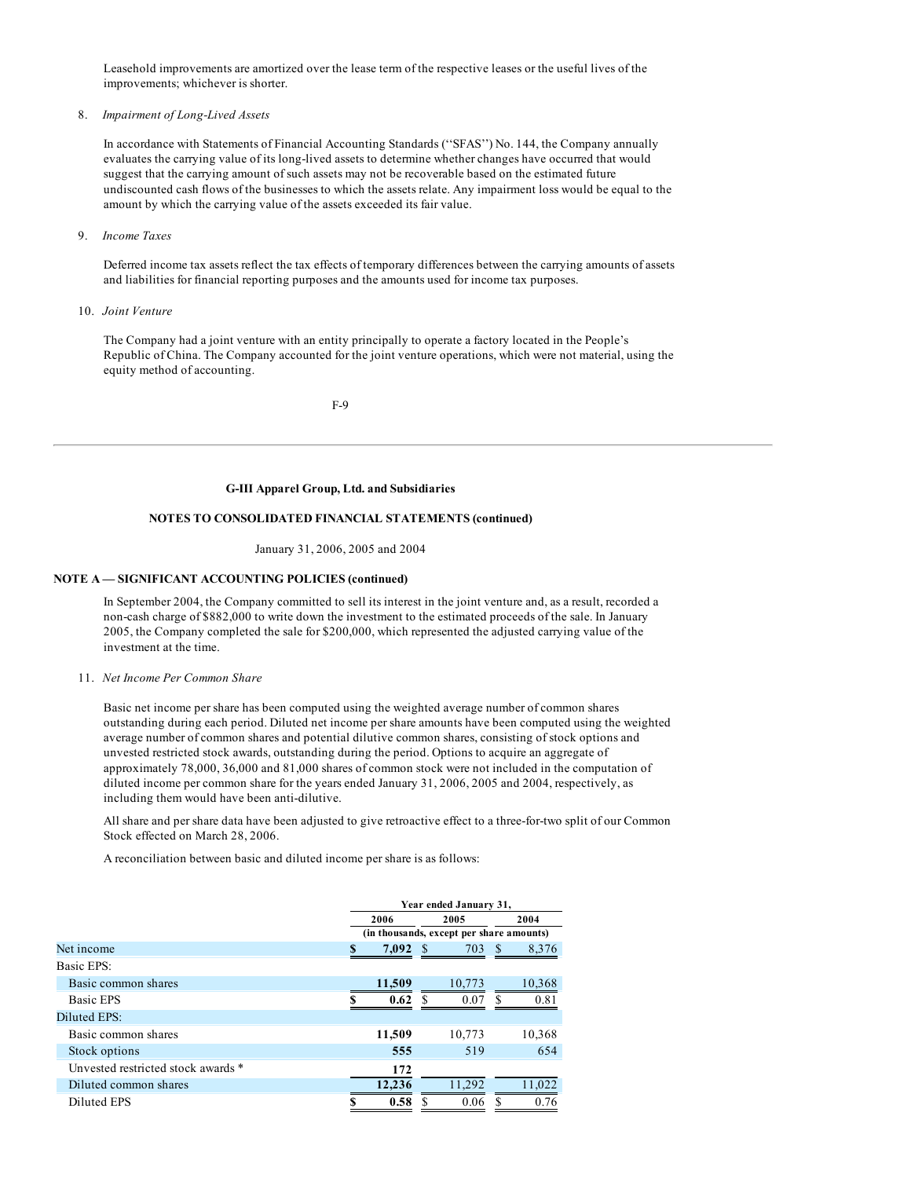Leasehold improvements are amortized over the lease term of the respective leases or the useful lives of the improvements; whichever is shorter.

8. *Impairment of Long-Lived Assets*

In accordance with Statements of Financial Accounting Standards (''SFAS'') No. 144, the Company annually evaluates the carrying value of its long-lived assets to determine whether changes have occurred that would suggest that the carrying amount of such assets may not be recoverable based on the estimated future undiscounted cash flows of the businesses to which the assets relate. Any impairment loss would be equal to the amount by which the carrying value of the assets exceeded its fair value.

9. *Income Taxes*

Deferred income tax assets reflect the tax effects of temporary differences between the carrying amounts of assets and liabilities for financial reporting purposes and the amounts used for income tax purposes.

10. *Joint Venture*

The Company had a joint venture with an entity principally to operate a factory located in the People's Republic of China. The Company accounted for the joint venture operations, which were not material, using the equity method of accounting.

F-9

## **G-III Apparel Group, Ltd. and Subsidiaries**

## **NOTES TO CONSOLIDATED FINANCIAL STATEMENTS (continued)**

January 31, 2006, 2005 and 2004

## **NOTE A — SIGNIFICANT ACCOUNTING POLICIES (continued)**

In September 2004, the Company committed to sell its interest in the joint venture and, as a result, recorded a non-cash charge of \$882,000 to write down the investment to the estimated proceeds of the sale. In January 2005, the Company completed the sale for \$200,000, which represented the adjusted carrying value of the investment at the time.

#### 11. *Net Income Per Common Share*

Basic net income per share has been computed using the weighted average number of common shares outstanding during each period. Diluted net income per share amounts have been computed using the weighted average number of common shares and potential dilutive common shares, consisting of stock options and unvested restricted stock awards, outstanding during the period. Options to acquire an aggregate of approximately 78,000, 36,000 and 81,000 shares of common stock were not included in the computation of diluted income per common share for the years ended January 31, 2006, 2005 and 2004, respectively, as including them would have been anti-dilutive.

All share and per share data have been adjusted to give retroactive effect to a three-for-two split of our Common Stock effected on March 28, 2006.

A reconciliation between basic and diluted income per share is as follows:

|                                    | Year ended January 31, |        |   |                                          |          |        |  |  |
|------------------------------------|------------------------|--------|---|------------------------------------------|----------|--------|--|--|
|                                    | 2006                   |        |   | 2005                                     |          | 2004   |  |  |
|                                    |                        |        |   | (in thousands, except per share amounts) |          |        |  |  |
| Net income                         | \$                     | 7,092  | S | 703                                      | <b>S</b> | 8,376  |  |  |
| Basic EPS:                         |                        |        |   |                                          |          |        |  |  |
| Basic common shares                |                        | 11,509 |   | 10,773                                   |          | 10,368 |  |  |
| <b>Basic EPS</b>                   |                        | 0.62   |   | 0.07                                     | ς        | 0.81   |  |  |
| Diluted EPS:                       |                        |        |   |                                          |          |        |  |  |
| Basic common shares                |                        | 11,509 |   | 10,773                                   |          | 10,368 |  |  |
| Stock options                      |                        | 555    |   | 519                                      |          | 654    |  |  |
| Unvested restricted stock awards * |                        | 172    |   |                                          |          |        |  |  |
| Diluted common shares              |                        | 12,236 |   | 11,292                                   |          | 11,022 |  |  |
| Diluted EPS                        |                        | 0.58   |   | 0.06                                     |          | 0.76   |  |  |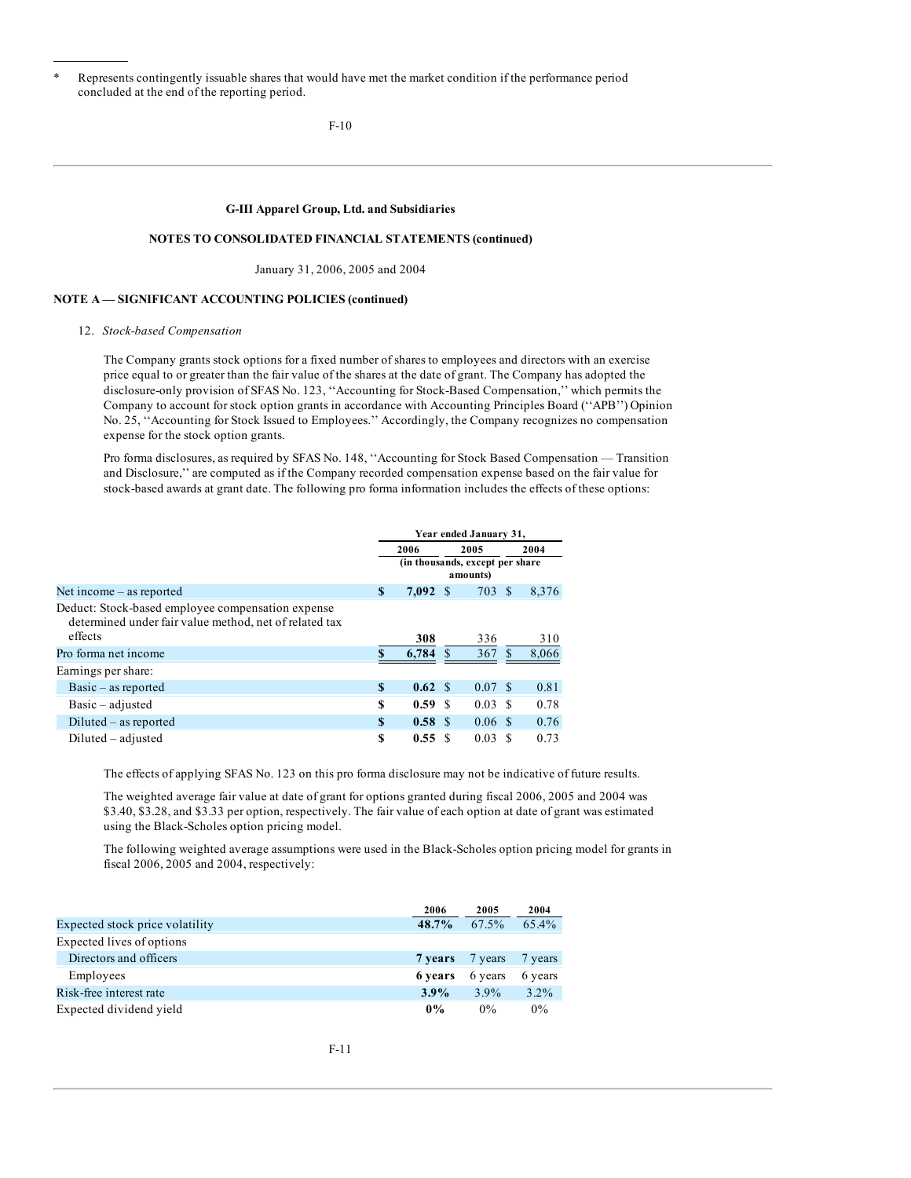Represents contingently issuable shares that would have met the market condition if the performance period concluded at the end of the reporting period.

F-10

#### **G-III Apparel Group, Ltd. and Subsidiaries**

## **NOTES TO CONSOLIDATED FINANCIAL STATEMENTS (continued)**

January 31, 2006, 2005 and 2004

## **NOTE A — SIGNIFICANT ACCOUNTING POLICIES (continued)**

### 12. *Stock-based Compensation*

The Company grants stock options for a fixed number of shares to employees and directors with an exercise price equal to or greater than the fair value of the shares at the date of grant. The Company has adopted the disclosure-only provision of SFAS No. 123, ''Accounting for Stock-Based Compensation,'' which permits the Company to account for stock option grants in accordance with Accounting Principles Board (''APB'') Opinion No. 25, ''Accounting for Stock Issued to Employees.'' Accordingly, the Company recognizes no compensation expense for the stock option grants.

Pro forma disclosures, as required by SFAS No. 148, ''Accounting for Stock Based Compensation — Transition and Disclosure,'' are computed as if the Company recorded compensation expense based on the fair value for stock-based awards at grant date. The following pro forma information includes the effects of these options:

|                                                                                                             | Year ended January 31, |       |      |                                             |               |       |  |
|-------------------------------------------------------------------------------------------------------------|------------------------|-------|------|---------------------------------------------|---------------|-------|--|
|                                                                                                             |                        | 2006  | 2005 |                                             |               | 2004  |  |
|                                                                                                             |                        |       |      | (in thousands, except per share<br>amounts) |               |       |  |
| Net income $-$ as reported                                                                                  | \$                     | 7,092 | -S   | 703 \$                                      |               | 8,376 |  |
| Deduct: Stock-based employee compensation expense<br>determined under fair value method, net of related tax |                        |       |      |                                             |               |       |  |
| effects                                                                                                     |                        | 308   |      | 336                                         |               | 310   |  |
| Pro forma net income                                                                                        |                        | 6,784 | \$.  | 367                                         | $\mathcal{S}$ | 8,066 |  |
| Earnings per share:                                                                                         |                        |       |      |                                             |               |       |  |
| $Basic - as reported$                                                                                       | <sup>\$</sup>          | 0.62  | - \$ | 0.07S                                       |               | 0.81  |  |
| $Basic-adjusted$                                                                                            | S                      | 0.59  | -S   | 0.03S                                       |               | 0.78  |  |
| $Diluted - as reported$                                                                                     | \$                     | 0.58S |      | 0.06 S                                      |               | 0.76  |  |
| Diluted – adjusted                                                                                          | S                      | 0.55  |      | 0.03                                        | -8            | 0.73  |  |

The effects of applying SFAS No. 123 on this pro forma disclosure may not be indicative of future results.

The weighted average fair value at date of grant for options granted during fiscal 2006, 2005 and 2004 was \$3.40, \$3.28, and \$3.33 per option, respectively. The fair value of each option at date of grant was estimated using the Black-Scholes option pricing model.

The following weighted average assumptions were used in the Black-Scholes option pricing model for grants in fiscal 2006, 2005 and 2004, respectively:

|                                 | 2006     | 2005    | 2004    |
|---------------------------------|----------|---------|---------|
| Expected stock price volatility | $48.7\%$ | 67.5%   | 65.4%   |
| Expected lives of options       |          |         |         |
| Directors and officers          | 7 years  | 7 years | 7 years |
| Employees                       | 6 years  | 6 years | 6 years |
| Risk-free interest rate         | $3.9\%$  | $3.9\%$ | $3.2\%$ |
| Expected dividend yield         | $0\%$    | $0\%$   | $0\%$   |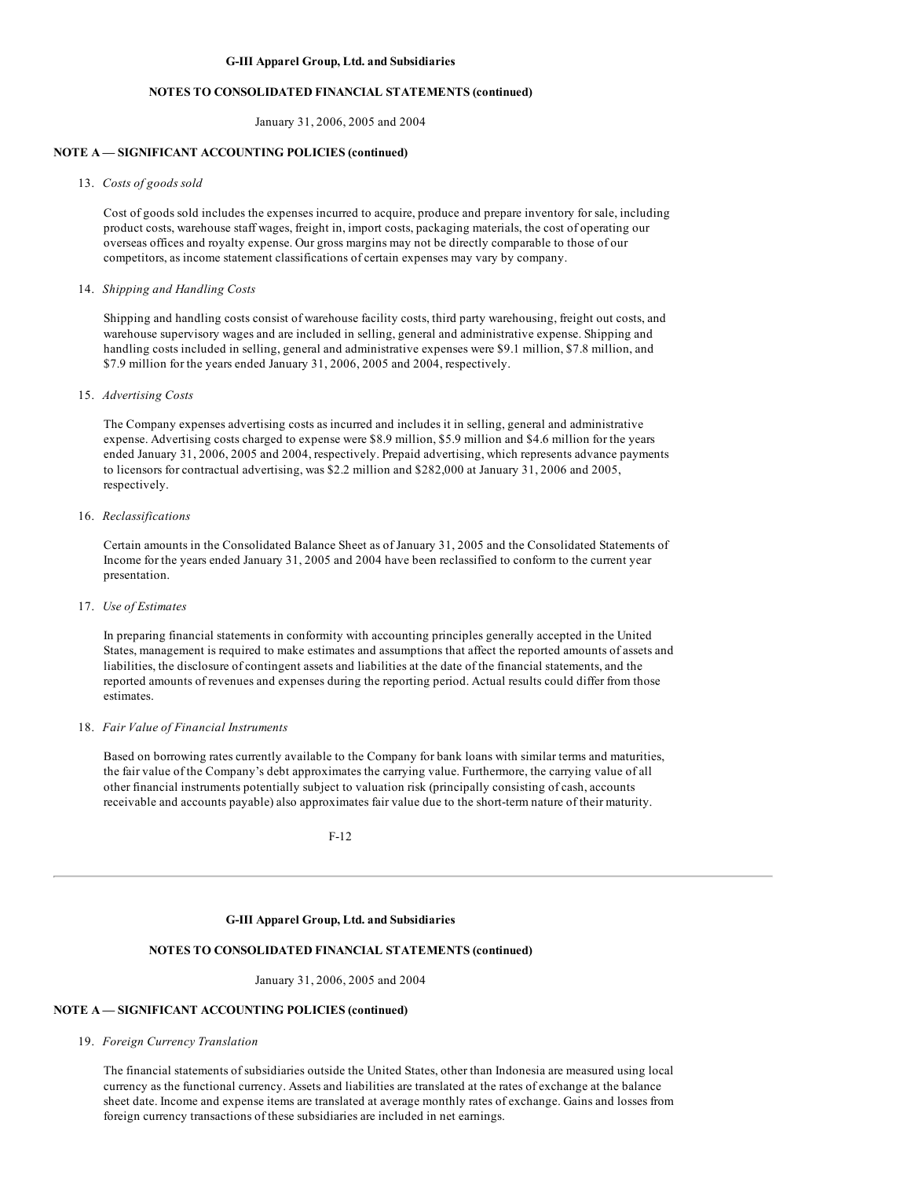## **NOTES TO CONSOLIDATED FINANCIAL STATEMENTS (continued)**

January 31, 2006, 2005 and 2004

#### **NOTE A — SIGNIFICANT ACCOUNTING POLICIES (continued)**

#### 13. *Costs of goods sold*

Cost of goods sold includes the expenses incurred to acquire, produce and prepare inventory for sale, including product costs, warehouse staff wages, freight in, import costs, packaging materials, the cost of operating our overseas offices and royalty expense. Our gross margins may not be directly comparable to those of our competitors, as income statement classifications of certain expenses may vary by company.

#### 14. *Shipping and Handling Costs*

Shipping and handling costs consist of warehouse facility costs, third party warehousing, freight out costs, and warehouse supervisory wages and are included in selling, general and administrative expense. Shipping and handling costs included in selling, general and administrative expenses were \$9.1 million, \$7.8 million, and \$7.9 million for the years ended January 31, 2006, 2005 and 2004, respectively.

### 15. *Advertising Costs*

The Company expenses advertising costs as incurred and includes it in selling, general and administrative expense. Advertising costs charged to expense were \$8.9 million, \$5.9 million and \$4.6 million for the years ended January 31, 2006, 2005 and 2004, respectively. Prepaid advertising, which represents advance payments to licensors for contractual advertising, was \$2.2 million and \$282,000 at January 31, 2006 and 2005, respectively.

## 16. *Reclassifications*

Certain amounts in the Consolidated Balance Sheet as of January 31, 2005 and the Consolidated Statements of Income for the years ended January 31, 2005 and 2004 have been reclassified to conform to the current year presentation.

## 17. *Use of Estimates*

In preparing financial statements in conformity with accounting principles generally accepted in the United States, management is required to make estimates and assumptions that affect the reported amounts of assets and liabilities, the disclosure of contingent assets and liabilities at the date of the financial statements, and the reported amounts of revenues and expenses during the reporting period. Actual results could differ from those estimates.

## 18. *Fair Value of Financial Instruments*

Based on borrowing rates currently available to the Company for bank loans with similar terms and maturities, the fair value of the Company's debt approximates the carrying value. Furthermore, the carrying value of all other financial instruments potentially subject to valuation risk (principally consisting of cash, accounts receivable and accounts payable) also approximates fair value due to the short-term nature of their maturity.

F-12

#### **G-III Apparel Group, Ltd. and Subsidiaries**

#### **NOTES TO CONSOLIDATED FINANCIAL STATEMENTS (continued)**

January 31, 2006, 2005 and 2004

## **NOTE A — SIGNIFICANT ACCOUNTING POLICIES (continued)**

#### 19. *Foreign Currency Translation*

The financial statements of subsidiaries outside the United States, other than Indonesia are measured using local currency as the functional currency. Assets and liabilities are translated at the rates of exchange at the balance sheet date. Income and expense items are translated at average monthly rates of exchange. Gains and losses from foreign currency transactions of these subsidiaries are included in net earnings.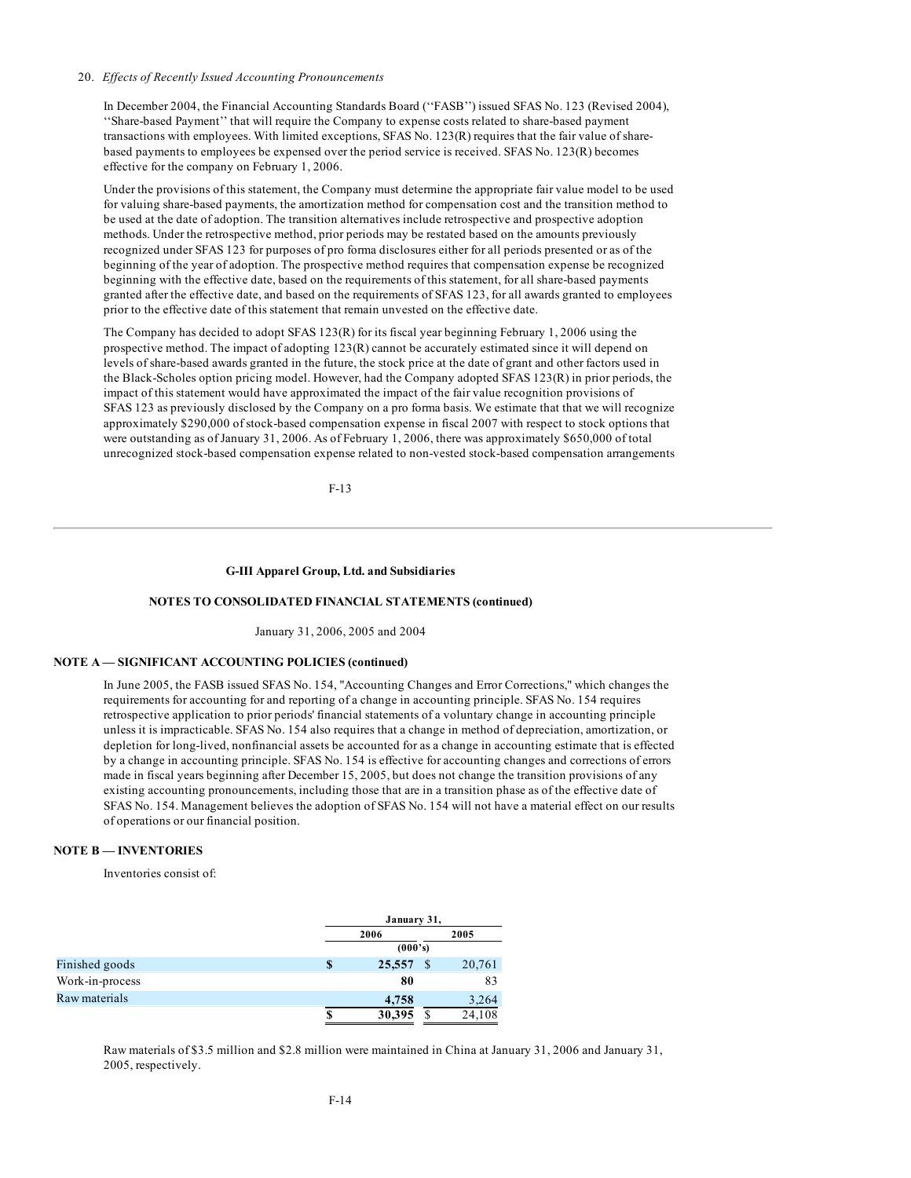#### 20. *Ef ects of Recently Issued Accounting Pronouncements*

In December 2004, the Financial Accounting Standards Board (''FASB'') issued SFAS No. 123 (Revised 2004), ''Share-based Payment'' that will require the Company to expense costs related to share-based payment transactions with employees. With limited exceptions, SFAS No. 123(R) requires that the fair value of sharebased payments to employees be expensed over the period service is received. SFAS No. 123(R) becomes effective for the company on February 1, 2006.

Under the provisions of this statement, the Company must determine the appropriate fair value model to be used for valuing share-based payments, the amortization method for compensation cost and the transition method to be used at the date of adoption. The transition alternatives include retrospective and prospective adoption methods. Under the retrospective method, prior periods may be restated based on the amounts previously recognized under SFAS 123 for purposes of pro forma disclosures either for all periods presented or as of the beginning of the year of adoption. The prospective method requires that compensation expense be recognized beginning with the effective date, based on the requirements of this statement, for all share-based payments granted after the effective date, and based on the requirements of SFAS 123, for all awards granted to employees prior to the effective date of this statement that remain unvested on the effective date.

The Company has decided to adopt SFAS 123(R) for its fiscal year beginning February 1, 2006 using the prospective method. The impact of adopting 123(R) cannot be accurately estimated since it will depend on levels of share-based awards granted in the future, the stock price at the date of grant and other factors used in the Black-Scholes option pricing model. However, had the Company adopted SFAS 123(R) in prior periods, the impact of this statement would have approximated the impact of the fair value recognition provisions of SFAS 123 as previously disclosed by the Company on a pro forma basis. We estimate that that we will recognize approximately \$290,000 of stock-based compensation expense in fiscal 2007 with respect to stock options that were outstanding as of January 31, 2006. As of February 1, 2006, there was approximately \$650,000 of total unrecognized stock-based compensation expense related to non-vested stock-based compensation arrangements

F-13

## **G-III Apparel Group, Ltd. and Subsidiaries**

## **NOTES TO CONSOLIDATED FINANCIAL STATEMENTS (continued)**

January 31, 2006, 2005 and 2004

## **NOTE A — SIGNIFICANT ACCOUNTING POLICIES (continued)**

In June 2005, the FASB issued SFAS No. 154, "Accounting Changes and Error Corrections," which changes the requirements for accounting for and reporting of a change in accounting principle. SFAS No. 154 requires retrospective application to prior periods' financial statements of a voluntary change in accounting principle unless it is impracticable. SFAS No. 154 also requires that a change in method of depreciation, amortization, or depletion for long-lived, nonfinancial assets be accounted for as a change in accounting estimate that is effected by a change in accounting principle. SFAS No. 154 is effective for accounting changes and corrections of errors made in fiscal years beginning after December 15, 2005, but does not change the transition provisions of any existing accounting pronouncements, including those that are in a transition phase as of the effective date of SFAS No. 154. Management believes the adoption of SFAS No. 154 will not have a material effect on our results of operations or our financial position.

## **NOTE B — INVENTORIES**

Inventories consist of:

|                 |    | January 31, |  |        |  |
|-----------------|----|-------------|--|--------|--|
|                 |    | 2006        |  | 2005   |  |
|                 |    | (000's)     |  |        |  |
| Finished goods  | S  | 25,557      |  | 20,761 |  |
| Work-in-process |    | 80          |  | 83     |  |
| Raw materials   |    | 4,758       |  | 3,264  |  |
|                 | \$ | 30,395      |  | 24,108 |  |

Raw materials of \$3.5 million and \$2.8 million were maintained in China at January 31, 2006 and January 31, 2005, respectively.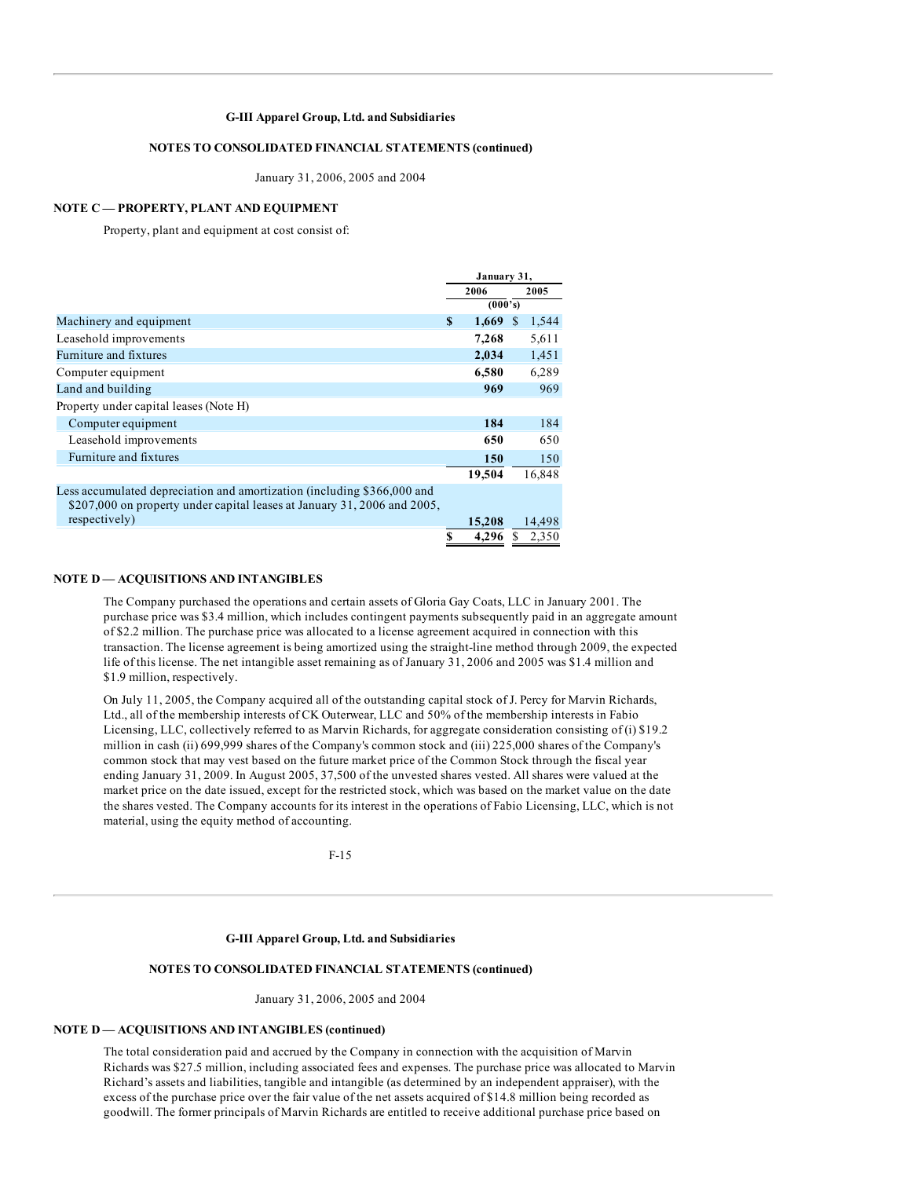#### **G-III Apparel Group, Ltd. and Subsidiaries**

## **NOTES TO CONSOLIDATED FINANCIAL STATEMENTS (continued)**

January 31, 2006, 2005 and 2004

#### **NOTE C — PROPERTY, PLANT AND EQUIPMENT**

Property, plant and equipment at cost consist of:

|                                                                                                                                                     | January 31, |         |               |        |
|-----------------------------------------------------------------------------------------------------------------------------------------------------|-------------|---------|---------------|--------|
|                                                                                                                                                     |             | 2006    |               | 2005   |
|                                                                                                                                                     |             | (000's) |               |        |
| Machinery and equipment                                                                                                                             | \$          | 1,669   | <sup>\$</sup> | 1,544  |
| Leasehold improvements                                                                                                                              |             | 7,268   |               | 5,611  |
| Furniture and fixtures                                                                                                                              |             | 2,034   |               | 1,451  |
| Computer equipment                                                                                                                                  |             | 6,580   |               | 6,289  |
| Land and building                                                                                                                                   |             | 969     |               | 969    |
| Property under capital leases (Note H)                                                                                                              |             |         |               |        |
| Computer equipment                                                                                                                                  |             | 184     |               | 184    |
| Leasehold improvements                                                                                                                              |             | 650     |               | 650    |
| Furniture and fixtures                                                                                                                              |             | 150     |               | 150    |
|                                                                                                                                                     |             | 19,504  |               | 16,848 |
| Less accumulated depreciation and amortization (including \$366,000 and<br>\$207,000 on property under capital leases at January 31, 2006 and 2005, |             |         |               |        |
| respectively)                                                                                                                                       |             | 15,208  |               | 14,498 |
|                                                                                                                                                     |             | 4,296   |               | 2,350  |

## **NOTE D — ACQUISITIONS AND INTANGIBLES**

The Company purchased the operations and certain assets of Gloria Gay Coats, LLC in January 2001. The purchase price was \$3.4 million, which includes contingent payments subsequently paid in an aggregate amount of \$2.2 million. The purchase price was allocated to a license agreement acquired in connection with this transaction. The license agreement is being amortized using the straight-line method through 2009, the expected life of this license. The net intangible asset remaining as of January 31, 2006 and 2005 was \$1.4 million and \$1.9 million, respectively.

On July 11, 2005, the Company acquired all of the outstanding capital stock of J. Percy for Marvin Richards, Ltd., all of the membership interests of CK Outerwear, LLC and 50% of the membership interests in Fabio Licensing, LLC, collectively referred to as Marvin Richards, for aggregate consideration consisting of (i) \$19.2 million in cash (ii) 699,999 shares of the Company's common stock and (iii) 225,000 shares of the Company's common stock that may vest based on the future market price of the Common Stock through the fiscal year ending January 31, 2009. In August 2005, 37,500 of the unvested shares vested. All shares were valued at the market price on the date issued, except for the restricted stock, which was based on the market value on the date the shares vested. The Company accounts for its interest in the operations of Fabio Licensing, LLC, which is not material, using the equity method of accounting.

F-15

#### **G-III Apparel Group, Ltd. and Subsidiaries**

#### **NOTES TO CONSOLIDATED FINANCIAL STATEMENTS (continued)**

January 31, 2006, 2005 and 2004

## **NOTE D — ACQUISITIONS AND INTANGIBLES (continued)**

The total consideration paid and accrued by the Company in connection with the acquisition of Marvin Richards was \$27.5 million, including associated fees and expenses. The purchase price was allocated to Marvin Richard's assets and liabilities, tangible and intangible (as determined by an independent appraiser), with the excess of the purchase price over the fair value of the net assets acquired of \$14.8 million being recorded as goodwill. The former principals of Marvin Richards are entitled to receive additional purchase price based on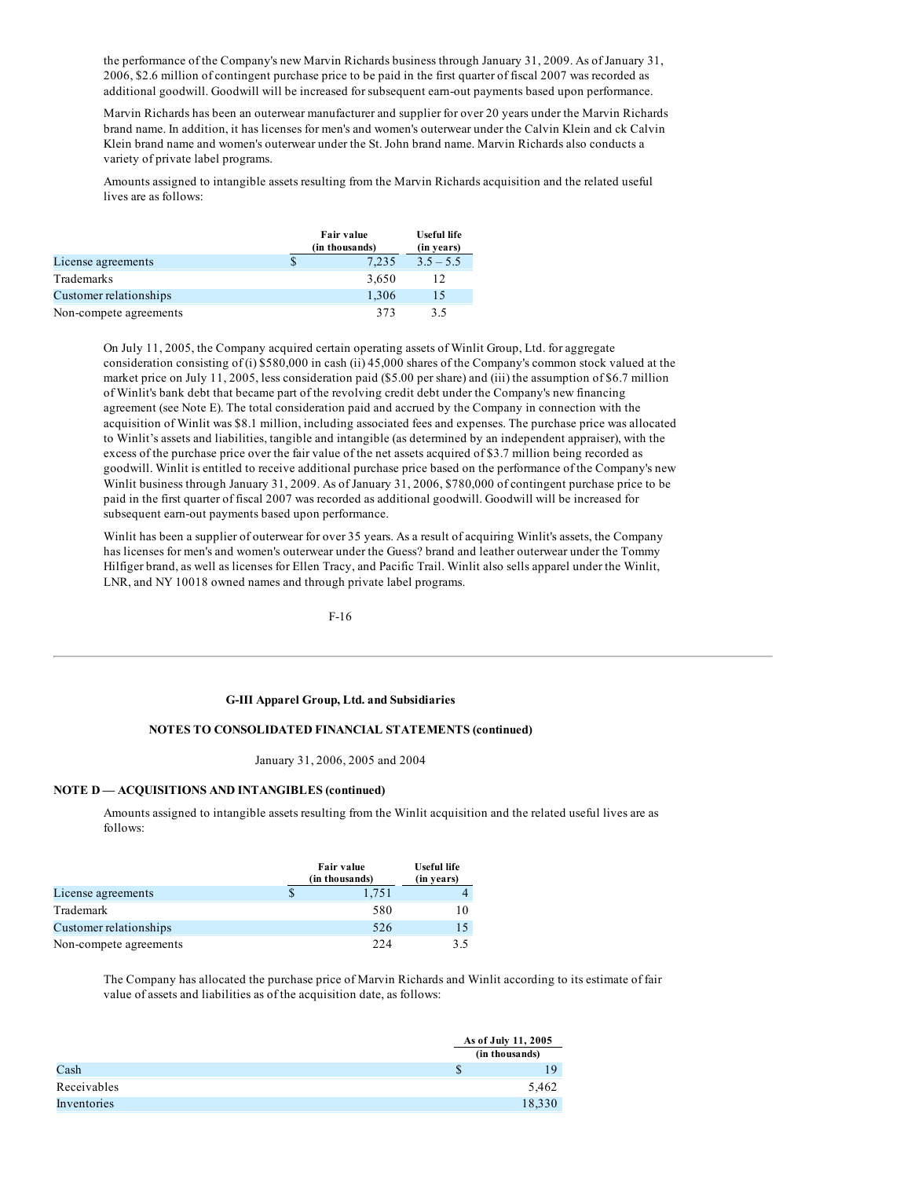the performance of the Company's new Marvin Richards business through January 31, 2009. As of January 31, 2006, \$2.6 million of contingent purchase price to be paid in the first quarter of fiscal 2007 was recorded as additional goodwill. Goodwill will be increased for subsequent earn-out payments based upon performance.

Marvin Richards has been an outerwear manufacturer and supplier for over 20 years under the Marvin Richards brand name. In addition, it has licenses for men's and women's outerwear under the Calvin Klein and ck Calvin Klein brand name and women's outerwear under the St. John brand name. Marvin Richards also conducts a variety of private label programs.

Amounts assigned to intangible assets resulting from the Marvin Richards acquisition and the related useful lives are as follows:

|                        | <b>Fair value</b><br>(in thousands) |             |  |
|------------------------|-------------------------------------|-------------|--|
| License agreements     | 7.235                               | $3.5 - 5.5$ |  |
| Trademarks             | 3,650                               |             |  |
| Customer relationships | 1.306                               | 15          |  |
| Non-compete agreements | 373                                 | 35          |  |

On July 11, 2005, the Company acquired certain operating assets of Winlit Group, Ltd. for aggregate consideration consisting of (i) \$580,000 in cash (ii) 45,000 shares of the Company's common stock valued at the market price on July 11, 2005, less consideration paid (\$5.00 per share) and (iii) the assumption of \$6.7 million of Winlit's bank debt that became part of the revolving credit debt under the Company's new financing agreement (see Note E). The total consideration paid and accrued by the Company in connection with the acquisition of Winlit was \$8.1 million, including associated fees and expenses. The purchase price was allocated to Winlit's assets and liabilities, tangible and intangible (as determined by an independent appraiser), with the excess of the purchase price over the fair value of the net assets acquired of \$3.7 million being recorded as goodwill. Winlit is entitled to receive additional purchase price based on the performance of the Company's new Winlit business through January 31, 2009. As of January 31, 2006, \$780,000 of contingent purchase price to be paid in the first quarter of fiscal 2007 was recorded as additional goodwill. Goodwill will be increased for subsequent earn-out payments based upon performance.

Winlit has been a supplier of outerwear for over 35 years. As a result of acquiring Winlit's assets, the Company has licenses for men's and women's outerwear under the Guess? brand and leather outerwear under the Tommy Hilfiger brand, as well as licenses for Ellen Tracy, and Pacific Trail. Winlit also sells apparel under the Winlit, LNR, and NY 10018 owned names and through private label programs.

F-16

#### **G-III Apparel Group, Ltd. and Subsidiaries**

#### **NOTES TO CONSOLIDATED FINANCIAL STATEMENTS (continued)**

January 31, 2006, 2005 and 2004

## **NOTE D — ACQUISITIONS AND INTANGIBLES (continued)**

Amounts assigned to intangible assets resulting from the Winlit acquisition and the related useful lives are as follows:

|                        |   | <b>Fair value</b><br>(in thousands) | <b>Useful life</b><br>(in years) |
|------------------------|---|-------------------------------------|----------------------------------|
| License agreements     | Ъ | 1,751                               |                                  |
| Trademark              |   | 580                                 | 10                               |
| Customer relationships |   | 526                                 |                                  |
| Non-compete agreements |   | 224                                 | 3.5                              |

The Company has allocated the purchase price of Marvin Richards and Winlit according to its estimate of fair value of assets and liabilities as of the acquisition date, as follows:

|             | As of July 11, 2005 |
|-------------|---------------------|
|             | (in thousands)      |
| Cash        | 19                  |
| Receivables | 5,462               |
| Inventories | 18.330              |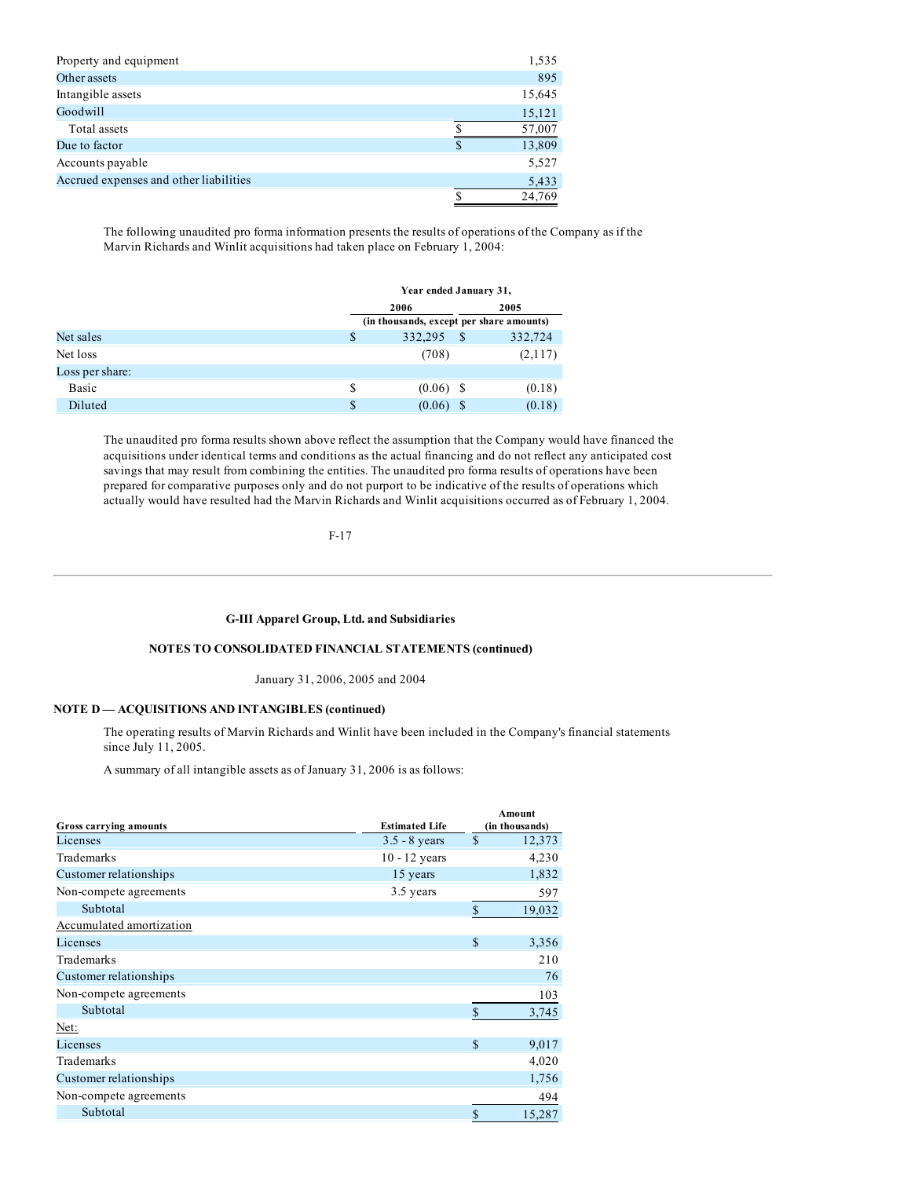| Property and equipment                 | 1,535  |
|----------------------------------------|--------|
| Other assets                           | 895    |
| Intangible assets                      | 15,645 |
| Goodwill                               | 15,121 |
| Total assets                           | 57,007 |
| Due to factor                          | 13,809 |
| Accounts payable                       | 5,527  |
| Accrued expenses and other liabilities | 5,433  |
|                                        | 24,769 |

The following unaudited pro forma information presents the results of operations of the Company as if the Marvin Richards and Winlit acquisitions had taken place on February 1, 2004:

|                 |    | Year ended January 31,                   |   |         |  |
|-----------------|----|------------------------------------------|---|---------|--|
|                 |    | 2005<br>2006                             |   |         |  |
|                 |    | (in thousands, except per share amounts) |   |         |  |
| Net sales       | \$ | 332,295                                  | S | 332,724 |  |
| Net loss        |    | (708)                                    |   | (2,117) |  |
| Loss per share: |    |                                          |   |         |  |
| Basic           | S  | $(0.06)$ \$                              |   | (0.18)  |  |
| Diluted         | \$ | (0.06)                                   |   | (0.18)  |  |

The unaudited pro forma results shown above reflect the assumption that the Company would have financed the acquisitions under identical terms and conditions as the actual financing and do not reflect any anticipated cost savings that may result from combining the entities. The unaudited pro forma results of operations have been prepared for comparative purposes only and do not purport to be indicative of the results of operations which actually would have resulted had the Marvin Richards and Winlit acquisitions occurred as of February 1, 2004.

F-17

## **G-III Apparel Group, Ltd. and Subsidiaries**

## **NOTES TO CONSOLIDATED FINANCIAL STATEMENTS (continued)**

## January 31, 2006, 2005 and 2004

## **NOTE D — ACQUISITIONS AND INTANGIBLES (continued)**

The operating results of Marvin Richards and Winlit have been included in the Company's financial statements since July 11, 2005.

A summary of all intangible assets as of January 31, 2006 is as follows:

|                          |                       | Amount         |
|--------------------------|-----------------------|----------------|
| Gross carrying amounts   | <b>Estimated Life</b> | (in thousands) |
| Licenses                 | $3.5 - 8$ years       | \$<br>12,373   |
| Trademarks               | $10 - 12$ years       | 4,230          |
| Customer relationships   | 15 years              | 1,832          |
| Non-compete agreements   | 3.5 years             | 597            |
| Subtotal                 |                       | \$<br>19,032   |
| Accumulated amortization |                       |                |
| Licenses                 |                       | \$<br>3,356    |
| Trademarks               |                       | 210            |
| Customer relationships   |                       | 76             |
| Non-compete agreements   |                       | 103            |
| Subtotal                 |                       | \$<br>3,745    |
| Net:                     |                       |                |
| Licenses                 |                       | \$<br>9,017    |
| Trademarks               |                       | 4,020          |
| Customer relationships   |                       | 1,756          |
| Non-compete agreements   |                       | 494            |
| Subtotal                 |                       | \$<br>15,287   |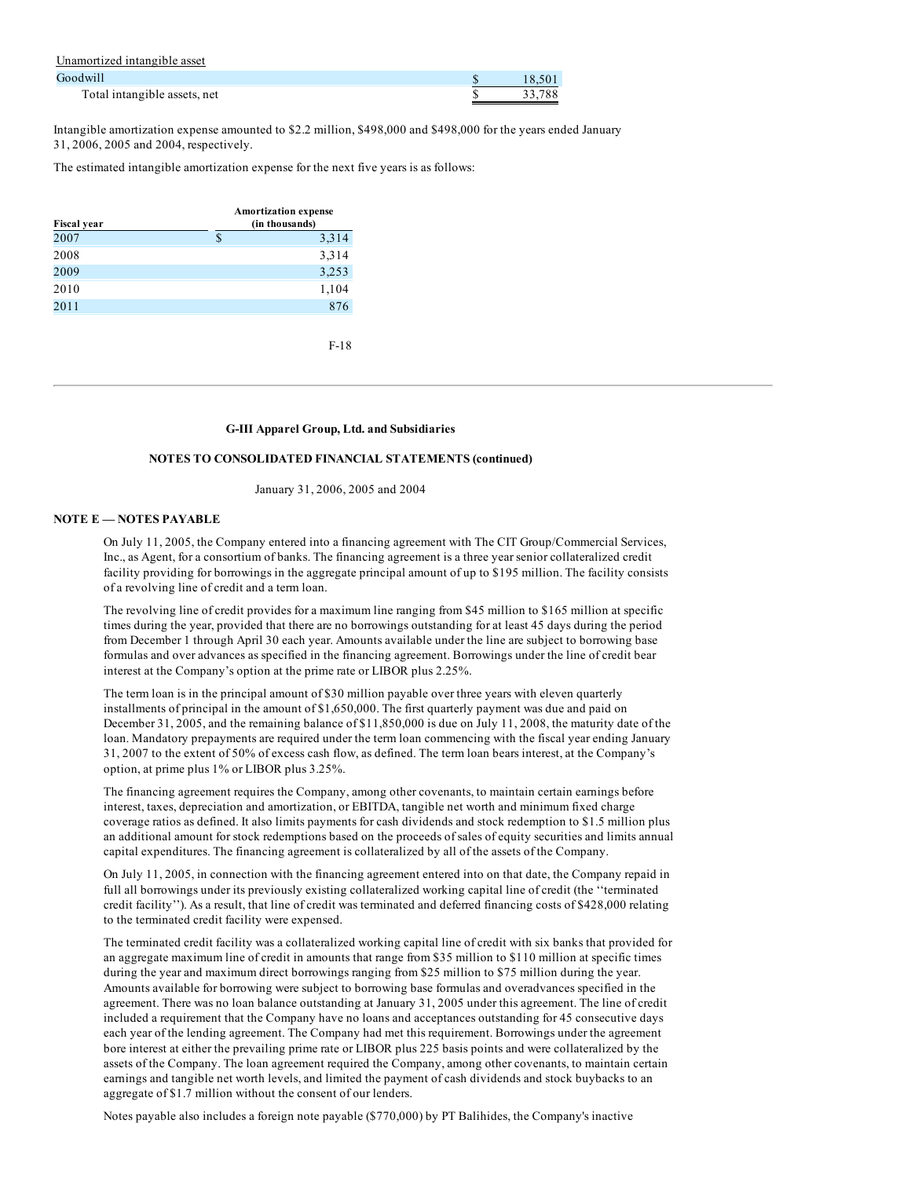| Unamortized intangible asset |        |
|------------------------------|--------|
| Goodwill                     | 18.501 |
| Total intangible assets, net | 33.788 |

Intangible amortization expense amounted to \$2.2 million, \$498,000 and \$498,000 for the years ended January 31, 2006, 2005 and 2004, respectively.

The estimated intangible amortization expense for the next five years is as follows:

| <b>Fiscal year</b> | <b>Amortization expense</b><br>(in thousands) |
|--------------------|-----------------------------------------------|
| 2007               | 3,314                                         |
| 2008               | 3,314                                         |
| 2009               | 3,253                                         |
| 2010               | 1,104                                         |
| 2011               | 876                                           |
|                    |                                               |

F-18

#### **G-III Apparel Group, Ltd. and Subsidiaries**

## **NOTES TO CONSOLIDATED FINANCIAL STATEMENTS (continued)**

January 31, 2006, 2005 and 2004

## **NOTE E — NOTES PAYABLE**

On July 11, 2005, the Company entered into a financing agreement with The CIT Group/Commercial Services, Inc., as Agent, for a consortium of banks. The financing agreement is a three year senior collateralized credit facility providing for borrowings in the aggregate principal amount of up to \$195 million. The facility consists of a revolving line of credit and a term loan.

The revolving line of credit provides for a maximum line ranging from \$45 million to \$165 million at specific times during the year, provided that there are no borrowings outstanding for at least 45 days during the period from December 1 through April 30 each year. Amounts available under the line are subject to borrowing base formulas and over advances as specified in the financing agreement. Borrowings under the line of credit bear interest at the Company's option at the prime rate or LIBOR plus 2.25%.

The term loan is in the principal amount of \$30 million payable over three years with eleven quarterly installments of principal in the amount of \$1,650,000. The first quarterly payment was due and paid on December 31, 2005, and the remaining balance of \$11,850,000 is due on July 11, 2008, the maturity date of the loan. Mandatory prepayments are required under the term loan commencing with the fiscal year ending January 31, 2007 to the extent of 50% of excess cash flow, as defined. The term loan bears interest, at the Company's option, at prime plus 1% or LIBOR plus 3.25%.

The financing agreement requires the Company, among other covenants, to maintain certain earnings before interest, taxes, depreciation and amortization, or EBITDA, tangible net worth and minimum fixed charge coverage ratios as defined. It also limits payments for cash dividends and stock redemption to \$1.5 million plus an additional amount for stock redemptions based on the proceeds of sales of equity securities and limits annual capital expenditures. The financing agreement is collateralized by all of the assets of the Company.

On July 11, 2005, in connection with the financing agreement entered into on that date, the Company repaid in full all borrowings under its previously existing collateralized working capital line of credit (the ''terminated credit facility''). As a result, that line of credit was terminated and deferred financing costs of \$428,000 relating to the terminated credit facility were expensed.

The terminated credit facility was a collateralized working capital line of credit with six banks that provided for an aggregate maximum line of credit in amounts that range from \$35 million to \$110 million at specific times during the year and maximum direct borrowings ranging from \$25 million to \$75 million during the year. Amounts available for borrowing were subject to borrowing base formulas and overadvances specified in the agreement. There was no loan balance outstanding at January 31, 2005 under this agreement. The line of credit included a requirement that the Company have no loans and acceptances outstanding for 45 consecutive days each year of the lending agreement. The Company had met this requirement. Borrowings under the agreement bore interest at either the prevailing prime rate or LIBOR plus 225 basis points and were collateralized by the assets of the Company. The loan agreement required the Company, among other covenants, to maintain certain earnings and tangible net worth levels, and limited the payment of cash dividends and stock buybacks to an aggregate of \$1.7 million without the consent of our lenders.

Notes payable also includes a foreign note payable (\$770,000) by PT Balihides, the Company's inactive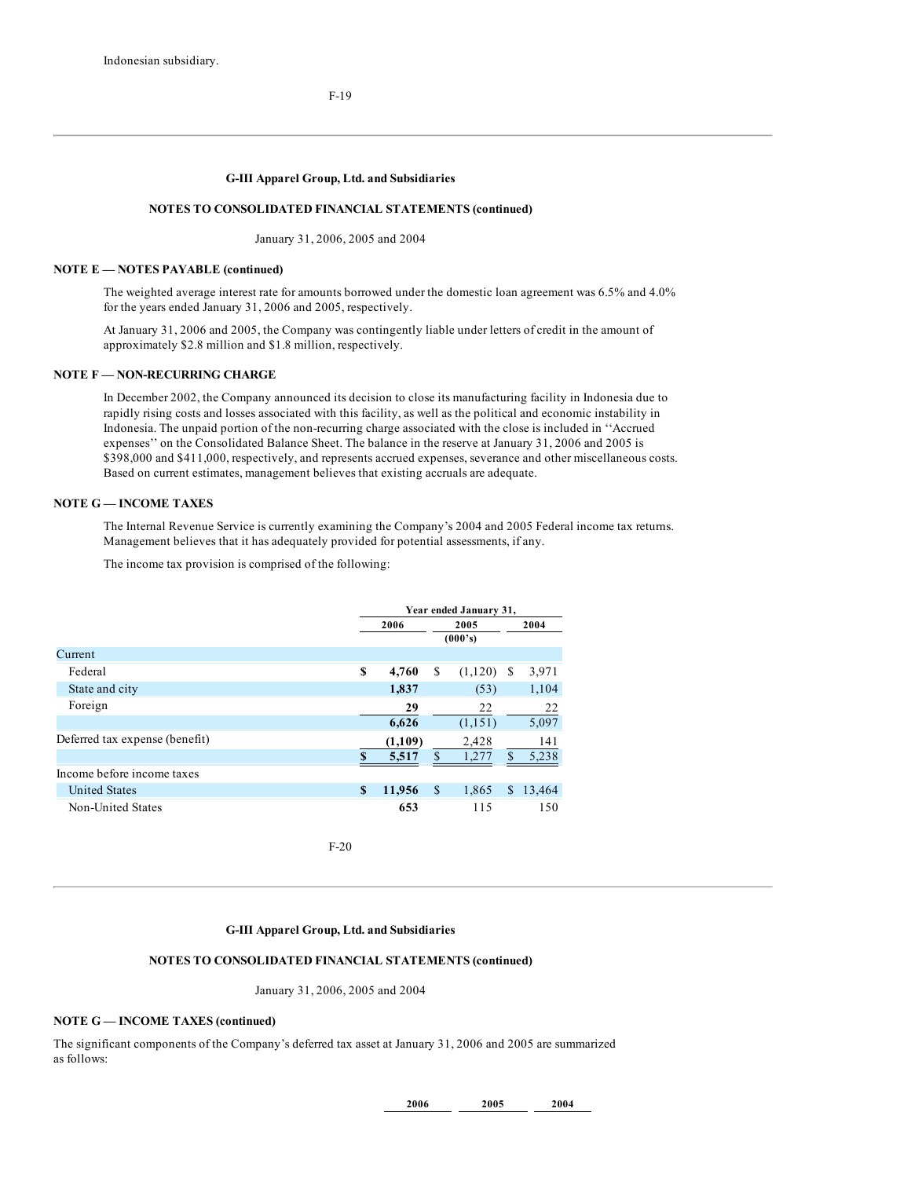## **G-III Apparel Group, Ltd. and Subsidiaries**

## **NOTES TO CONSOLIDATED FINANCIAL STATEMENTS (continued)**

January 31, 2006, 2005 and 2004

## **NOTE E — NOTES PAYABLE (continued)**

The weighted average interest rate for amounts borrowed under the domestic loan agreement was 6.5% and 4.0% for the years ended January 31, 2006 and 2005, respectively.

At January 31, 2006 and 2005, the Company was contingently liable under letters of credit in the amount of approximately \$2.8 million and \$1.8 million, respectively.

## **NOTE F — NON-RECURRING CHARGE**

In December 2002, the Company announced its decision to close its manufacturing facility in Indonesia due to rapidly rising costs and losses associated with this facility, as well as the political and economic instability in Indonesia. The unpaid portion of the non-recurring charge associated with the close is included in ''Accrued expenses'' on the Consolidated Balance Sheet. The balance in the reserve at January 31, 2006 and 2005 is \$398,000 and \$411,000, respectively, and represents accrued expenses, severance and other miscellaneous costs. Based on current estimates, management believes that existing accruals are adequate.

## **NOTE G — INCOME TAXES**

The Internal Revenue Service is currently examining the Company's 2004 and 2005 Federal income tax returns. Management believes that it has adequately provided for potential assessments, if any.

The income tax provision is comprised of the following:

|                                | Year ended January 31, |         |               |         |    |        |
|--------------------------------|------------------------|---------|---------------|---------|----|--------|
|                                | 2006                   |         | 2005          |         |    | 2004   |
|                                |                        |         |               | (000's) |    |        |
| Current                        |                        |         |               |         |    |        |
| Federal                        | S                      | 4,760   | \$            | (1,120) | S  | 3,971  |
| State and city                 |                        | 1,837   |               | (53)    |    | 1,104  |
| Foreign                        |                        | 29      |               | 22      |    | 22     |
|                                |                        | 6,626   |               | (1,151) |    | 5,097  |
| Deferred tax expense (benefit) |                        | (1,109) |               | 2,428   |    | 141    |
|                                | $\mathbf{s}$           | 5,517   | $\mathbb{S}$  | 1,277   | \$ | 5,238  |
| Income before income taxes     |                        |         |               |         |    |        |
| <b>United States</b>           | \$                     | 11,956  | <sup>\$</sup> | 1,865   | \$ | 13,464 |
| Non-United States              |                        | 653     |               | 115     |    | 150    |

F-20

## **G-III Apparel Group, Ltd. and Subsidiaries**

## **NOTES TO CONSOLIDATED FINANCIAL STATEMENTS (continued)**

January 31, 2006, 2005 and 2004

## **NOTE G — INCOME TAXES (continued)**

The significant components of the Company's deferred tax asset at January 31, 2006 and 2005 are summarized as follows: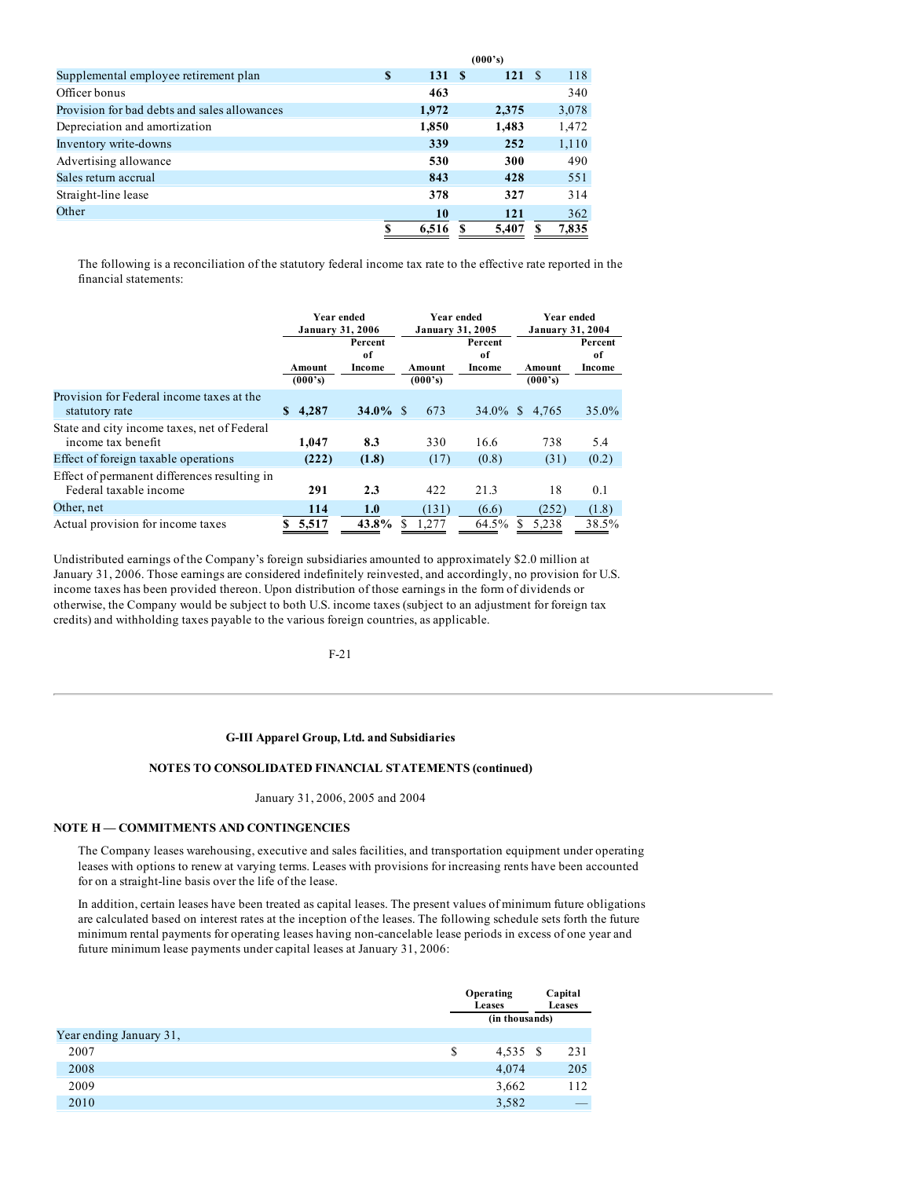|                                              |    |       |    | (000's)        |       |
|----------------------------------------------|----|-------|----|----------------|-------|
| Supplemental employee retirement plan        | \$ | 131   | -8 | $121 \quad$ \$ | 118   |
| Officer bonus                                |    | 463   |    |                | 340   |
| Provision for bad debts and sales allowances |    | 1,972 |    | 2,375          | 3,078 |
| Depreciation and amortization                |    | 1,850 |    | 1,483          | 1,472 |
| Inventory write-downs                        |    | 339   |    | 252            | 1,110 |
| Advertising allowance                        |    | 530   |    | 300            | 490   |
| Sales return accrual                         |    | 843   |    | 428            | 551   |
| Straight-line lease                          |    | 378   |    | 327            | 314   |
| Other                                        |    | 10    |    | 121            | 362   |
|                                              | S  | 6,516 |    | 5,407          | 7,835 |

The following is a reconciliation of the statutory federal income tax rate to the effective rate reported in the financial statements:

|                                                                        |                   | Year ended<br><b>January 31, 2006</b> |                   | Year ended<br><b>January 31, 2005</b> | Year ended<br><b>January 31, 2004</b> |                         |
|------------------------------------------------------------------------|-------------------|---------------------------------------|-------------------|---------------------------------------|---------------------------------------|-------------------------|
|                                                                        | Amount<br>(000's) | Percent<br>0f<br>Income               | Amount<br>(000's) | Percent<br>0f<br>Income               | Amount<br>(000's)                     | Percent<br>of<br>Income |
| Provision for Federal income taxes at the<br>statutory rate            | 4.287<br>S.       | $34.0\%$ \$                           | 673               | <b>34.0%</b>                          | \$4.765                               | 35.0%                   |
| State and city income taxes, net of Federal<br>income tax benefit      | 1.047             | 8.3                                   | 330               | 16.6                                  | 738                                   | 5.4                     |
| Effect of foreign taxable operations                                   | (222)             | (1.8)                                 | (17)              | (0.8)                                 | (31)                                  | (0.2)                   |
| Effect of permanent differences resulting in<br>Federal taxable income | 291               | 2.3                                   | 422               | 21.3                                  | 18                                    | 0.1                     |
| Other, net                                                             | 114               | 1.0                                   | (131)             | (6.6)                                 | (252)                                 | (1.8)                   |
| Actual provision for income taxes                                      | 5,517             | 43.8%                                 | 1.277             | 64.5%                                 | 5.238<br>S.                           | 38.5%                   |

Undistributed earnings of the Company's foreign subsidiaries amounted to approximately \$2.0 million at January 31, 2006. Those earnings are considered indefinitely reinvested, and accordingly, no provision for U.S. income taxes has been provided thereon. Upon distribution of those earnings in the form of dividends or otherwise, the Company would be subject to both U.S. income taxes (subject to an adjustment for foreign tax credits) and withholding taxes payable to the various foreign countries, as applicable.

F-21

## **G-III Apparel Group, Ltd. and Subsidiaries**

## **NOTES TO CONSOLIDATED FINANCIAL STATEMENTS (continued)**

## January 31, 2006, 2005 and 2004

## **NOTE H — COMMITMENTS AND CONTINGENCIES**

The Company leases warehousing, executive and sales facilities, and transportation equipment under operating leases with options to renew at varying terms. Leases with provisions for increasing rents have been accounted for on a straight-line basis over the life of the lease.

In addition, certain leases have been treated as capital leases. The present values of minimum future obligations are calculated based on interest rates at the inception of the leases. The following schedule sets forth the future minimum rental payments for operating leases having non-cancelable lease periods in excess of one year and future minimum lease payments under capital leases at January 31, 2006:

|                         | Operating<br>Leases<br>(in thousands) | Capital<br>Leases |
|-------------------------|---------------------------------------|-------------------|
| Year ending January 31, |                                       |                   |
| 2007                    | \$<br>4,535 \$                        | 231               |
| 2008                    | 4,074                                 | 205               |
| 2009                    | 3,662                                 | 112               |
| 2010                    | 3,582                                 |                   |
|                         |                                       |                   |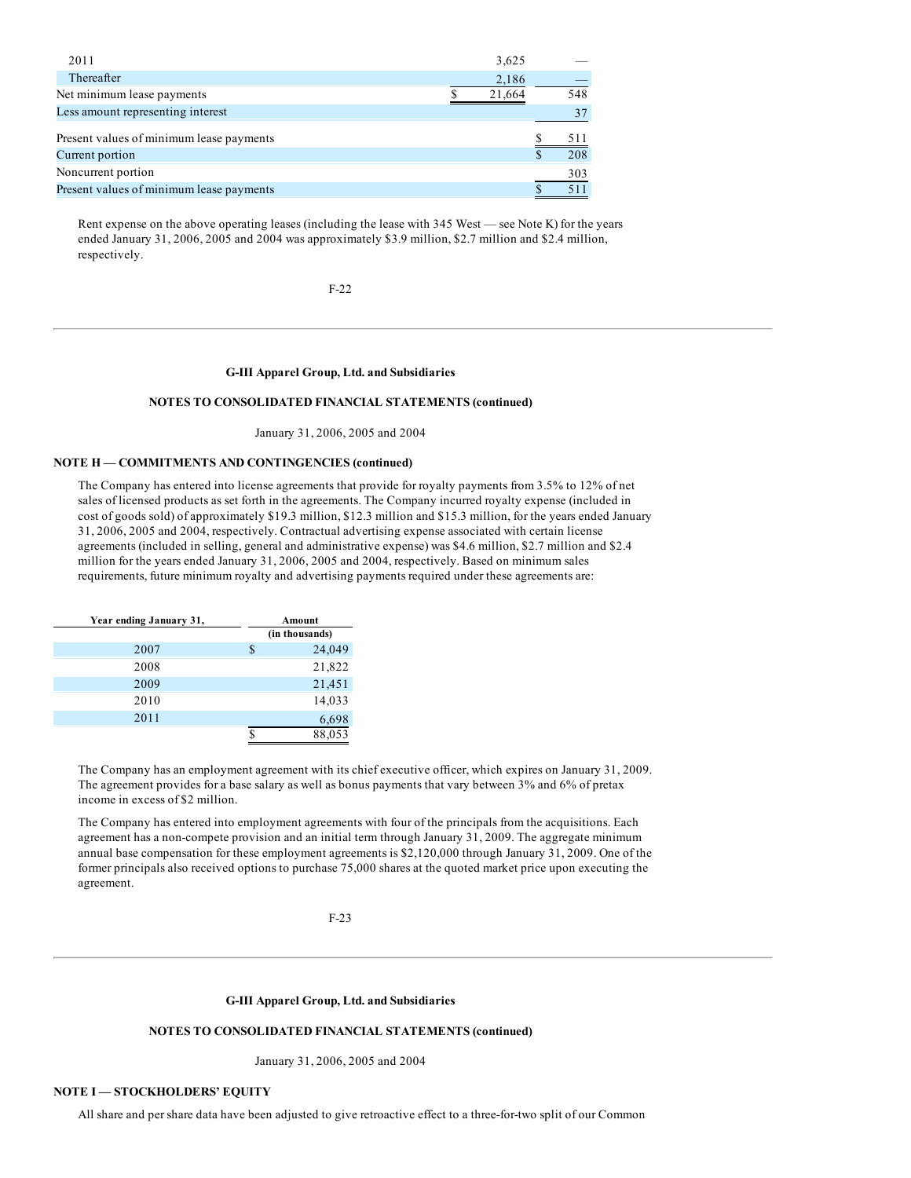| 2011                                     | 3,625  |     |
|------------------------------------------|--------|-----|
| Thereafter                               | 2,186  |     |
| Net minimum lease payments               | 21,664 | 548 |
| Less amount representing interest        |        | 37  |
| Present values of minimum lease payments |        | 511 |
| Current portion                          |        | 208 |
| Noncurrent portion                       |        | 303 |
| Present values of minimum lease payments |        | 511 |

Rent expense on the above operating leases (including the lease with 345 West — see Note K) for the years ended January 31, 2006, 2005 and 2004 was approximately \$3.9 million, \$2.7 million and \$2.4 million, respectively.

F-22

#### **G-III Apparel Group, Ltd. and Subsidiaries**

## **NOTES TO CONSOLIDATED FINANCIAL STATEMENTS (continued)**

January 31, 2006, 2005 and 2004

#### **NOTE H — COMMITMENTS AND CONTINGENCIES (continued)**

The Company has entered into license agreements that provide for royalty payments from 3.5% to 12% of net sales of licensed products as set forth in the agreements. The Company incurred royalty expense (included in cost of goods sold) of approximately \$19.3 million, \$12.3 million and \$15.3 million, for the years ended January 31, 2006, 2005 and 2004, respectively. Contractual advertising expense associated with certain license agreements (included in selling, general and administrative expense) was \$4.6 million, \$2.7 million and \$2.4 million for the years ended January 31, 2006, 2005 and 2004, respectively. Based on minimum sales requirements, future minimum royalty and advertising payments required under these agreements are:

| Year ending January 31, |   | Amount         |
|-------------------------|---|----------------|
|                         |   | (in thousands) |
| 2007                    | S | 24,049         |
| 2008                    |   | 21,822         |
| 2009                    |   | 21,451         |
| 2010                    |   | 14,033         |
| 2011                    |   | 6,698          |
|                         |   | 88,053         |

The Company has an employment agreement with its chief executive officer, which expires on January 31, 2009. The agreement provides for a base salary as well as bonus payments that vary between 3% and 6% of pretax income in excess of \$2 million.

The Company has entered into employment agreements with four of the principals from the acquisitions. Each agreement has a non-compete provision and an initial term through January 31, 2009. The aggregate minimum annual base compensation for these employment agreements is \$2,120,000 through January 31, 2009. One of the former principals also received options to purchase 75,000 shares at the quoted market price upon executing the agreement.

F-23

#### **G-III Apparel Group, Ltd. and Subsidiaries**

## **NOTES TO CONSOLIDATED FINANCIAL STATEMENTS (continued)**

January 31, 2006, 2005 and 2004

#### **NOTE I — STOCKHOLDERS' EQUITY**

All share and per share data have been adjusted to give retroactive effect to a three-for-two split of our Common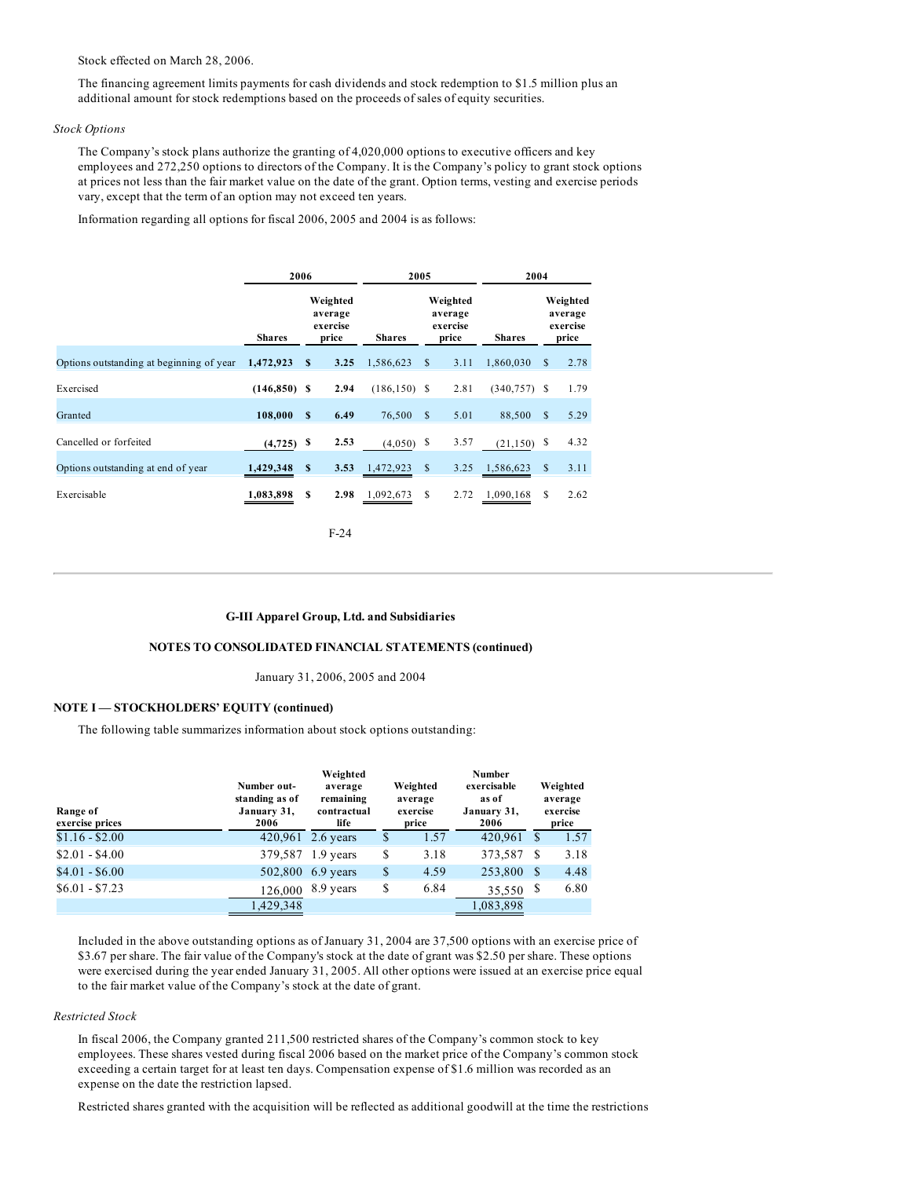Stock effected on March 28, 2006.

The financing agreement limits payments for cash dividends and stock redemption to \$1.5 million plus an additional amount for stock redemptions based on the proceeds of sales of equity securities.

#### *Stock Options*

The Company's stock plans authorize the granting of 4,020,000 options to executive officers and key employees and 272,250 options to directors of the Company. It is the Company's policy to grant stock options at prices not less than the fair market value on the date of the grant. Option terms, vesting and exercise periods vary, except that the term of an option may not exceed ten years.

Information regarding all options for fiscal 2006, 2005 and 2004 is as follows:

|                                          |                 | 2006         |                                          | 2005            |               |                                          | 2004           |               |                                          |  |  |
|------------------------------------------|-----------------|--------------|------------------------------------------|-----------------|---------------|------------------------------------------|----------------|---------------|------------------------------------------|--|--|
|                                          | <b>Shares</b>   |              | Weighted<br>average<br>exercise<br>price | <b>Shares</b>   |               | Weighted<br>average<br>exercise<br>price | <b>Shares</b>  |               | Weighted<br>average<br>exercise<br>price |  |  |
| Options outstanding at beginning of year | 1,472,923       | S            | 3.25                                     | 1,586,623       | <sup>\$</sup> | 3.11                                     | 1,860,030      | S             | 2.78                                     |  |  |
| Exercised                                | $(146, 850)$ \$ |              | 2.94                                     | $(186, 150)$ \$ |               | 2.81                                     | $(340,757)$ \$ |               | 1.79                                     |  |  |
| Granted                                  | 108,000         | \$           | 6.49                                     | 76,500          | $\mathbf{s}$  | 5.01                                     | 88,500         | $\mathbf S$   | 5.29                                     |  |  |
| Cancelled or forfeited                   | $(4,725)$ \$    |              | 2.53                                     | $(4,050)$ \$    |               | 3.57                                     | (21, 150)      | S             | 4.32                                     |  |  |
| Options outstanding at end of year       | 1,429,348       | $\mathbf{s}$ | 3.53                                     | 1,472,923       | <sup>\$</sup> | 3.25                                     | 1,586,623      | <sup>\$</sup> | 3.11                                     |  |  |
| Exercisable                              | 1,083,898       | S            | 2.98                                     | 1,092,673       | <sup>\$</sup> | 2.72                                     | 1,090,168      | S             | 2.62                                     |  |  |

F-24

#### **G-III Apparel Group, Ltd. and Subsidiaries**

## **NOTES TO CONSOLIDATED FINANCIAL STATEMENTS (continued)**

January 31, 2006, 2005 and 2004

## **NOTE I — STOCKHOLDERS' EQUITY (continued)**

The following table summarizes information about stock options outstanding:

| Range of<br>exercise prices | Number out-<br>standing as of<br>January 31,<br>2006 | Weighted<br>average<br>remaining<br>contractual<br>life | Weighted<br>average<br>exercise<br>price | <b>Number</b><br>exercisable<br>as of<br>January 31,<br>2006 |               | Weighted<br>average<br>exercise<br>price |
|-----------------------------|------------------------------------------------------|---------------------------------------------------------|------------------------------------------|--------------------------------------------------------------|---------------|------------------------------------------|
| $$1.16 - $2.00$             |                                                      | 420,961 2.6 years                                       | \$<br>1.57                               | 420,961                                                      | <sup>\$</sup> | 1.57                                     |
| $$2.01 - $4.00$             |                                                      | 379,587 1.9 years                                       | \$<br>3.18                               | 373,587                                                      | S             | 3.18                                     |
| $$4.01 - $6.00$             | 502,800                                              | 6.9 years                                               | \$<br>4.59                               | 253,800                                                      | <sup>\$</sup> | 4.48                                     |
| $$6.01 - $7.23$             | 126,000                                              | 8.9 years                                               | \$<br>6.84                               | 35,550                                                       | S             | 6.80                                     |
|                             | 1,429,348                                            |                                                         |                                          | 1,083,898                                                    |               |                                          |

Included in the above outstanding options as of January 31, 2004 are 37,500 options with an exercise price of \$3.67 per share. The fair value of the Company's stock at the date of grant was \$2.50 per share. These options were exercised during the year ended January 31, 2005. All other options were issued at an exercise price equal to the fair market value of the Company's stock at the date of grant.

## *Restricted Stock*

In fiscal 2006, the Company granted 211,500 restricted shares of the Company's common stock to key employees. These shares vested during fiscal 2006 based on the market price of the Company's common stock exceeding a certain target for at least ten days. Compensation expense of \$1.6 million was recorded as an expense on the date the restriction lapsed.

Restricted shares granted with the acquisition will be reflected as additional goodwill at the time the restrictions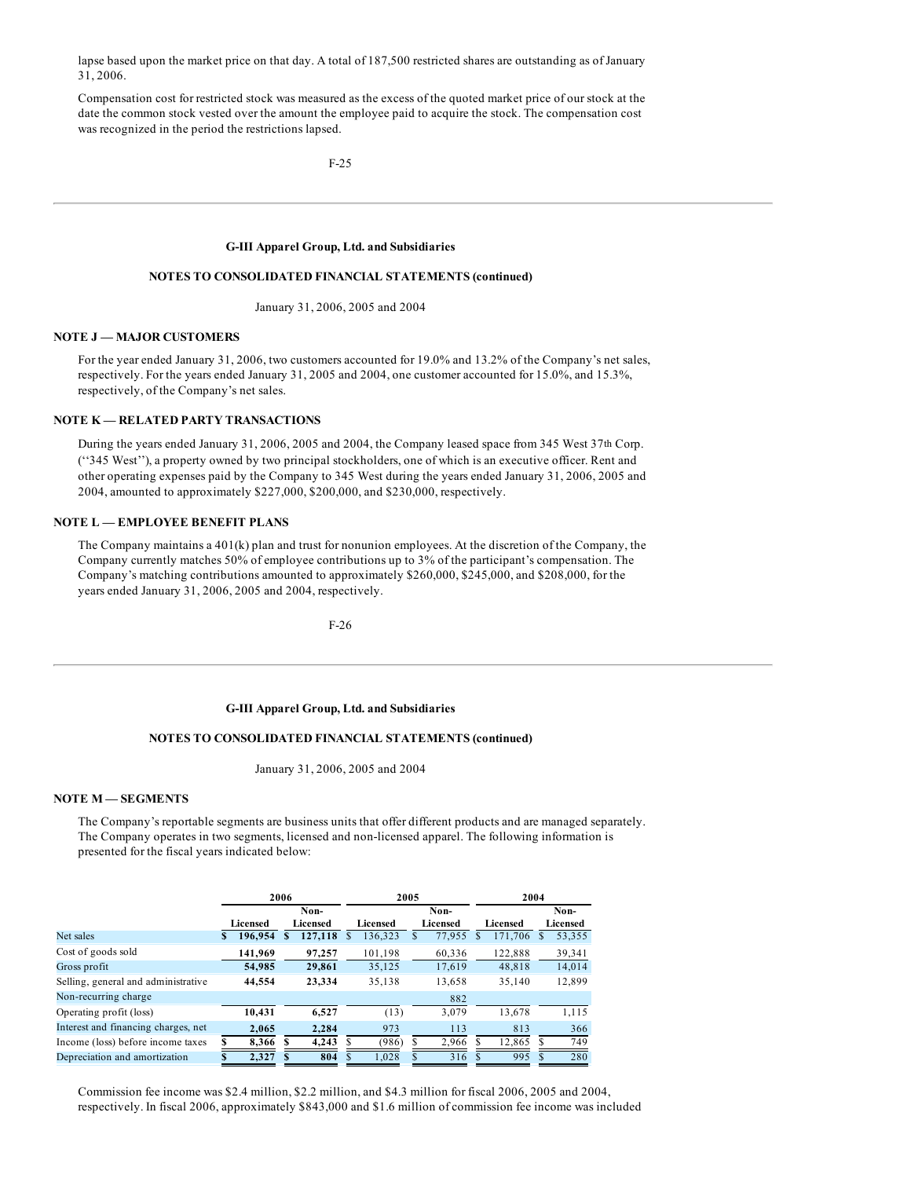lapse based upon the market price on that day. A total of 187,500 restricted shares are outstanding as of January 31, 2006.

Compensation cost for restricted stock was measured as the excess of the quoted market price of our stock at the date the common stock vested over the amount the employee paid to acquire the stock. The compensation cost was recognized in the period the restrictions lapsed.

## **G-III Apparel Group, Ltd. and Subsidiaries**

## **NOTES TO CONSOLIDATED FINANCIAL STATEMENTS (continued)**

January 31, 2006, 2005 and 2004

## **NOTE J — MAJOR CUSTOMERS**

For the year ended January 31, 2006, two customers accounted for 19.0% and 13.2% of the Company's net sales, respectively. For the years ended January 31, 2005 and 2004, one customer accounted for 15.0%, and 15.3%, respectively, of the Company's net sales.

## **NOTE K — RELATED PARTY TRANSACTIONS**

During the years ended January 31, 2006, 2005 and 2004, the Company leased space from 345 West 37th Corp. (''345 West''), a property owned by two principal stockholders, one of which is an executive officer. Rent and other operating expenses paid by the Company to 345 West during the years ended January 31, 2006, 2005 and 2004, amounted to approximately \$227,000, \$200,000, and \$230,000, respectively.

## **NOTE L — EMPLOYEE BENEFIT PLANS**

The Company maintains a 401(k) plan and trust for nonunion employees. At the discretion of the Company, the Company currently matches 50% of employee contributions up to 3% of the participant's compensation. The Company's matching contributions amounted to approximately \$260,000, \$245,000, and \$208,000, for the years ended January 31, 2006, 2005 and 2004, respectively.

F-26

### **G-III Apparel Group, Ltd. and Subsidiaries**

## **NOTES TO CONSOLIDATED FINANCIAL STATEMENTS (continued)**

January 31, 2006, 2005 and 2004

## **NOTE M — SEGMENTS**

The Company's reportable segments are business units that offer different products and are managed separately. The Company operates in two segments, licensed and non-licensed apparel. The following information is presented for the fiscal years indicated below:

|                                     | 2006          |  |                  |   |          | 2005 |                  | 2004 |          |  |                  |  |
|-------------------------------------|---------------|--|------------------|---|----------|------|------------------|------|----------|--|------------------|--|
|                                     | Licensed      |  | Non-<br>Licensed |   | Licensed |      | Non-<br>Licensed |      | Licensed |  | Non-<br>Licensed |  |
| Net sales                           | \$<br>196,954 |  | 127,118          | S | 136,323  | \$   | 77,955           | S    | 171,706  |  | 53,355           |  |
| Cost of goods sold                  | 141,969       |  | 97.257           |   | 101.198  |      | 60.336           |      | 122.888  |  | 39,341           |  |
| Gross profit                        | 54,985        |  | 29,861           |   | 35,125   |      | 17.619           |      | 48.818   |  | 14,014           |  |
| Selling, general and administrative | 44,554        |  | 23,334           |   | 35,138   |      | 13.658           |      | 35.140   |  | 12,899           |  |
| Non-recurring charge                |               |  |                  |   |          |      | 882              |      |          |  |                  |  |
| Operating profit (loss)             | 10,431        |  | 6,527            |   | (13)     |      | 3,079            |      | 13,678   |  | 1,115            |  |
| Interest and financing charges, net | 2.065         |  | 2.284            |   | 973      |      | 113              |      | 813      |  | 366              |  |
| Income (loss) before income taxes   | \$<br>8,366   |  | 4,243            |   | (986)    |      | 2,966            |      | 12,865   |  | 749              |  |
| Depreciation and amortization       | 2,327         |  | 804              |   | 1,028    |      | 316              |      | 995      |  | 280              |  |

Commission fee income was \$2.4 million, \$2.2 million, and \$4.3 million for fiscal 2006, 2005 and 2004, respectively. In fiscal 2006, approximately \$843,000 and \$1.6 million of commission fee income was included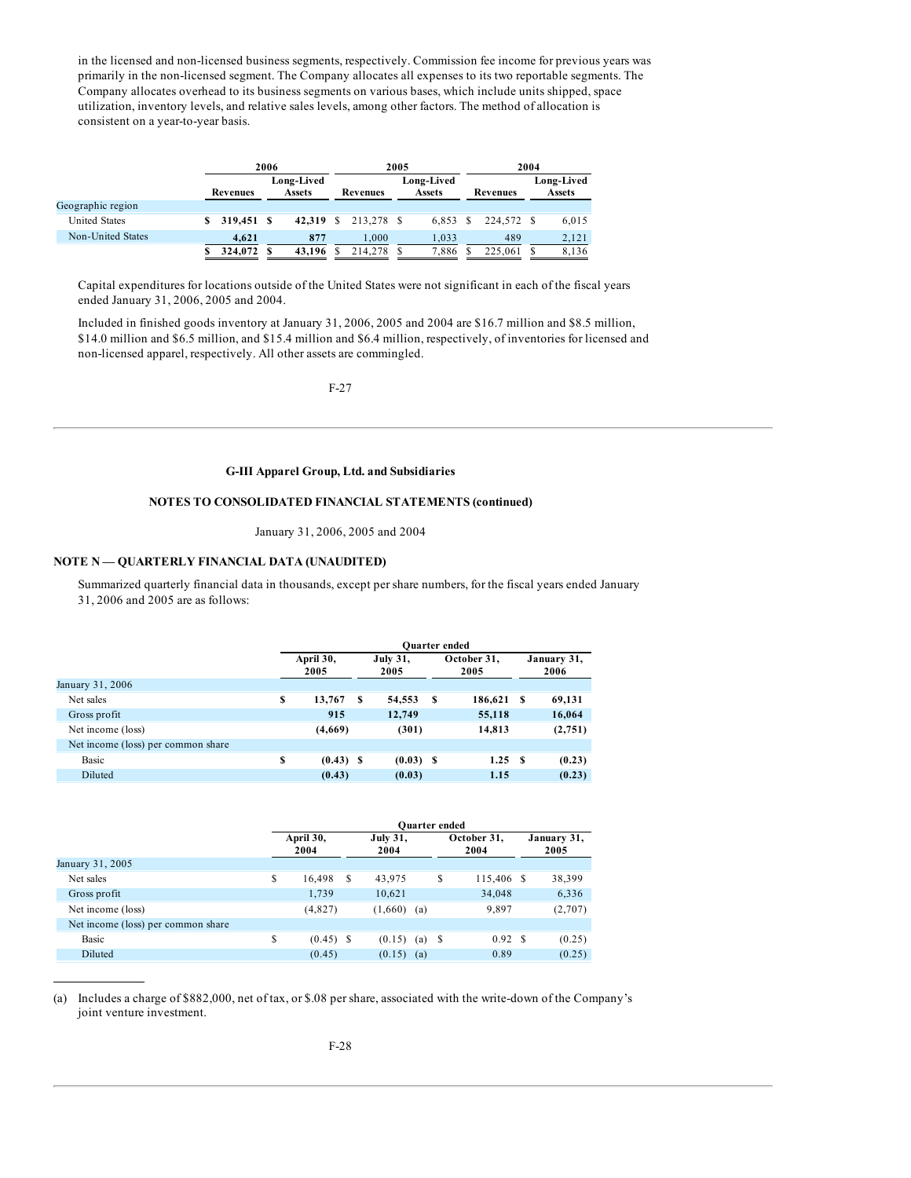<span id="page-46-0"></span>in the licensed and non-licensed business segments, respectively. Commission fee income for previous years was primarily in the non-licensed segment. The Company allocates all expenses to its two reportable segments. The Company allocates overhead to its business segments on various bases, which include units shipped, space utilization, inventory levels, and relative sales levels, among other factors. The method of allocation is consistent on a year-to-year basis.

|                      | 2006 |                 |  |                      |     |            | 2005 |                      | 2004 |                 |  |                      |  |
|----------------------|------|-----------------|--|----------------------|-----|------------|------|----------------------|------|-----------------|--|----------------------|--|
|                      |      | <b>Revenues</b> |  | Long-Lived<br>Assets |     | Revenues   |      | Long-Lived<br>Assets |      | <b>Revenues</b> |  | Long-Lived<br>Assets |  |
| Geographic region    |      |                 |  |                      |     |            |      |                      |      |                 |  |                      |  |
| <b>United States</b> |      | 319,451 \$      |  | 42.319               | - S | 213.278 \$ |      | 6.853                |      | 224.572 \$      |  | 6,015                |  |
| Non-United States    |      | 4.621           |  | 877                  |     | 1.000      |      | 1.033                |      | 489             |  | 2,121                |  |
|                      |      | 324.072         |  | 43.196               |     | 214,278    |      | 7,886                |      | 225,061         |  | 8,136                |  |

Capital expenditures for locations outside of the United States were not significant in each of the fiscal years ended January 31, 2006, 2005 and 2004.

Included in finished goods inventory at January 31, 2006, 2005 and 2004 are \$16.7 million and \$8.5 million, \$14.0 million and \$6.5 million, and \$15.4 million and \$6.4 million, respectively, of inventories for licensed and non-licensed apparel, respectively. All other assets are commingled.

F-27

#### **G-III Apparel Group, Ltd. and Subsidiaries**

## **NOTES TO CONSOLIDATED FINANCIAL STATEMENTS (continued)**

January 31, 2006, 2005 and 2004

## **NOTE N — QUARTERLY FINANCIAL DATA (UNAUDITED)**

Summarized quarterly financial data in thousands, except per share numbers, for the fiscal years ended January 31, 2006 and 2005 are as follows:

|                                    | <b>Ouarter ended</b> |             |    |                         |   |                     |                     |         |  |  |  |  |
|------------------------------------|----------------------|-------------|----|-------------------------|---|---------------------|---------------------|---------|--|--|--|--|
|                                    | April 30,<br>2005    |             |    | <b>July 31,</b><br>2005 |   | October 31,<br>2005 | January 31,<br>2006 |         |  |  |  |  |
| January 31, 2006                   |                      |             |    |                         |   |                     |                     |         |  |  |  |  |
| Net sales                          | s                    | 13.767      | -S | 54.553                  | S | 186,621 \$          |                     | 69,131  |  |  |  |  |
| Gross profit                       |                      | 915         |    | 12,749                  |   | 55,118              |                     | 16,064  |  |  |  |  |
| Net income (loss)                  |                      | (4,669)     |    | (301)                   |   | 14,813              |                     | (2,751) |  |  |  |  |
| Net income (loss) per common share |                      |             |    |                         |   |                     |                     |         |  |  |  |  |
| Basic                              | \$                   | $(0.43)$ \$ |    | $(0.03)$ \$             |   | 1.25 S              |                     | (0.23)  |  |  |  |  |
| Diluted                            |                      | (0.43)      |    | (0.03)                  |   | 1.15                |                     | (0.23)  |  |  |  |  |

|                                    |    |                   |   |                         | <b>Ouarter</b> ended |     |                     |     |                     |
|------------------------------------|----|-------------------|---|-------------------------|----------------------|-----|---------------------|-----|---------------------|
|                                    |    | April 30,<br>2004 |   | <b>July 31,</b><br>2004 |                      |     | October 31.<br>2004 |     | January 31,<br>2005 |
| January 31, 2005                   |    |                   |   |                         |                      |     |                     |     |                     |
| Net sales                          | S  | 16,498            | S | 43,975                  |                      | \$  | 115,406 \$          |     | 38,399              |
| Gross profit                       |    | 1,739             |   | 10,621                  |                      |     | 34,048              |     | 6,336               |
| Net income (loss)                  |    | (4,827)           |   | (1,660)                 | (a)                  |     | 9.897               |     | (2,707)             |
| Net income (loss) per common share |    |                   |   |                         |                      |     |                     |     |                     |
| Basic                              | \$ | $(0.45)$ \$       |   | (0.15)                  | (a)                  | - S | 0.92                | - S | (0.25)              |
| Diluted                            |    | (0.45)            |   | (0.15)                  | (a)                  |     | 0.89                |     | (0.25)              |

(a) Includes a charge of \$882,000, net of tax, or \$.08 per share, associated with the write-down of the Company's joint venture investment.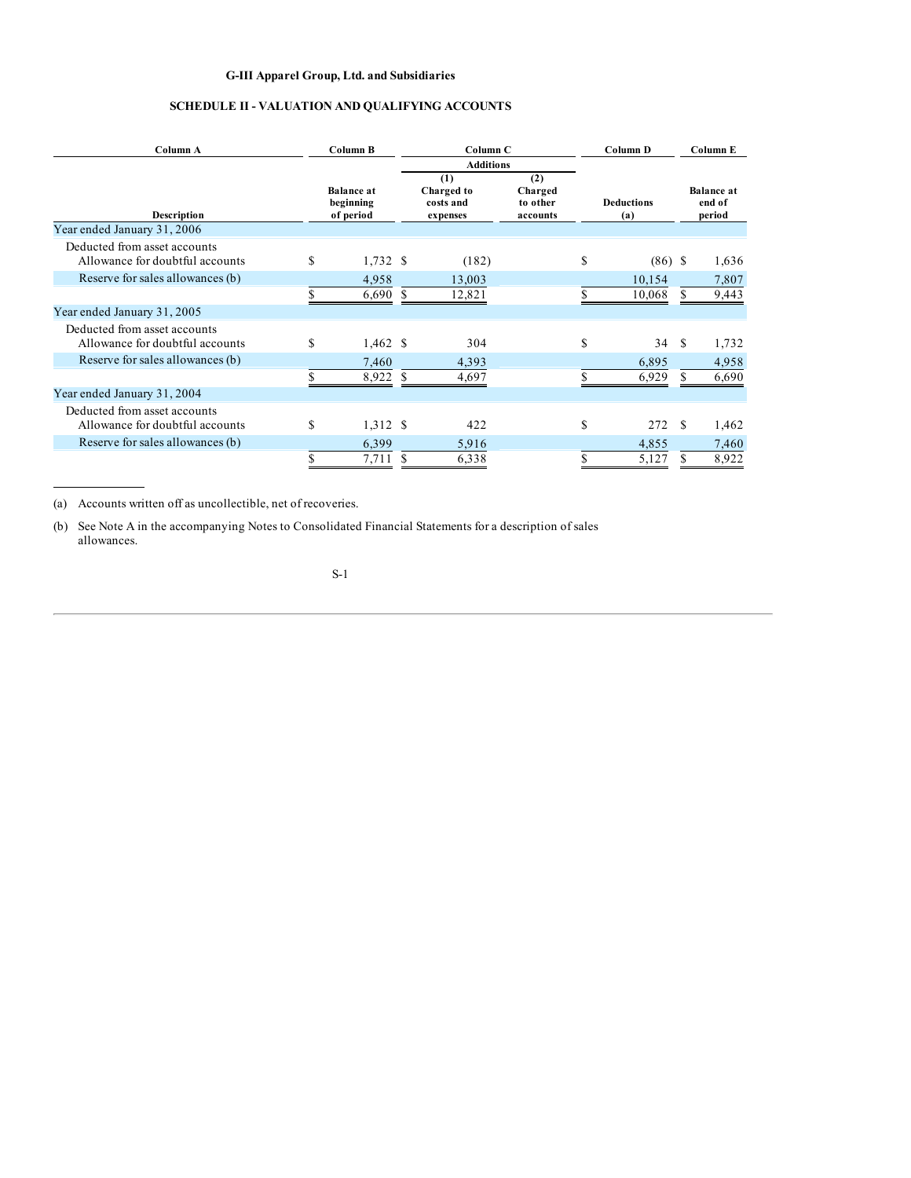## **G-III Apparel Group, Ltd. and Subsidiaries**

## **SCHEDULE II - VALUATION AND QUALIFYING ACCOUNTS**

| Column A                         |    | Column B                       |    | Column <sub>C</sub>     |                     | Column D          |      | <b>Column E</b>             |
|----------------------------------|----|--------------------------------|----|-------------------------|---------------------|-------------------|------|-----------------------------|
|                                  |    |                                |    | <b>Additions</b>        |                     |                   |      |                             |
|                                  |    |                                |    | (1)                     | (2)                 |                   |      |                             |
|                                  |    | <b>Balance</b> at<br>beginning |    | Charged to<br>costs and | Charged<br>to other | <b>Deductions</b> |      | <b>Balance at</b><br>end of |
| Description                      |    | of period                      |    | expenses                | accounts            | (a)               |      | period                      |
| Year ended January 31, 2006      |    |                                |    |                         |                     |                   |      |                             |
| Deducted from asset accounts     |    |                                |    |                         |                     |                   |      |                             |
| Allowance for doubtful accounts  | \$ | $1,732$ \$                     |    | (182)                   |                     | \$<br>$(86)$ \$   |      | 1,636                       |
| Reserve for sales allowances (b) |    | 4,958                          |    | 13,003                  |                     | 10,154            |      | 7,807                       |
|                                  | \$ | 6,690                          | -S | 12,821                  |                     | 10,068            |      | 9,443                       |
| Year ended January 31, 2005      |    |                                |    |                         |                     |                   |      |                             |
| Deducted from asset accounts     |    |                                |    |                         |                     |                   |      |                             |
| Allowance for doubtful accounts  | \$ | $1,462$ \$                     |    | 304                     |                     | \$<br>34          | - \$ | 1,732                       |
| Reserve for sales allowances (b) |    | 7,460                          |    | 4,393                   |                     | 6,895             |      | 4,958                       |
|                                  | S. | 8,922                          | -S | 4,697                   |                     | 6,929             | S.   | 6,690                       |
| Year ended January 31, 2004      |    |                                |    |                         |                     |                   |      |                             |
| Deducted from asset accounts     |    |                                |    |                         |                     |                   |      |                             |
| Allowance for doubtful accounts  | \$ | 1,312 \$                       |    | 422                     |                     | \$<br>272         | -S   | 1,462                       |
| Reserve for sales allowances (b) |    | 6,399                          |    | 5,916                   |                     | 4,855             |      | 7,460                       |
|                                  |    | 7,711                          |    | 6,338                   |                     | 5,127             |      | 8,922                       |

(a) Accounts written off as uncollectible, net of recoveries.

(b) See Note A in the accompanying Notes to Consolidated Financial Statements for a description of sales allowances.

S-1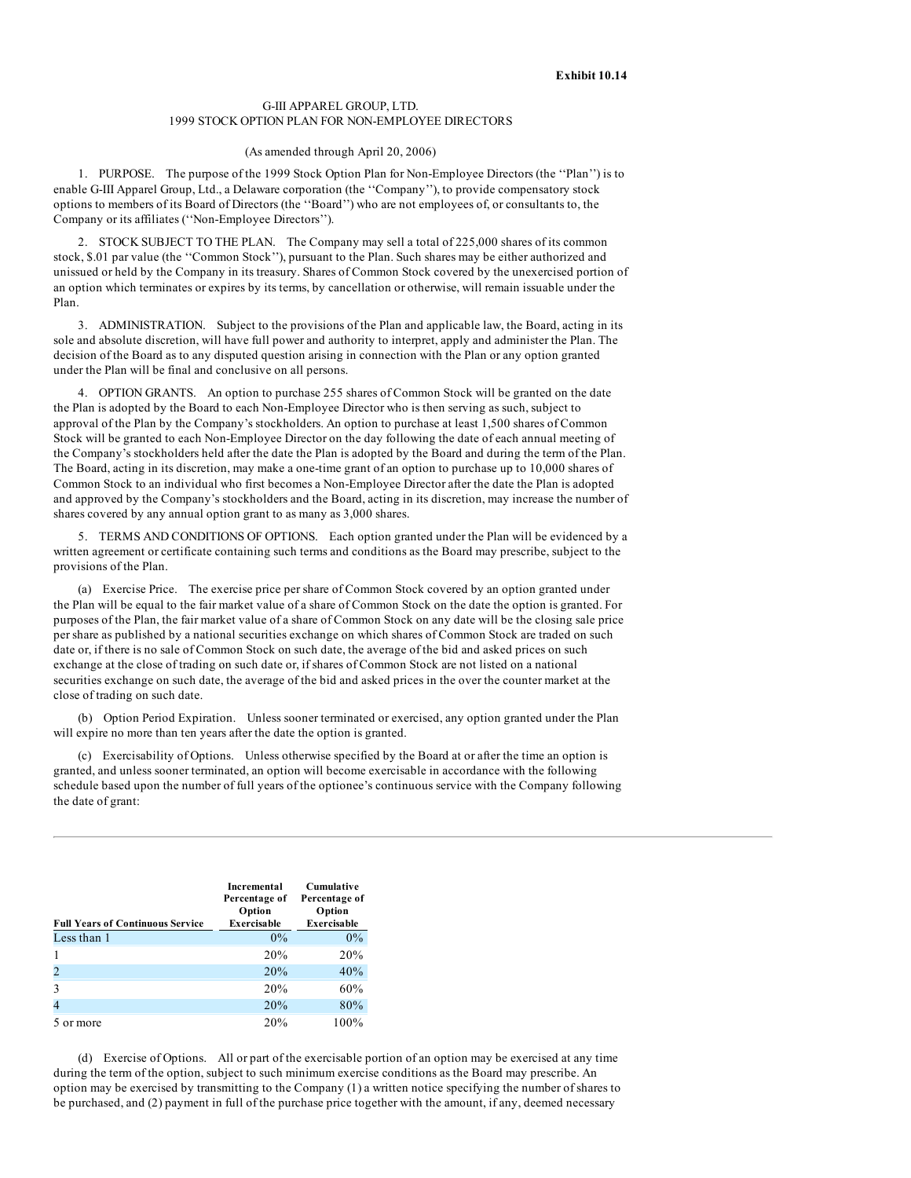#### G-III APPAREL GROUP, LTD. 1999 STOCK OPTION PLAN FOR NON-EMPLOYEE DIRECTORS

#### (As amended through April 20, 2006)

1. PURPOSE. The purpose of the 1999 Stock Option Plan for Non-Employee Directors (the ''Plan'') is to enable G-III Apparel Group, Ltd., a Delaware corporation (the ''Company''), to provide compensatory stock options to members of its Board of Directors (the ''Board'') who are not employees of, or consultants to, the Company or its affiliates (''Non-Employee Directors'').

2. STOCK SUBJECT TO THE PLAN. The Company may sell a total of 225,000 shares of its common stock, \$.01 par value (the ''Common Stock''), pursuant to the Plan. Such shares may be either authorized and unissued or held by the Company in its treasury. Shares of Common Stock covered by the unexercised portion of an option which terminates or expires by its terms, by cancellation or otherwise, will remain issuable under the Plan.

3. ADMINISTRATION. Subject to the provisions of the Plan and applicable law, the Board, acting in its sole and absolute discretion, will have full power and authority to interpret, apply and administer the Plan. The decision of the Board as to any disputed question arising in connection with the Plan or any option granted under the Plan will be final and conclusive on all persons.

4. OPTION GRANTS. An option to purchase 255 shares of Common Stock will be granted on the date the Plan is adopted by the Board to each Non-Employee Director who is then serving as such, subject to approval of the Plan by the Company's stockholders. An option to purchase at least 1,500 shares of Common Stock will be granted to each Non-Employee Director on the day following the date of each annual meeting of the Company's stockholders held after the date the Plan is adopted by the Board and during the term of the Plan. The Board, acting in its discretion, may make a one-time grant of an option to purchase up to 10,000 shares of Common Stock to an individual who first becomes a Non-Employee Director after the date the Plan is adopted and approved by the Company's stockholders and the Board, acting in its discretion, may increase the number of shares covered by any annual option grant to as many as 3,000 shares.

5. TERMS AND CONDITIONS OF OPTIONS. Each option granted under the Plan will be evidenced by a written agreement or certificate containing such terms and conditions as the Board may prescribe, subject to the provisions of the Plan.

(a) Exercise Price. The exercise price per share of Common Stock covered by an option granted under the Plan will be equal to the fair market value of a share of Common Stock on the date the option is granted. For purposes of the Plan, the fair market value of a share of Common Stock on any date will be the closing sale price per share as published by a national securities exchange on which shares of Common Stock are traded on such date or, if there is no sale of Common Stock on such date, the average of the bid and asked prices on such exchange at the close of trading on such date or, if shares of Common Stock are not listed on a national securities exchange on such date, the average of the bid and asked prices in the over the counter market at the close of trading on such date.

(b) Option Period Expiration. Unless sooner terminated or exercised, any option granted under the Plan will expire no more than ten years after the date the option is granted.

(c) Exercisability of Options. Unless otherwise specified by the Board at or after the time an option is granted, and unless sooner terminated, an option will become exercisable in accordance with the following schedule based upon the number of full years of the optionee's continuous service with the Company following the date of grant:

| <b>Full Years of Continuous Service</b> | <b>Incremental</b><br>Percentage of<br>Option<br><b>Exercisable</b> | Cumulative<br>Percentage of<br>Option<br><b>Exercisable</b> |
|-----------------------------------------|---------------------------------------------------------------------|-------------------------------------------------------------|
| Less than 1                             | $0\%$                                                               | $0\%$                                                       |
|                                         | 20%                                                                 | 20%                                                         |
| $\overline{2}$                          | 20%                                                                 | 40%                                                         |
| 3                                       | 20%                                                                 | 60%                                                         |
| 4                                       | 20%                                                                 | 80%                                                         |
| or more                                 | 20%                                                                 | 100%                                                        |

(d) Exercise of Options. All or part of the exercisable portion of an option may be exercised at any time during the term of the option, subject to such minimum exercise conditions as the Board may prescribe. An option may be exercised by transmitting to the Company (1) a written notice specifying the number of shares to be purchased, and (2) payment in full of the purchase price together with the amount, if any, deemed necessary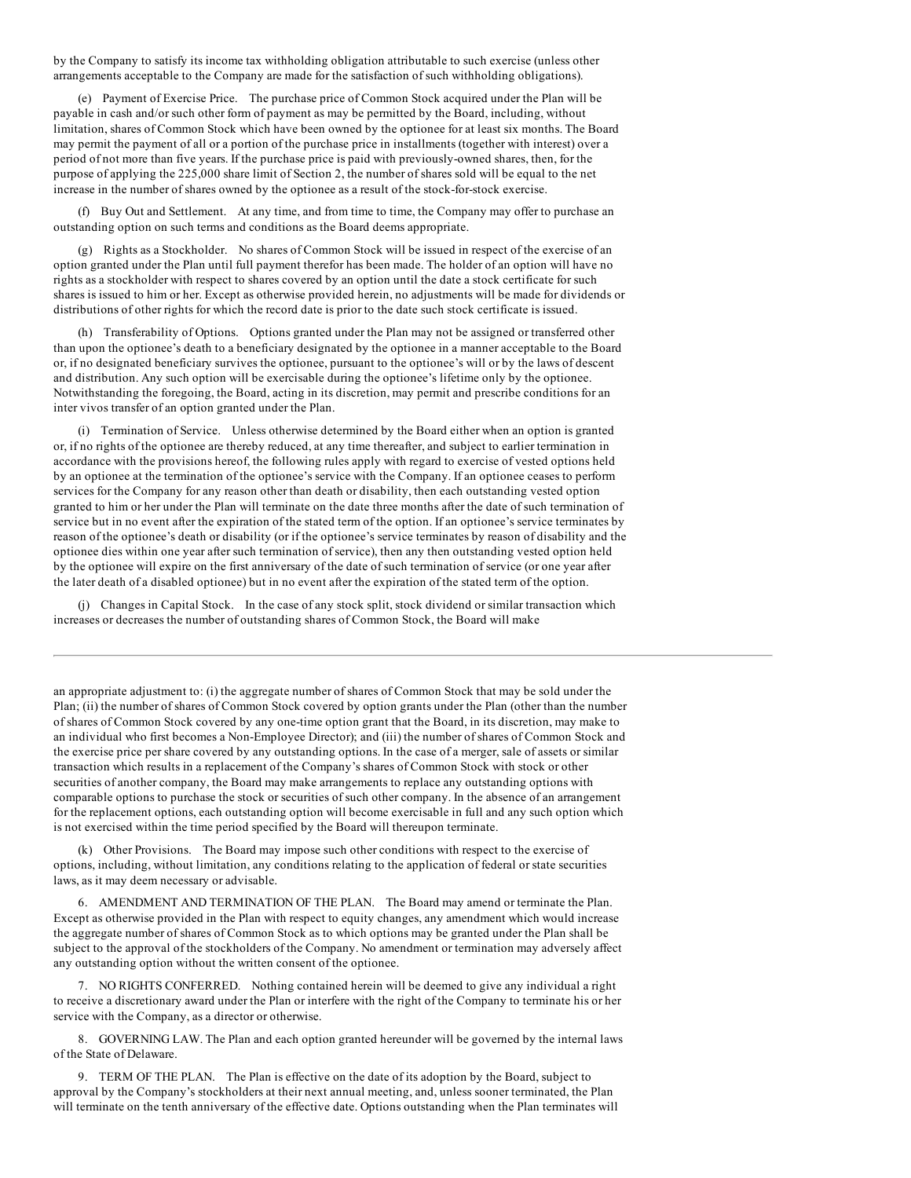by the Company to satisfy its income tax withholding obligation attributable to such exercise (unless other arrangements acceptable to the Company are made for the satisfaction of such withholding obligations).

(e) Payment of Exercise Price. The purchase price of Common Stock acquired under the Plan will be payable in cash and/or such other form of payment as may be permitted by the Board, including, without limitation, shares of Common Stock which have been owned by the optionee for at least six months. The Board may permit the payment of all or a portion of the purchase price in installments (together with interest) over a period of not more than five years. If the purchase price is paid with previously-owned shares, then, for the purpose of applying the 225,000 share limit of Section 2, the number of shares sold will be equal to the net increase in the number of shares owned by the optionee as a result of the stock-for-stock exercise.

(f) Buy Out and Settlement. At any time, and from time to time, the Company may offer to purchase an outstanding option on such terms and conditions as the Board deems appropriate.

(g) Rights as a Stockholder. No shares of Common Stock will be issued in respect of the exercise of an option granted under the Plan until full payment therefor has been made. The holder of an option will have no rights as a stockholder with respect to shares covered by an option until the date a stock certificate for such shares is issued to him or her. Except as otherwise provided herein, no adjustments will be made for dividends or distributions of other rights for which the record date is prior to the date such stock certificate is issued.

(h) Transferability of Options. Options granted under the Plan may not be assigned or transferred other than upon the optionee's death to a beneficiary designated by the optionee in a manner acceptable to the Board or, if no designated beneficiary survives the optionee, pursuant to the optionee's will or by the laws of descent and distribution. Any such option will be exercisable during the optionee's lifetime only by the optionee. Notwithstanding the foregoing, the Board, acting in its discretion, may permit and prescribe conditions for an inter vivos transfer of an option granted under the Plan.

(i) Termination of Service. Unless otherwise determined by the Board either when an option is granted or, if no rights of the optionee are thereby reduced, at any time thereafter, and subject to earlier termination in accordance with the provisions hereof, the following rules apply with regard to exercise of vested options held by an optionee at the termination of the optionee's service with the Company. If an optionee ceases to perform services for the Company for any reason other than death or disability, then each outstanding vested option granted to him or her under the Plan will terminate on the date three months after the date of such termination of service but in no event after the expiration of the stated term of the option. If an optionee's service terminates by reason of the optionee's death or disability (or if the optionee's service terminates by reason of disability and the optionee dies within one year after such termination of service), then any then outstanding vested option held by the optionee will expire on the first anniversary of the date of such termination of service (or one year after the later death of a disabled optionee) but in no event after the expiration of the stated term of the option.

(j) Changes in Capital Stock. In the case of any stock split, stock dividend or similar transaction which increases or decreases the number of outstanding shares of Common Stock, the Board will make

an appropriate adjustment to: (i) the aggregate number of shares of Common Stock that may be sold under the Plan; (ii) the number of shares of Common Stock covered by option grants under the Plan (other than the number of shares of Common Stock covered by any one-time option grant that the Board, in its discretion, may make to an individual who first becomes a Non-Employee Director); and (iii) the number of shares of Common Stock and the exercise price per share covered by any outstanding options. In the case of a merger, sale of assets or similar transaction which results in a replacement of the Company's shares of Common Stock with stock or other securities of another company, the Board may make arrangements to replace any outstanding options with comparable options to purchase the stock or securities of such other company. In the absence of an arrangement for the replacement options, each outstanding option will become exercisable in full and any such option which is not exercised within the time period specified by the Board will thereupon terminate.

(k) Other Provisions. The Board may impose such other conditions with respect to the exercise of options, including, without limitation, any conditions relating to the application of federal or state securities laws, as it may deem necessary or advisable.

6. AMENDMENT AND TERMINATION OF THE PLAN. The Board may amend or terminate the Plan. Except as otherwise provided in the Plan with respect to equity changes, any amendment which would increase the aggregate number of shares of Common Stock as to which options may be granted under the Plan shall be subject to the approval of the stockholders of the Company. No amendment or termination may adversely affect any outstanding option without the written consent of the optionee.

7. NO RIGHTS CONFERRED. Nothing contained herein will be deemed to give any individual a right to receive a discretionary award under the Plan or interfere with the right of the Company to terminate his or her service with the Company, as a director or otherwise.

8. GOVERNING LAW. The Plan and each option granted hereunder will be governed by the internal laws of the State of Delaware.

9. TERM OF THE PLAN. The Plan is effective on the date of its adoption by the Board, subject to approval by the Company's stockholders at their next annual meeting, and, unless sooner terminated, the Plan will terminate on the tenth anniversary of the effective date. Options outstanding when the Plan terminates will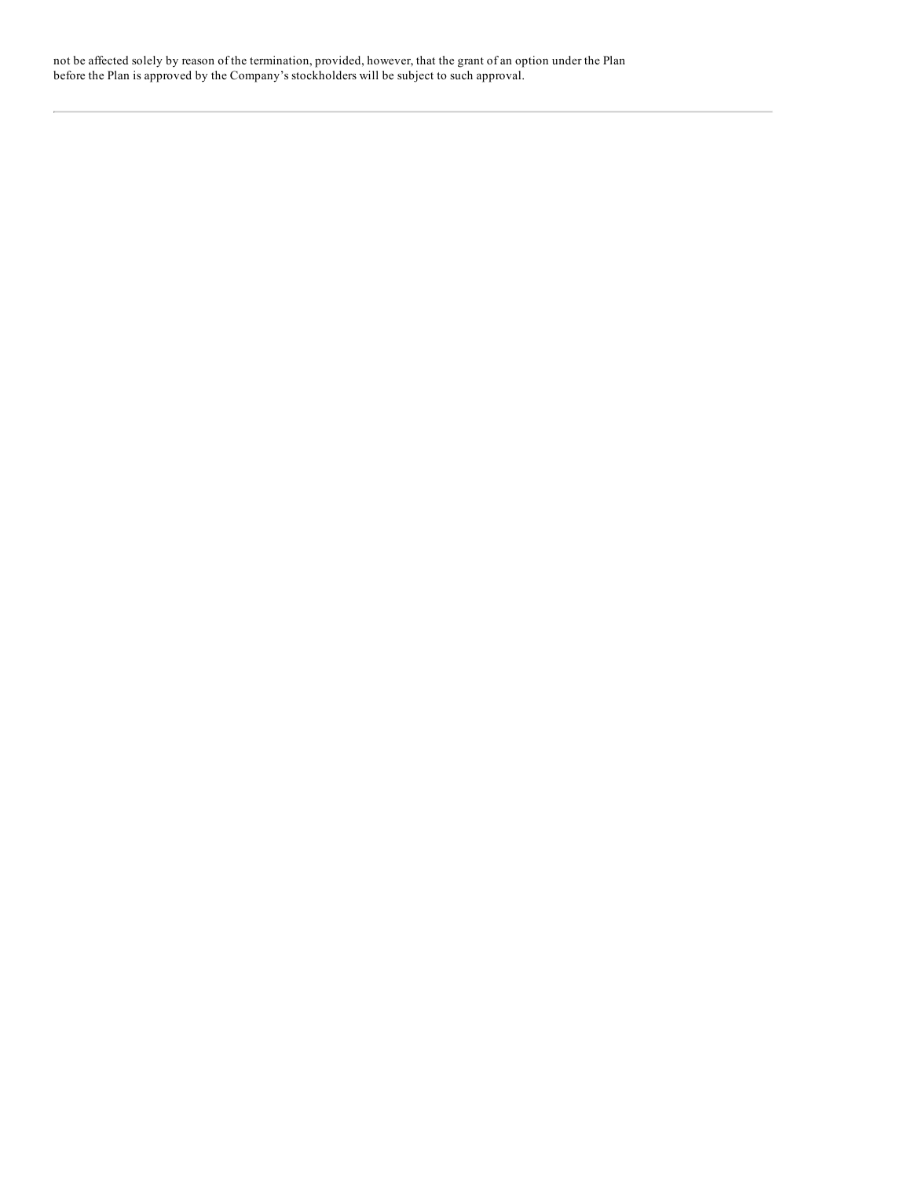not be affected solely by reason of the termination, provided, however, that the grant of an option under the Plan before the Plan is approved by the Company's stockholders will be subject to such approval.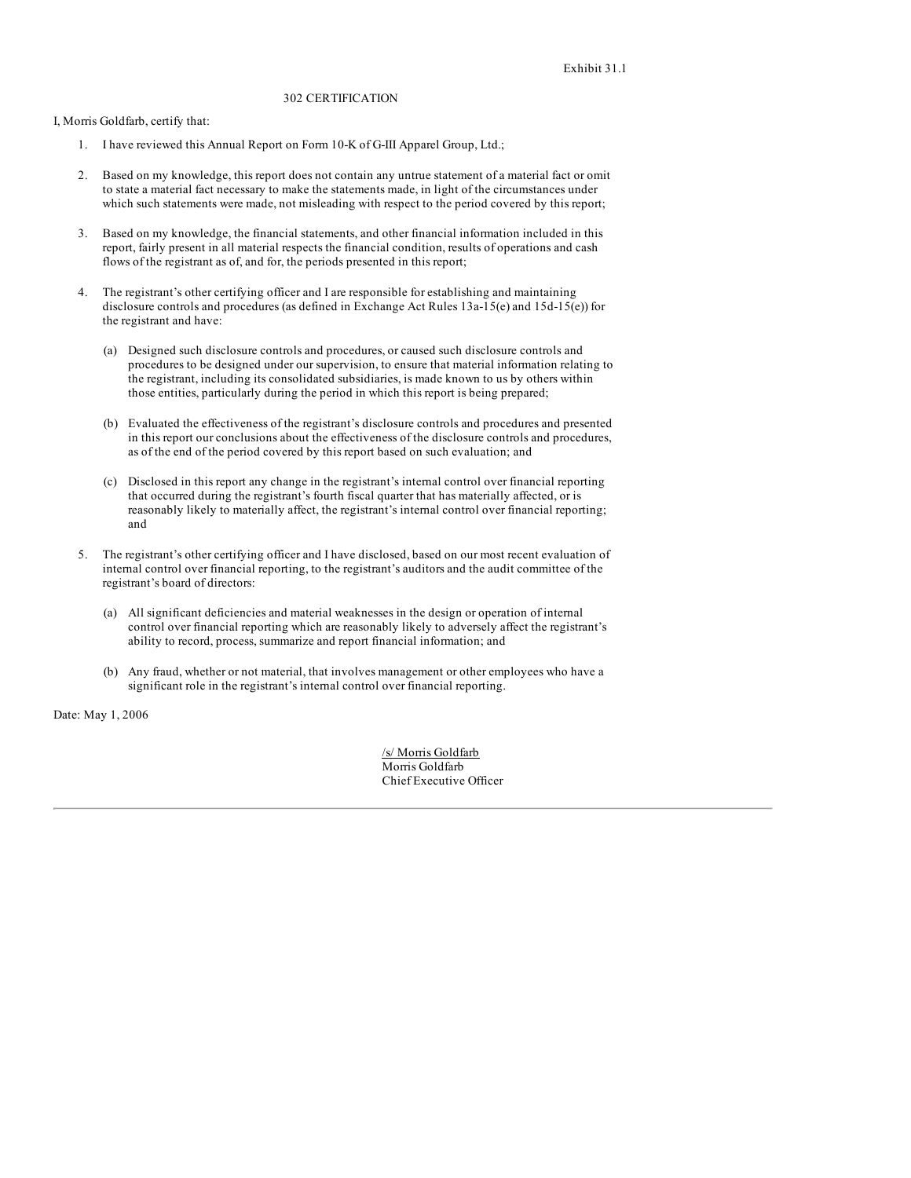Exhibit 31.1

## 302 CERTIFICATION

I, Morris Goldfarb, certify that:

- 1. I have reviewed this Annual Report on Form 10-K of G-III Apparel Group, Ltd.;
- 2. Based on my knowledge, this report does not contain any untrue statement of a material fact or omit to state a material fact necessary to make the statements made, in light of the circumstances under which such statements were made, not misleading with respect to the period covered by this report;
- 3. Based on my knowledge, the financial statements, and other financial information included in this report, fairly present in all material respects the financial condition, results of operations and cash flows of the registrant as of, and for, the periods presented in this report;
- 4. The registrant's other certifying officer and I are responsible for establishing and maintaining disclosure controls and procedures (as defined in Exchange Act Rules 13a-15(e) and 15d-15(e)) for the registrant and have:
	- (a) Designed such disclosure controls and procedures, or caused such disclosure controls and procedures to be designed under our supervision, to ensure that material information relating to the registrant, including its consolidated subsidiaries, is made known to us by others within those entities, particularly during the period in which this report is being prepared;
	- (b) Evaluated the effectiveness of the registrant's disclosure controls and procedures and presented in this report our conclusions about the effectiveness of the disclosure controls and procedures, as of the end of the period covered by this report based on such evaluation; and
	- (c) Disclosed in this report any change in the registrant's internal control over financial reporting that occurred during the registrant's fourth fiscal quarter that has materially affected, or is reasonably likely to materially affect, the registrant's internal control over financial reporting; and
- 5. The registrant's other certifying officer and I have disclosed, based on our most recent evaluation of internal control over financial reporting, to the registrant's auditors and the audit committee of the registrant's board of directors:
	- (a) All significant deficiencies and material weaknesses in the design or operation of internal control over financial reporting which are reasonably likely to adversely affect the registrant's ability to record, process, summarize and report financial information; and
	- (b) Any fraud, whether or not material, that involves management or other employees who have a significant role in the registrant's internal control over financial reporting.

Date: May 1, 2006

/s/ Morris Goldfarb Morris Goldfarb Chief Executive Officer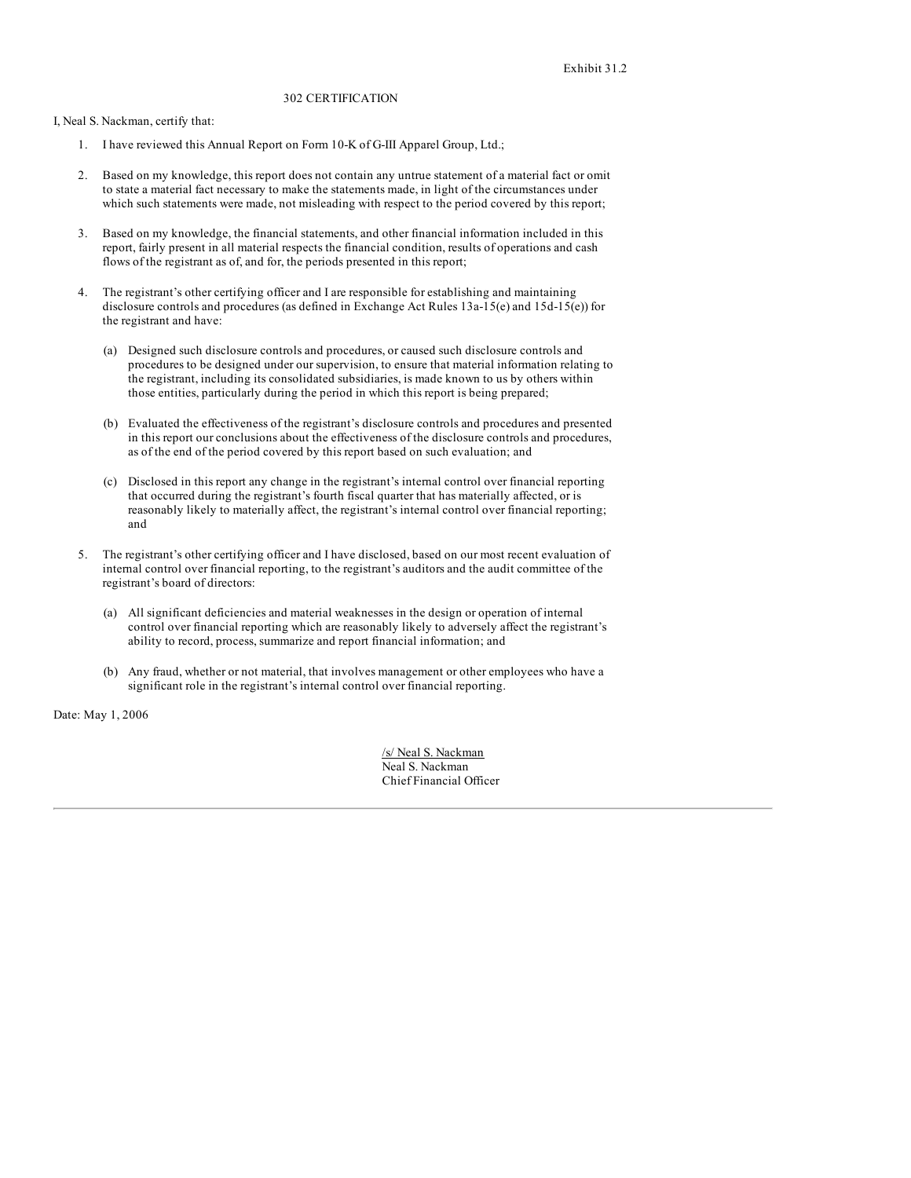Exhibit 31.2

## 302 CERTIFICATION

I, Neal S. Nackman, certify that:

- 1. I have reviewed this Annual Report on Form 10-K of G-III Apparel Group, Ltd.;
- 2. Based on my knowledge, this report does not contain any untrue statement of a material fact or omit to state a material fact necessary to make the statements made, in light of the circumstances under which such statements were made, not misleading with respect to the period covered by this report;
- 3. Based on my knowledge, the financial statements, and other financial information included in this report, fairly present in all material respects the financial condition, results of operations and cash flows of the registrant as of, and for, the periods presented in this report;
- 4. The registrant's other certifying officer and I are responsible for establishing and maintaining disclosure controls and procedures (as defined in Exchange Act Rules 13a-15(e) and 15d-15(e)) for the registrant and have:
	- (a) Designed such disclosure controls and procedures, or caused such disclosure controls and procedures to be designed under our supervision, to ensure that material information relating to the registrant, including its consolidated subsidiaries, is made known to us by others within those entities, particularly during the period in which this report is being prepared;
	- (b) Evaluated the effectiveness of the registrant's disclosure controls and procedures and presented in this report our conclusions about the effectiveness of the disclosure controls and procedures, as of the end of the period covered by this report based on such evaluation; and
	- (c) Disclosed in this report any change in the registrant's internal control over financial reporting that occurred during the registrant's fourth fiscal quarter that has materially affected, or is reasonably likely to materially affect, the registrant's internal control over financial reporting; and
- 5. The registrant's other certifying officer and I have disclosed, based on our most recent evaluation of internal control over financial reporting, to the registrant's auditors and the audit committee of the registrant's board of directors:
	- (a) All significant deficiencies and material weaknesses in the design or operation of internal control over financial reporting which are reasonably likely to adversely affect the registrant's ability to record, process, summarize and report financial information; and
	- (b) Any fraud, whether or not material, that involves management or other employees who have a significant role in the registrant's internal control over financial reporting.

Date: May 1, 2006

/s/ Neal S. Nackman Neal S. Nackman Chief Financial Officer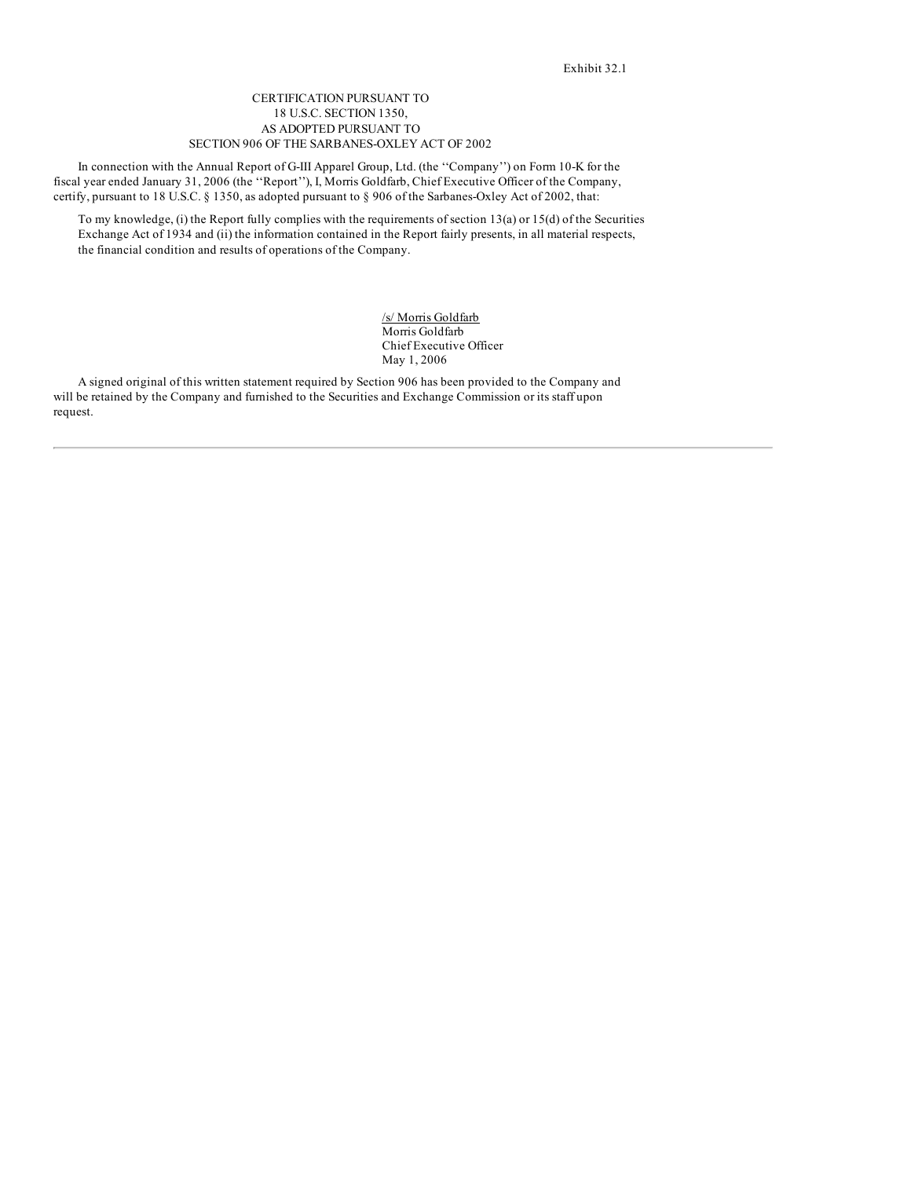## CERTIFICATION PURSUANT TO 18 U.S.C. SECTION 1350, AS ADOPTED PURSUANT TO SECTION 906 OF THE SARBANES-OXLEY ACT OF 2002

In connection with the Annual Report of G-III Apparel Group, Ltd. (the ''Company'') on Form 10-K for the fiscal year ended January 31, 2006 (the ''Report''), I, Morris Goldfarb, Chief Executive Officer of the Company, certify, pursuant to 18 U.S.C. § 1350, as adopted pursuant to § 906 of the Sarbanes-Oxley Act of 2002, that:

To my knowledge, (i) the Report fully complies with the requirements of section  $13(a)$  or  $15(d)$  of the Securities Exchange Act of 1934 and (ii) the information contained in the Report fairly presents, in all material respects, the financial condition and results of operations of the Company.

> /s/ Morris Goldfarb Morris Goldfarb Chief Executive Officer May 1, 2006

A signed original of this written statement required by Section 906 has been provided to the Company and will be retained by the Company and furnished to the Securities and Exchange Commission or its staff upon request.